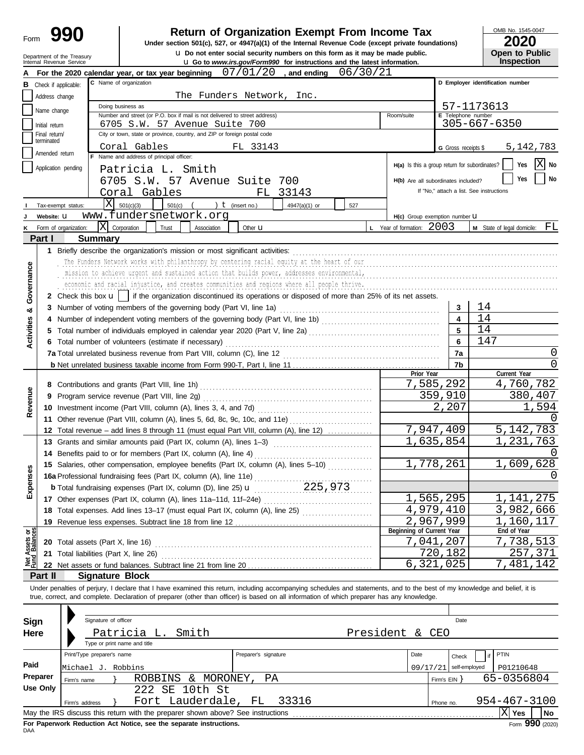| JJU<br>Form<br>Department of the Treasury |                |                                                   |                              | Under section 501(c), 527, or 4947(a)(1) of the Internal Revenue Code (except private foundations)<br><b>u</b> Do not enter social security numbers on this form as it may be made public. |                                          |                                                                                                             |                      |                                                                                                                                            |          | 2020<br><b>Open to Public</b>                   |                     |               |                                                                                                                                                                            |
|-------------------------------------------|----------------|---------------------------------------------------|------------------------------|--------------------------------------------------------------------------------------------------------------------------------------------------------------------------------------------|------------------------------------------|-------------------------------------------------------------------------------------------------------------|----------------------|--------------------------------------------------------------------------------------------------------------------------------------------|----------|-------------------------------------------------|---------------------|---------------|----------------------------------------------------------------------------------------------------------------------------------------------------------------------------|
|                                           |                | Internal Revenue Service                          |                              |                                                                                                                                                                                            |                                          |                                                                                                             |                      | <b>u</b> Go to www.irs.gov/Form990 for instructions and the latest information.                                                            |          |                                                 |                     |               | Inspection                                                                                                                                                                 |
|                                           |                | For the 2020 calendar year, or tax year beginning |                              |                                                                                                                                                                                            |                                          |                                                                                                             | 07/01/20             | , and ending                                                                                                                               | 06/30/21 |                                                 |                     |               |                                                                                                                                                                            |
|                                           |                | <b>B</b> Check if applicable:                     | C Name of organization       |                                                                                                                                                                                            |                                          |                                                                                                             |                      |                                                                                                                                            |          |                                                 |                     |               | D Employer identification number                                                                                                                                           |
|                                           | Address change |                                                   |                              |                                                                                                                                                                                            |                                          | The Funders Network,                                                                                        |                      | Inc.                                                                                                                                       |          |                                                 |                     |               |                                                                                                                                                                            |
|                                           | Name change    |                                                   | Doing business as            |                                                                                                                                                                                            |                                          |                                                                                                             |                      |                                                                                                                                            |          |                                                 |                     |               | 57-1173613                                                                                                                                                                 |
|                                           | Initial return |                                                   |                              |                                                                                                                                                                                            |                                          | Number and street (or P.O. box if mail is not delivered to street address)<br>6705 S.W. 57 Avenue Suite 700 |                      |                                                                                                                                            |          | Room/suite                                      | E Telephone number  |               | $305 - 667 - 6350$                                                                                                                                                         |
|                                           | Final return/  |                                                   |                              |                                                                                                                                                                                            |                                          | City or town, state or province, country, and ZIP or foreign postal code                                    |                      |                                                                                                                                            |          |                                                 |                     |               |                                                                                                                                                                            |
|                                           | terminated     |                                                   |                              | Coral Gables                                                                                                                                                                               |                                          |                                                                                                             |                      |                                                                                                                                            |          |                                                 |                     |               |                                                                                                                                                                            |
|                                           | Amended return |                                                   |                              |                                                                                                                                                                                            | F Name and address of principal officer: |                                                                                                             | FL 33143             |                                                                                                                                            |          |                                                 | G Gross receipts \$ |               | 5,142,783                                                                                                                                                                  |
|                                           |                | Application pending                               |                              |                                                                                                                                                                                            |                                          |                                                                                                             |                      |                                                                                                                                            |          | $H(a)$ is this a group return for subordinates? |                     |               | $ X $ No<br>Yes                                                                                                                                                            |
|                                           |                |                                                   |                              |                                                                                                                                                                                            | Patricia L. Smith                        |                                                                                                             |                      |                                                                                                                                            |          |                                                 |                     |               | No<br>Yes                                                                                                                                                                  |
|                                           |                |                                                   |                              |                                                                                                                                                                                            |                                          | 6705 S.W. 57 Avenue Suite                                                                                   |                      | -700                                                                                                                                       |          | H(b) Are all subordinates included?             |                     |               |                                                                                                                                                                            |
|                                           |                |                                                   |                              |                                                                                                                                                                                            | Coral Gables                             |                                                                                                             |                      | FL 33143                                                                                                                                   |          |                                                 |                     |               | If "No," attach a list. See instructions                                                                                                                                   |
|                                           |                | Tax-exempt status:                                | X                            | 501(c)(3)                                                                                                                                                                                  |                                          | 501(c) $($ $)$ $($ $)$ $($ insert no.)                                                                      |                      | 4947(a)(1) or                                                                                                                              | 527      |                                                 |                     |               |                                                                                                                                                                            |
| J                                         | Website: U     |                                                   |                              |                                                                                                                                                                                            |                                          | www.fundersnetwork.org                                                                                      |                      |                                                                                                                                            |          | H(c) Group exemption number U                   |                     |               |                                                                                                                                                                            |
| κ                                         |                | Form of organization:                             | $ \mathbf{X} $ Corporation   |                                                                                                                                                                                            | Trust                                    | Association                                                                                                 | Other $\mathbf u$    |                                                                                                                                            |          | <b>L</b> Year of formation: $2003$              |                     |               | <b>M</b> State of legal domicile: $FL$                                                                                                                                     |
|                                           | Part I         |                                                   | <b>Summary</b>               |                                                                                                                                                                                            |                                          |                                                                                                             |                      |                                                                                                                                            |          |                                                 |                     |               |                                                                                                                                                                            |
|                                           |                |                                                   |                              |                                                                                                                                                                                            |                                          |                                                                                                             |                      |                                                                                                                                            |          |                                                 |                     |               |                                                                                                                                                                            |
|                                           |                |                                                   |                              |                                                                                                                                                                                            |                                          |                                                                                                             |                      | The Funders Network works with philanthropy by centering racial equity at the heart of our                                                 |          |                                                 |                     |               |                                                                                                                                                                            |
| Governance                                |                |                                                   |                              |                                                                                                                                                                                            |                                          |                                                                                                             |                      | mission to achieve urgent and sustained action that builds power, addresses environmental,                                                 |          |                                                 |                     |               |                                                                                                                                                                            |
|                                           |                |                                                   |                              |                                                                                                                                                                                            |                                          |                                                                                                             |                      | economic and racial injustice, and creates communities and regions where all people thrive.                                                |          |                                                 |                     |               |                                                                                                                                                                            |
|                                           |                |                                                   |                              |                                                                                                                                                                                            |                                          |                                                                                                             |                      |                                                                                                                                            |          |                                                 |                     |               |                                                                                                                                                                            |
|                                           |                |                                                   |                              |                                                                                                                                                                                            |                                          |                                                                                                             |                      | 2 Check this box $\mathbf{u}$   if the organization discontinued its operations or disposed of more than 25% of its net assets.            |          |                                                 |                     |               |                                                                                                                                                                            |
| න්                                        |                |                                                   |                              |                                                                                                                                                                                            |                                          | 3 Number of voting members of the governing body (Part VI, line 1a)                                         |                      |                                                                                                                                            |          |                                                 |                     | 3             | 14                                                                                                                                                                         |
| Activities                                |                |                                                   |                              |                                                                                                                                                                                            |                                          |                                                                                                             |                      |                                                                                                                                            |          |                                                 |                     | 4             | 14                                                                                                                                                                         |
|                                           | 5              |                                                   |                              |                                                                                                                                                                                            |                                          |                                                                                                             |                      | Total number of individuals employed in calendar year 2020 (Part V, line 2a) [[[[[[[[[[[[[[[[[[[[[[[[[[[[[[[[                              |          |                                                 | 5                   |               | 14                                                                                                                                                                         |
|                                           |                |                                                   |                              |                                                                                                                                                                                            |                                          | <b>6</b> Total number of volunteers (estimate if necessary)                                                 |                      |                                                                                                                                            |          |                                                 | 6                   |               | 147                                                                                                                                                                        |
|                                           |                |                                                   |                              |                                                                                                                                                                                            |                                          |                                                                                                             |                      |                                                                                                                                            |          |                                                 |                     | 7a            |                                                                                                                                                                            |
|                                           |                |                                                   |                              |                                                                                                                                                                                            |                                          |                                                                                                             |                      |                                                                                                                                            |          |                                                 | 7b                  |               | 0                                                                                                                                                                          |
|                                           |                |                                                   |                              |                                                                                                                                                                                            |                                          |                                                                                                             |                      |                                                                                                                                            |          | Prior Year                                      |                     |               | Current Year                                                                                                                                                               |
|                                           |                |                                                   |                              |                                                                                                                                                                                            |                                          |                                                                                                             |                      |                                                                                                                                            |          |                                                 | 7,585,292           |               | 4,760,782                                                                                                                                                                  |
|                                           |                | 9 Program service revenue (Part VIII, line 2g)    |                              |                                                                                                                                                                                            |                                          |                                                                                                             |                      |                                                                                                                                            |          |                                                 | 359,910             |               | 380,407                                                                                                                                                                    |
| Revenue                                   |                |                                                   |                              |                                                                                                                                                                                            |                                          | 10 Investment income (Part VIII, column (A), lines 3, 4, and 7d)                                            |                      |                                                                                                                                            |          |                                                 | 2,207               |               | 1,594                                                                                                                                                                      |
|                                           |                |                                                   |                              |                                                                                                                                                                                            |                                          |                                                                                                             |                      | 11 Other revenue (Part VIII, column (A), lines 5, 6d, 8c, 9c, 10c, and 11e)                                                                |          |                                                 |                     |               |                                                                                                                                                                            |
|                                           | 12             |                                                   |                              |                                                                                                                                                                                            |                                          |                                                                                                             |                      | Total revenue – add lines 8 through 11 (must equal Part VIII, column (A), line 12)                                                         |          |                                                 | 7,947,409           |               | 5, 142, 783                                                                                                                                                                |
|                                           |                |                                                   |                              |                                                                                                                                                                                            |                                          |                                                                                                             |                      |                                                                                                                                            |          |                                                 | 1,635,854           |               | 231,763<br>1.                                                                                                                                                              |
|                                           |                |                                                   |                              |                                                                                                                                                                                            |                                          |                                                                                                             |                      |                                                                                                                                            |          |                                                 |                     |               |                                                                                                                                                                            |
|                                           |                |                                                   |                              |                                                                                                                                                                                            |                                          | 14 Benefits paid to or for members (Part IX, column (A), line 4)                                            |                      |                                                                                                                                            |          |                                                 |                     |               |                                                                                                                                                                            |
|                                           |                |                                                   |                              |                                                                                                                                                                                            |                                          |                                                                                                             |                      | 15 Salaries, other compensation, employee benefits (Part IX, column (A), lines 5-10)                                                       |          |                                                 | 1,778,261           |               | 1,609,628                                                                                                                                                                  |
| Expenses                                  |                |                                                   |                              |                                                                                                                                                                                            |                                          |                                                                                                             |                      | 15 Salaries, other compensation, employee<br>16a Professional fundraising fees (Part IX, column (A), line 11e)<br>225, 973                 |          |                                                 |                     |               | 0                                                                                                                                                                          |
|                                           |                |                                                   |                              |                                                                                                                                                                                            |                                          |                                                                                                             |                      |                                                                                                                                            |          |                                                 |                     |               |                                                                                                                                                                            |
|                                           |                |                                                   |                              |                                                                                                                                                                                            |                                          | 17 Other expenses (Part IX, column (A), lines 11a-11d, 11f-24e)                                             |                      |                                                                                                                                            |          |                                                 | 1,565,295           |               | 1,141,275                                                                                                                                                                  |
|                                           |                |                                                   |                              |                                                                                                                                                                                            |                                          |                                                                                                             |                      | 18 Total expenses. Add lines 13-17 (must equal Part IX, column (A), line 25)                                                               |          |                                                 | 4,979,410           |               | 3,982,666                                                                                                                                                                  |
|                                           |                |                                                   |                              |                                                                                                                                                                                            |                                          |                                                                                                             |                      |                                                                                                                                            |          |                                                 | 2,967,999           |               | 1,160,117                                                                                                                                                                  |
| t Assets or<br>d Balances                 |                |                                                   |                              |                                                                                                                                                                                            |                                          |                                                                                                             |                      |                                                                                                                                            |          | Beginning of Current Year                       |                     |               | End of Year                                                                                                                                                                |
|                                           |                |                                                   |                              |                                                                                                                                                                                            |                                          |                                                                                                             |                      |                                                                                                                                            |          |                                                 | 7,041,207           |               | 7,738,513                                                                                                                                                                  |
|                                           |                | 21 Total liabilities (Part X, line 26)            |                              |                                                                                                                                                                                            |                                          |                                                                                                             |                      |                                                                                                                                            |          |                                                 | 720,182             |               | 257,371                                                                                                                                                                    |
| Net<br>Fund                               |                |                                                   |                              |                                                                                                                                                                                            |                                          |                                                                                                             |                      |                                                                                                                                            |          |                                                 | 6,321,025           |               | 7,481,142                                                                                                                                                                  |
|                                           | Part II        |                                                   | <b>Signature Block</b>       |                                                                                                                                                                                            |                                          |                                                                                                             |                      |                                                                                                                                            |          |                                                 |                     |               |                                                                                                                                                                            |
|                                           |                |                                                   |                              |                                                                                                                                                                                            |                                          |                                                                                                             |                      |                                                                                                                                            |          |                                                 |                     |               | Under penalties of perjury, I declare that I have examined this return, including accompanying schedules and statements, and to the best of my knowledge and belief, it is |
|                                           |                |                                                   |                              |                                                                                                                                                                                            |                                          |                                                                                                             |                      | true, correct, and complete. Declaration of preparer (other than officer) is based on all information of which preparer has any knowledge. |          |                                                 |                     |               |                                                                                                                                                                            |
|                                           |                |                                                   |                              |                                                                                                                                                                                            |                                          |                                                                                                             |                      |                                                                                                                                            |          |                                                 |                     |               |                                                                                                                                                                            |
|                                           |                |                                                   | Signature of officer         |                                                                                                                                                                                            |                                          |                                                                                                             |                      |                                                                                                                                            |          |                                                 |                     | Date          |                                                                                                                                                                            |
| Sign<br>Here                              |                |                                                   |                              |                                                                                                                                                                                            |                                          |                                                                                                             |                      |                                                                                                                                            |          |                                                 |                     |               |                                                                                                                                                                            |
|                                           |                |                                                   |                              |                                                                                                                                                                                            | Patricia L. Smith                        |                                                                                                             |                      |                                                                                                                                            |          | President & CEO                                 |                     |               |                                                                                                                                                                            |
|                                           |                |                                                   | Type or print name and title |                                                                                                                                                                                            |                                          |                                                                                                             |                      |                                                                                                                                            |          |                                                 |                     |               |                                                                                                                                                                            |
|                                           |                |                                                   | Print/Type preparer's name   |                                                                                                                                                                                            |                                          |                                                                                                             | Preparer's signature |                                                                                                                                            |          | Date                                            |                     | Check         | PTIN                                                                                                                                                                       |
| Paid                                      |                | Michael J. Robbins                                |                              |                                                                                                                                                                                            |                                          |                                                                                                             |                      |                                                                                                                                            |          | 09/17/21                                        |                     | self-employed | P01210648                                                                                                                                                                  |
|                                           | Preparer       | Firm's name                                       |                              |                                                                                                                                                                                            |                                          | ROBBINS & MORONEY,                                                                                          | РA                   |                                                                                                                                            |          |                                                 | Firm's $EIN$ }      |               | 65-0356804                                                                                                                                                                 |
|                                           | Use Only       |                                                   |                              |                                                                                                                                                                                            |                                          | 222 SE 10th St                                                                                              |                      |                                                                                                                                            |          |                                                 |                     |               |                                                                                                                                                                            |
|                                           |                | Firm's address                                    |                              |                                                                                                                                                                                            |                                          | Fort Lauderdale, FL                                                                                         |                      | 33316                                                                                                                                      |          |                                                 | Phone no.           |               | $954 - 467 - 3100$                                                                                                                                                         |
|                                           |                |                                                   |                              |                                                                                                                                                                                            |                                          | May the IRS discuss this return with the preparer shown above? See instructions                             |                      |                                                                                                                                            |          |                                                 |                     |               | $ X $ Yes<br>No                                                                                                                                                            |

**QQ0** | Return of Organization Exempt From Income Tax

| Sign     | Signature of officer                                                                                |                      |          | Date                       |  |  |  |  |
|----------|-----------------------------------------------------------------------------------------------------|----------------------|----------|----------------------------|--|--|--|--|
| Here     | Patricia L. Smith                                                                                   | President & CEO      |          |                            |  |  |  |  |
|          | Type or print name and title                                                                        |                      |          |                            |  |  |  |  |
|          | Print/Type preparer's name                                                                          | Preparer's signature | Date     | PTIN<br>if<br>Check        |  |  |  |  |
| Paid     | Robbins<br>Michael J.                                                                               |                      | 09/17/21 | self-employed<br>P01210648 |  |  |  |  |
| Preparer | ROBBINS & MORONEY,<br>Firm's name                                                                   | РA                   |          | 65-0356804<br>Firm's $EIN$ |  |  |  |  |
| Use Only | 222 SE 10th St                                                                                      |                      |          |                            |  |  |  |  |
|          | Fort Lauderdale, FL<br>Firm's address                                                               | 33316                |          | 954-467-3100<br>Phone no.  |  |  |  |  |
|          | <b>No</b><br>May the IRS discuss this return with the preparer shown above? See instructions<br>Yes |                      |          |                            |  |  |  |  |
| DAA      | Form 990 (2020)<br>For Paperwork Reduction Act Notice, see the separate instructions.               |                      |          |                            |  |  |  |  |

OMB No. 1545-0047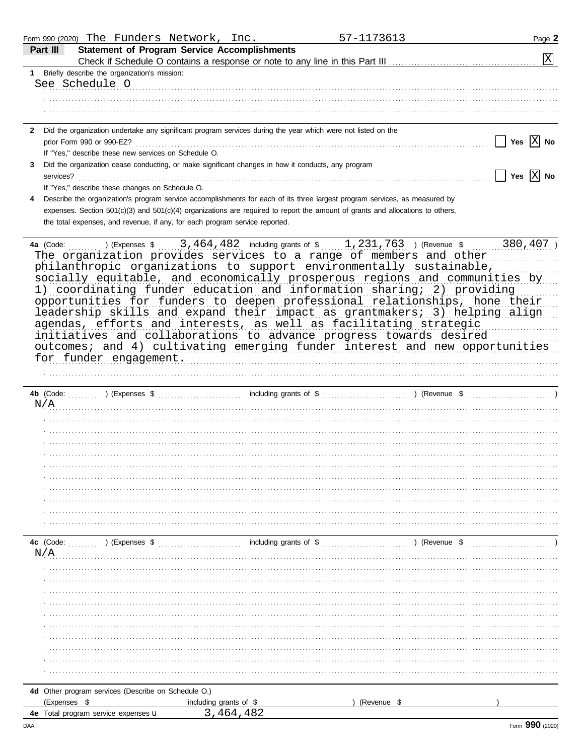| Form 990 (2020) The Funders Network, Inc.                                                                                                                |                                                                              | 57-1173613                                                                                                                     | Page 2       |
|----------------------------------------------------------------------------------------------------------------------------------------------------------|------------------------------------------------------------------------------|--------------------------------------------------------------------------------------------------------------------------------|--------------|
| <b>Statement of Program Service Accomplishments</b><br>Part III                                                                                          | Check if Schedule O contains a response or note to any line in this Part III |                                                                                                                                | 区            |
| 1 Briefly describe the organization's mission:                                                                                                           |                                                                              |                                                                                                                                |              |
| See Schedule O                                                                                                                                           |                                                                              |                                                                                                                                |              |
|                                                                                                                                                          |                                                                              |                                                                                                                                |              |
|                                                                                                                                                          |                                                                              |                                                                                                                                |              |
|                                                                                                                                                          |                                                                              |                                                                                                                                |              |
| Did the organization undertake any significant program services during the year which were not listed on the<br>$\mathbf{2}$                             |                                                                              |                                                                                                                                |              |
| prior Form 990 or 990-EZ?                                                                                                                                |                                                                              |                                                                                                                                | Yes $ X $ No |
| If "Yes," describe these new services on Schedule O.                                                                                                     |                                                                              |                                                                                                                                |              |
| Did the organization cease conducting, or make significant changes in how it conducts, any program                                                       |                                                                              |                                                                                                                                | Yes $ X $ No |
| services?<br>If "Yes," describe these changes on Schedule O.                                                                                             |                                                                              |                                                                                                                                |              |
| Describe the organization's program service accomplishments for each of its three largest program services, as measured by                               |                                                                              |                                                                                                                                |              |
| expenses. Section 501(c)(3) and 501(c)(4) organizations are required to report the amount of grants and allocations to others,                           |                                                                              |                                                                                                                                |              |
| the total expenses, and revenue, if any, for each program service reported.                                                                              |                                                                              |                                                                                                                                |              |
|                                                                                                                                                          |                                                                              |                                                                                                                                |              |
| 4a (Code:                                                                                                                                                |                                                                              | ) (Expenses $\frac{3}{464}$ , 482 including grants of $\frac{1}{231}$ , 763 ) (Revenue $\frac{1}{2}$                           | 380,407)     |
| The organization provides services to a range of members and other                                                                                       |                                                                              |                                                                                                                                |              |
| philanthropic organizations to support environmentally sustainable                                                                                       |                                                                              |                                                                                                                                |              |
| socially equitable, and economically prosperous regions and communities by                                                                               |                                                                              |                                                                                                                                |              |
| 1) coordinating funder education and information sharing; 2) providing                                                                                   |                                                                              |                                                                                                                                |              |
| opportunities for funders to deepen professional relationships, hone their<br>leadership skills and expand their impact as grantmakers; 3) helping align |                                                                              |                                                                                                                                |              |
| agendas, efforts and interests, as well as facilitating strategic                                                                                        |                                                                              |                                                                                                                                |              |
| initiatives and collaborations to advance progress towards desired                                                                                       |                                                                              |                                                                                                                                |              |
| outcomes; and 4) cultivating emerging funder interest and new opportunities                                                                              |                                                                              |                                                                                                                                |              |
| for funder engagement.                                                                                                                                   |                                                                              |                                                                                                                                |              |
|                                                                                                                                                          |                                                                              |                                                                                                                                |              |
|                                                                                                                                                          |                                                                              |                                                                                                                                |              |
| ) (Expenses \$<br>4b (Code:                                                                                                                              |                                                                              | (Revenue \$ \$ \bdots, ncluding grants of \$ \bdots, nclub (Revenue \$ \bdots, ncluding grants of \$ \bdots, nclub (Revenue \$ |              |
| N/A                                                                                                                                                      |                                                                              |                                                                                                                                |              |
|                                                                                                                                                          |                                                                              |                                                                                                                                |              |
|                                                                                                                                                          |                                                                              |                                                                                                                                |              |
|                                                                                                                                                          |                                                                              |                                                                                                                                |              |
|                                                                                                                                                          |                                                                              |                                                                                                                                |              |
|                                                                                                                                                          |                                                                              |                                                                                                                                |              |
|                                                                                                                                                          |                                                                              |                                                                                                                                |              |
|                                                                                                                                                          |                                                                              |                                                                                                                                |              |
|                                                                                                                                                          |                                                                              |                                                                                                                                |              |
|                                                                                                                                                          |                                                                              |                                                                                                                                |              |
|                                                                                                                                                          |                                                                              |                                                                                                                                |              |
| 4c (Code:<br>(Expenses \$                                                                                                                                | including grants of \$                                                       | ) (Revenue \$                                                                                                                  |              |
| N/A                                                                                                                                                      |                                                                              |                                                                                                                                |              |
|                                                                                                                                                          |                                                                              |                                                                                                                                |              |
|                                                                                                                                                          |                                                                              |                                                                                                                                |              |
|                                                                                                                                                          |                                                                              |                                                                                                                                |              |
|                                                                                                                                                          |                                                                              |                                                                                                                                |              |
|                                                                                                                                                          |                                                                              |                                                                                                                                |              |
|                                                                                                                                                          |                                                                              |                                                                                                                                |              |
|                                                                                                                                                          |                                                                              |                                                                                                                                |              |
|                                                                                                                                                          |                                                                              |                                                                                                                                |              |
|                                                                                                                                                          |                                                                              |                                                                                                                                |              |
|                                                                                                                                                          |                                                                              |                                                                                                                                |              |
| 4d Other program services (Describe on Schedule O.)                                                                                                      |                                                                              |                                                                                                                                |              |
| (Expenses \$                                                                                                                                             | including grants of \$<br>3,464,482                                          | (Revenue \$                                                                                                                    |              |
| 4e Total program service expenses u                                                                                                                      |                                                                              |                                                                                                                                |              |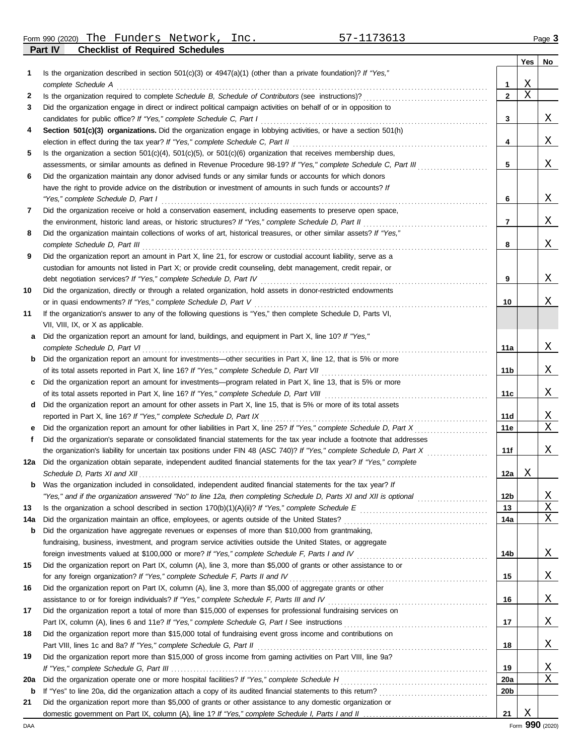Form 990 (2020) Page **3** The Funders Network, Inc. 57-1173613

**Part IV Checklist of Required Schedules**

|          |                                                                                                                                                                                                                                 |              | Yes | No     |
|----------|---------------------------------------------------------------------------------------------------------------------------------------------------------------------------------------------------------------------------------|--------------|-----|--------|
| 1.       | Is the organization described in section $501(c)(3)$ or $4947(a)(1)$ (other than a private foundation)? If "Yes,"                                                                                                               |              |     |        |
|          | complete Schedule A                                                                                                                                                                                                             | 1            | Χ   |        |
| 2        |                                                                                                                                                                                                                                 | $\mathbf{2}$ | X   |        |
| 3        | Did the organization engage in direct or indirect political campaign activities on behalf of or in opposition to                                                                                                                |              |     |        |
|          |                                                                                                                                                                                                                                 | 3            |     | X      |
| 4        | Section 501(c)(3) organizations. Did the organization engage in lobbying activities, or have a section 501(h)                                                                                                                   |              |     |        |
|          |                                                                                                                                                                                                                                 | 4            |     | Χ      |
| 5        | Is the organization a section $501(c)(4)$ , $501(c)(5)$ , or $501(c)(6)$ organization that receives membership dues,                                                                                                            |              |     |        |
|          | assessments, or similar amounts as defined in Revenue Procedure 98-19? If "Yes," complete Schedule C, Part III                                                                                                                  | 5            |     | Χ      |
| 6        | Did the organization maintain any donor advised funds or any similar funds or accounts for which donors                                                                                                                         |              |     |        |
|          | have the right to provide advice on the distribution or investment of amounts in such funds or accounts? If                                                                                                                     |              |     |        |
|          | "Yes," complete Schedule D, Part I encourance contract the set of the Schedule D and The Schedule D, Part I and The Schedule D, Part I and The Schedule D, Part I and The Schedule D and The Schedule D and The Schedule D and  | 6            |     | X      |
| 7        | Did the organization receive or hold a conservation easement, including easements to preserve open space,                                                                                                                       |              |     |        |
|          |                                                                                                                                                                                                                                 | 7            |     | Χ      |
| 8        | Did the organization maintain collections of works of art, historical treasures, or other similar assets? If "Yes,"                                                                                                             |              |     |        |
|          |                                                                                                                                                                                                                                 | 8            |     | Χ      |
| 9        | Did the organization report an amount in Part X, line 21, for escrow or custodial account liability, serve as a<br>custodian for amounts not listed in Part X; or provide credit counseling, debt management, credit repair, or |              |     |        |
|          |                                                                                                                                                                                                                                 | 9            |     | X      |
| 10       | Did the organization, directly or through a related organization, hold assets in donor-restricted endowments                                                                                                                    |              |     |        |
|          |                                                                                                                                                                                                                                 | 10           |     | Χ      |
| 11       | If the organization's answer to any of the following questions is "Yes," then complete Schedule D, Parts VI,                                                                                                                    |              |     |        |
|          | VII, VIII, IX, or X as applicable.                                                                                                                                                                                              |              |     |        |
| a        | Did the organization report an amount for land, buildings, and equipment in Part X, line 10? If "Yes,"                                                                                                                          |              |     |        |
|          | complete Schedule D, Part VI                                                                                                                                                                                                    | 11a          |     | X      |
| b        | Did the organization report an amount for investments—other securities in Part X, line 12, that is 5% or more                                                                                                                   |              |     |        |
|          |                                                                                                                                                                                                                                 | 11b          |     | Χ      |
| c        | Did the organization report an amount for investments—program related in Part X, line 13, that is 5% or more                                                                                                                    |              |     |        |
|          |                                                                                                                                                                                                                                 | 11c          |     | Χ      |
| d        | Did the organization report an amount for other assets in Part X, line 15, that is 5% or more of its total assets                                                                                                               |              |     |        |
|          | reported in Part X, line 16? If "Yes," complete Schedule D, Part IX                                                                                                                                                             | 11d          |     | Χ      |
|          | Did the organization report an amount for other liabilities in Part X, line 25? If "Yes," complete Schedule D, Part X                                                                                                           | 11e          |     | Χ      |
| f        | Did the organization's separate or consolidated financial statements for the tax year include a footnote that addresses                                                                                                         |              |     |        |
|          | the organization's liability for uncertain tax positions under FIN 48 (ASC 740)? If "Yes," complete Schedule D, Part X                                                                                                          | 11f          |     | Χ      |
| 12a      | Did the organization obtain separate, independent audited financial statements for the tax year? If "Yes," complete                                                                                                             |              |     |        |
|          | Schedule D, Parts XI and XII electron contract the contract of the contract of the contract of the contract of                                                                                                                  | 12a          | Χ   |        |
| b        | Was the organization included in consolidated, independent audited financial statements for the tax year? If                                                                                                                    |              |     |        |
|          |                                                                                                                                                                                                                                 | 12b          |     | Χ<br>Χ |
| 13       |                                                                                                                                                                                                                                 | 13<br>14a    |     | Χ      |
| 14a<br>b | Did the organization have aggregate revenues or expenses of more than \$10,000 from grantmaking,                                                                                                                                |              |     |        |
|          | fundraising, business, investment, and program service activities outside the United States, or aggregate                                                                                                                       |              |     |        |
|          |                                                                                                                                                                                                                                 | 14b          |     | X      |
| 15       | Did the organization report on Part IX, column (A), line 3, more than \$5,000 of grants or other assistance to or                                                                                                               |              |     |        |
|          | for any foreign organization? If "Yes," complete Schedule F, Parts II and IV                                                                                                                                                    | 15           |     | Χ      |
| 16       | Did the organization report on Part IX, column (A), line 3, more than \$5,000 of aggregate grants or other                                                                                                                      |              |     |        |
|          |                                                                                                                                                                                                                                 | 16           |     | X      |
| 17       | Did the organization report a total of more than \$15,000 of expenses for professional fundraising services on                                                                                                                  |              |     |        |
|          |                                                                                                                                                                                                                                 | 17           |     | X      |
| 18       | Did the organization report more than \$15,000 total of fundraising event gross income and contributions on                                                                                                                     |              |     |        |
|          |                                                                                                                                                                                                                                 | 18           |     | X      |
| 19       | Did the organization report more than \$15,000 of gross income from gaming activities on Part VIII, line 9a?                                                                                                                    |              |     |        |
|          |                                                                                                                                                                                                                                 | 19           |     | Χ      |
| 20a      |                                                                                                                                                                                                                                 | 20a          |     | Χ      |
| b        |                                                                                                                                                                                                                                 | 20b          |     |        |
| 21       | Did the organization report more than \$5,000 of grants or other assistance to any domestic organization or                                                                                                                     |              |     |        |
|          |                                                                                                                                                                                                                                 | 21           | Χ   |        |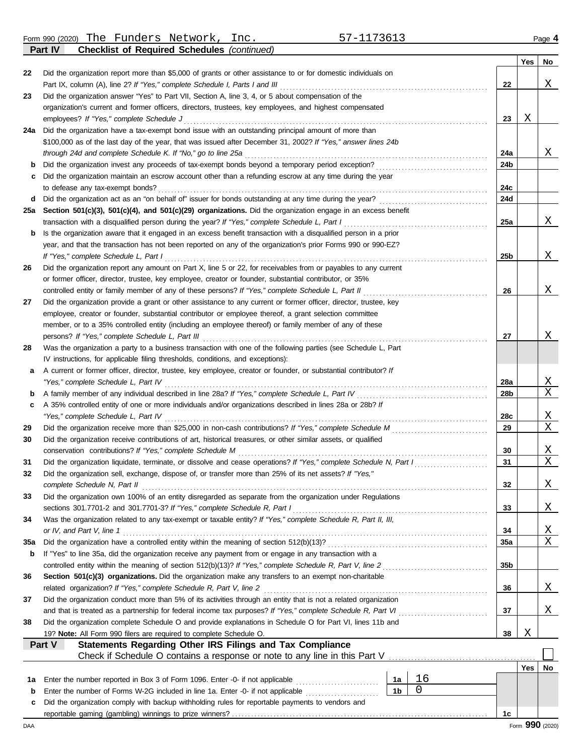Form 990 (2020) The Funders Network,Inc. 57-1173613 <sub>Page</sub> 4 The Funders Network, Inc. 57-1173613

**Part IV Checklist of Required Schedules** *(continued)*

|          |                                                                                                                                                                                                                      |           | Yes | No.             |
|----------|----------------------------------------------------------------------------------------------------------------------------------------------------------------------------------------------------------------------|-----------|-----|-----------------|
| 22       | Did the organization report more than \$5,000 of grants or other assistance to or for domestic individuals on                                                                                                        |           |     |                 |
|          | Part IX, column (A), line 2? If "Yes," complete Schedule I, Parts I and III                                                                                                                                          | 22        |     | Χ               |
| 23       | Did the organization answer "Yes" to Part VII, Section A, line 3, 4, or 5 about compensation of the                                                                                                                  |           |     |                 |
|          | organization's current and former officers, directors, trustees, key employees, and highest compensated                                                                                                              |           |     |                 |
|          | employees? If "Yes," complete Schedule J                                                                                                                                                                             | 23        | Χ   |                 |
| 24a      | Did the organization have a tax-exempt bond issue with an outstanding principal amount of more than<br>\$100,000 as of the last day of the year, that was issued after December 31, 2002? If "Yes," answer lines 24b |           |     |                 |
|          | through 24d and complete Schedule K. If "No," go to line 25a                                                                                                                                                         | 24a       |     | X               |
| b        | Did the organization invest any proceeds of tax-exempt bonds beyond a temporary period exception?                                                                                                                    | 24b       |     |                 |
| с        | Did the organization maintain an escrow account other than a refunding escrow at any time during the year                                                                                                            |           |     |                 |
|          | to defease any tax-exempt bonds?                                                                                                                                                                                     | 24c       |     |                 |
| d        |                                                                                                                                                                                                                      | 24d       |     |                 |
| 25a      | Section 501(c)(3), 501(c)(4), and 501(c)(29) organizations. Did the organization engage in an excess benefit                                                                                                         |           |     |                 |
|          | transaction with a disqualified person during the year? If "Yes," complete Schedule L, Part I                                                                                                                        | 25a       |     | Χ               |
| b        | Is the organization aware that it engaged in an excess benefit transaction with a disqualified person in a prior                                                                                                     |           |     |                 |
|          | year, and that the transaction has not been reported on any of the organization's prior Forms 990 or 990-EZ?                                                                                                         |           |     |                 |
|          | If "Yes," complete Schedule L, Part I                                                                                                                                                                                | 25b       |     | Χ               |
| 26       | Did the organization report any amount on Part X, line 5 or 22, for receivables from or payables to any current                                                                                                      |           |     |                 |
|          | or former officer, director, trustee, key employee, creator or founder, substantial contributor, or 35%                                                                                                              |           |     |                 |
|          | controlled entity or family member of any of these persons? If "Yes," complete Schedule L, Part II                                                                                                                   | 26        |     | Χ               |
| 27       | Did the organization provide a grant or other assistance to any current or former officer, director, trustee, key                                                                                                    |           |     |                 |
|          | employee, creator or founder, substantial contributor or employee thereof, a grant selection committee                                                                                                               |           |     |                 |
|          | member, or to a 35% controlled entity (including an employee thereof) or family member of any of these                                                                                                               |           |     |                 |
|          | persons? If "Yes," complete Schedule L, Part III                                                                                                                                                                     | 27        |     | Χ               |
| 28       | Was the organization a party to a business transaction with one of the following parties (see Schedule L, Part                                                                                                       |           |     |                 |
|          | IV instructions, for applicable filing thresholds, conditions, and exceptions):                                                                                                                                      |           |     |                 |
| а        | A current or former officer, director, trustee, key employee, creator or founder, or substantial contributor? If                                                                                                     |           |     |                 |
|          | "Yes," complete Schedule L, Part IV                                                                                                                                                                                  | 28a       |     | Χ               |
| b        | A family member of any individual described in line 28a? If "Yes," complete Schedule L, Part IV                                                                                                                      | 28b       |     | Χ               |
| c        | A 35% controlled entity of one or more individuals and/or organizations described in lines 28a or 28b? If                                                                                                            |           |     |                 |
|          | "Yes," complete Schedule L, Part IV                                                                                                                                                                                  | 28c<br>29 |     | Χ<br>Χ          |
| 29<br>30 | Did the organization receive contributions of art, historical treasures, or other similar assets, or qualified                                                                                                       |           |     |                 |
|          | conservation contributions? If "Yes," complete Schedule M                                                                                                                                                            | 30        |     | Χ               |
| 31       | Did the organization liquidate, terminate, or dissolve and cease operations? If "Yes," complete Schedule N, Part I                                                                                                   | 31        |     | X               |
| 32       | Did the organization sell, exchange, dispose of, or transfer more than 25% of its net assets? If "Yes,"                                                                                                              |           |     |                 |
|          | complete Schedule N, Part II                                                                                                                                                                                         | 32        |     | Χ               |
| 33       | Did the organization own 100% of an entity disregarded as separate from the organization under Regulations                                                                                                           |           |     |                 |
|          | sections 301.7701-2 and 301.7701-3? If "Yes," complete Schedule R, Part I                                                                                                                                            | 33        |     | X               |
| 34       | Was the organization related to any tax-exempt or taxable entity? If "Yes," complete Schedule R, Part II, III,                                                                                                       |           |     |                 |
|          | or IV, and Part V, line 1                                                                                                                                                                                            | 34        |     | <u>X</u>        |
| 35a      |                                                                                                                                                                                                                      | 35a       |     | Χ               |
| b        | If "Yes" to line 35a, did the organization receive any payment from or engage in any transaction with a                                                                                                              |           |     |                 |
|          | controlled entity within the meaning of section 512(b)(13)? If "Yes," complete Schedule R, Part V, line 2                                                                                                            | 35b       |     |                 |
| 36       | Section 501(c)(3) organizations. Did the organization make any transfers to an exempt non-charitable                                                                                                                 |           |     |                 |
|          | related organization? If "Yes," complete Schedule R, Part V, line 2                                                                                                                                                  | 36        |     | X               |
| 37       | Did the organization conduct more than 5% of its activities through an entity that is not a related organization                                                                                                     |           |     |                 |
|          | and that is treated as a partnership for federal income tax purposes? If "Yes," complete Schedule R, Part VI                                                                                                         | 37        |     | X               |
| 38       | Did the organization complete Schedule O and provide explanations in Schedule O for Part VI, lines 11b and                                                                                                           |           |     |                 |
|          | 19? Note: All Form 990 filers are required to complete Schedule O.                                                                                                                                                   | 38        | Χ   |                 |
|          | Part V<br><b>Statements Regarding Other IRS Filings and Tax Compliance</b>                                                                                                                                           |           |     |                 |
|          |                                                                                                                                                                                                                      |           |     |                 |
|          |                                                                                                                                                                                                                      |           | Yes | No              |
| 1a       | 16<br>Enter the number reported in Box 3 of Form 1096. Enter -0- if not applicable<br>1a                                                                                                                             |           |     |                 |
| b        | 0<br>1 <sub>b</sub><br>Enter the number of Forms W-2G included in line 1a. Enter -0- if not applicable                                                                                                               |           |     |                 |
| c        | Did the organization comply with backup withholding rules for reportable payments to vendors and                                                                                                                     |           |     |                 |
|          |                                                                                                                                                                                                                      | 1c        |     | Form 990 (2020) |
| DAA      |                                                                                                                                                                                                                      |           |     |                 |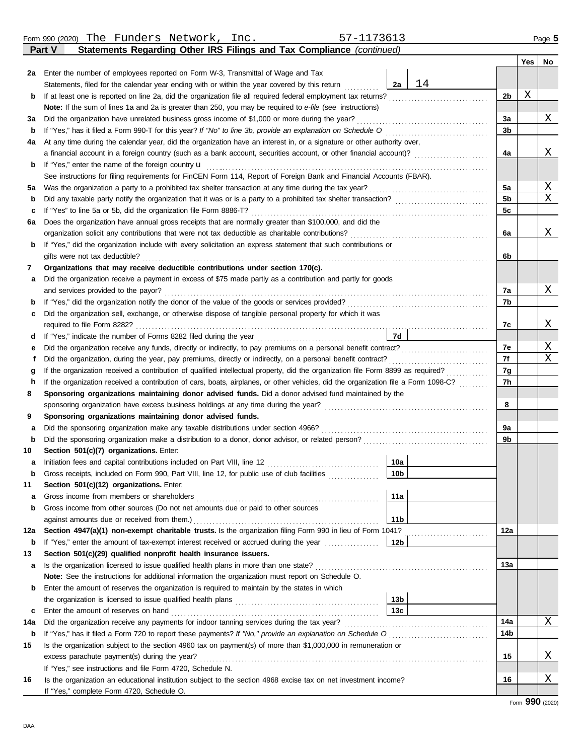Form 990 (2020) Page **5** The Funders Network, Inc. 57-1173613

**Part V Statements Regarding Other IRS Filings and Tax Compliance** *(continued)*

| 57-1173613 |  |  |  |
|------------|--|--|--|
|            |  |  |  |

|              |                                                                                                                                    |                 |    |                | Yes | No |  |  |
|--------------|------------------------------------------------------------------------------------------------------------------------------------|-----------------|----|----------------|-----|----|--|--|
| 2a l         | Enter the number of employees reported on Form W-3, Transmittal of Wage and Tax                                                    |                 |    |                |     |    |  |  |
|              | Statements, filed for the calendar year ending with or within the year covered by this return                                      | 2a              | 14 |                |     |    |  |  |
| b            | If at least one is reported on line 2a, did the organization file all required federal employment tax returns?                     |                 |    | 2 <sub>b</sub> | Χ   |    |  |  |
|              | Note: If the sum of lines 1a and 2a is greater than 250, you may be required to e-file (see instructions)                          |                 |    |                |     |    |  |  |
| За           | Did the organization have unrelated business gross income of \$1,000 or more during the year?                                      |                 |    |                |     |    |  |  |
| b            | If "Yes," has it filed a Form 990-T for this year? If "No" to line 3b, provide an explanation on Schedule O                        |                 |    |                |     |    |  |  |
| 4a           | At any time during the calendar year, did the organization have an interest in, or a signature or other authority over,            |                 |    |                |     |    |  |  |
|              | a financial account in a foreign country (such as a bank account, securities account, or other financial account)?                 |                 |    |                |     |    |  |  |
| b            | If "Yes," enter the name of the foreign country u                                                                                  |                 |    |                |     |    |  |  |
|              | See instructions for filing requirements for FinCEN Form 114, Report of Foreign Bank and Financial Accounts (FBAR).                |                 |    |                |     |    |  |  |
| 5а           | Was the organization a party to a prohibited tax shelter transaction at any time during the tax year?                              |                 |    | 5a             |     | Χ  |  |  |
| b            |                                                                                                                                    |                 |    | 5 <sub>b</sub> |     | X  |  |  |
| c            | If "Yes" to line 5a or 5b, did the organization file Form 8886-T?                                                                  |                 |    | 5 <sub>c</sub> |     |    |  |  |
| 6а           | Does the organization have annual gross receipts that are normally greater than \$100,000, and did the                             |                 |    |                |     |    |  |  |
|              | organization solicit any contributions that were not tax deductible as charitable contributions?                                   |                 |    | 6a             |     | Χ  |  |  |
| b            | If "Yes," did the organization include with every solicitation an express statement that such contributions or                     |                 |    |                |     |    |  |  |
|              | gifts were not tax deductible?                                                                                                     |                 |    | 6b             |     |    |  |  |
| 7            | Organizations that may receive deductible contributions under section 170(c).                                                      |                 |    |                |     |    |  |  |
| а            | Did the organization receive a payment in excess of \$75 made partly as a contribution and partly for goods                        |                 |    |                |     |    |  |  |
|              | and services provided to the payor?                                                                                                |                 |    | 7a             |     | Χ  |  |  |
| b            |                                                                                                                                    |                 |    | 7b             |     |    |  |  |
| c            | Did the organization sell, exchange, or otherwise dispose of tangible personal property for which it was                           |                 |    |                |     |    |  |  |
|              | required to file Form 8282?                                                                                                        |                 |    | 7c             |     | Χ  |  |  |
| d            |                                                                                                                                    | 7d              |    |                |     |    |  |  |
| е            |                                                                                                                                    |                 |    | 7e             |     | Χ  |  |  |
| f            | Did the organization, during the year, pay premiums, directly or indirectly, on a personal benefit contract?                       |                 |    | 7f             |     | X  |  |  |
| g            | If the organization received a contribution of qualified intellectual property, did the organization file Form 8899 as required?   |                 |    | 7g             |     |    |  |  |
| h            | If the organization received a contribution of cars, boats, airplanes, or other vehicles, did the organization file a Form 1098-C? |                 |    | 7h             |     |    |  |  |
| 8            | Sponsoring organizations maintaining donor advised funds. Did a donor advised fund maintained by the                               |                 |    |                |     |    |  |  |
|              | sponsoring organization have excess business holdings at any time during the year?                                                 |                 |    | 8              |     |    |  |  |
| 9            | Sponsoring organizations maintaining donor advised funds.                                                                          |                 |    |                |     |    |  |  |
| а            | Did the sponsoring organization make any taxable distributions under section 4966?                                                 |                 |    | 9a             |     |    |  |  |
| b            | Did the sponsoring organization make a distribution to a donor, donor advisor, or related person?                                  |                 |    | 9b             |     |    |  |  |
| 10           | Section 501(c)(7) organizations. Enter:                                                                                            |                 |    |                |     |    |  |  |
| а            | Initiation fees and capital contributions included on Part VIII, line 12                                                           | 10a             |    |                |     |    |  |  |
| b            | Gross receipts, included on Form 990, Part VIII, line 12, for public use of club facilities                                        | 10 <sub>b</sub> |    |                |     |    |  |  |
| 11           | Section 501(c)(12) organizations. Enter:                                                                                           |                 |    |                |     |    |  |  |
| а            | Gross income from members or shareholders                                                                                          | 11a             |    |                |     |    |  |  |
| b            | Gross income from other sources (Do not net amounts due or paid to other sources<br>against amounts due or received from them.)    | 11 <sub>b</sub> |    |                |     |    |  |  |
| 12a          | Section 4947(a)(1) non-exempt charitable trusts. Is the organization filing Form 990 in lieu of Form 1041?                         |                 |    | 12a            |     |    |  |  |
|              | <b>b</b> If "Yes," enter the amount of tax-exempt interest received or accrued during the year                                     | 12 <sub>b</sub> |    |                |     |    |  |  |
| 13           | Section 501(c)(29) qualified nonprofit health insurance issuers.                                                                   |                 |    |                |     |    |  |  |
| a            | Is the organization licensed to issue qualified health plans in more than one state?                                               |                 |    | 13а            |     |    |  |  |
|              | Note: See the instructions for additional information the organization must report on Schedule O.                                  |                 |    |                |     |    |  |  |
| b            | Enter the amount of reserves the organization is required to maintain by the states in which                                       |                 |    |                |     |    |  |  |
|              |                                                                                                                                    | 13 <sub>b</sub> |    |                |     |    |  |  |
| C            | Enter the amount of reserves on hand                                                                                               | 13 <sub>c</sub> |    |                |     |    |  |  |
| 14a          | Did the organization receive any payments for indoor tanning services during the tax year?                                         |                 |    | 14a            |     | Χ  |  |  |
| $\mathbf{b}$ |                                                                                                                                    |                 |    | 14b            |     |    |  |  |
| 15           | Is the organization subject to the section 4960 tax on payment(s) of more than \$1,000,000 in remuneration or                      |                 |    |                |     |    |  |  |
|              | excess parachute payment(s) during the year?                                                                                       |                 |    | 15             |     | Χ  |  |  |
|              | If "Yes," see instructions and file Form 4720, Schedule N.                                                                         |                 |    |                |     |    |  |  |
| 16           | Is the organization an educational institution subject to the section 4968 excise tax on net investment income?                    |                 |    | 16             |     | Χ  |  |  |
|              | If "Yes," complete Form 4720, Schedule O.                                                                                          |                 |    |                |     |    |  |  |
|              |                                                                                                                                    |                 |    |                |     |    |  |  |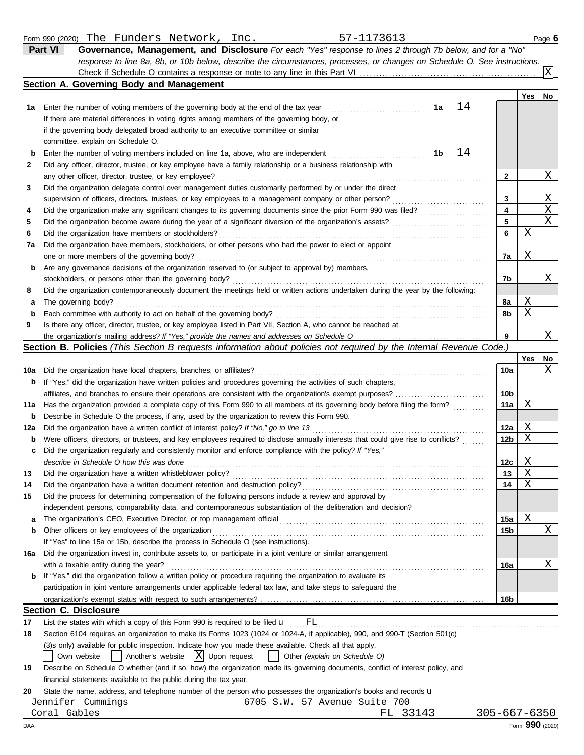|  |  |  | Form 990 (2020) The Funders Network, | Inc |
|--|--|--|--------------------------------------|-----|
|--|--|--|--------------------------------------|-----|

|              | Form 990 (2020) The Funders Network, Inc.                                                                        | 57-1173613                                                                                                                |    |    |   |     | Page 6 |
|--------------|------------------------------------------------------------------------------------------------------------------|---------------------------------------------------------------------------------------------------------------------------|----|----|---|-----|--------|
|              | Part VI                                                                                                          | Governance, Management, and Disclosure For each "Yes" response to lines 2 through 7b below, and for a "No"                |    |    |   |     |        |
|              |                                                                                                                  | response to line 8a, 8b, or 10b below, describe the circumstances, processes, or changes on Schedule O. See instructions. |    |    |   |     |        |
|              |                                                                                                                  |                                                                                                                           |    |    |   |     |        |
|              | Section A. Governing Body and Management                                                                         |                                                                                                                           |    |    |   |     |        |
|              |                                                                                                                  |                                                                                                                           |    |    |   | Yes | No     |
| 1a           | Enter the number of voting members of the governing body at the end of the tax year                              |                                                                                                                           | 1a | 14 |   |     |        |
|              | If there are material differences in voting rights among members of the governing body, or                       |                                                                                                                           |    |    |   |     |        |
|              | if the governing body delegated broad authority to an executive committee or similar                             |                                                                                                                           |    |    |   |     |        |
|              | committee, explain on Schedule O.                                                                                |                                                                                                                           |    |    |   |     |        |
| b            | Enter the number of voting members included on line 1a, above, who are independent                               |                                                                                                                           | 1b | 14 |   |     |        |
| $\mathbf{2}$ | Did any officer, director, trustee, or key employee have a family relationship or a business relationship with   |                                                                                                                           |    |    |   |     |        |
|              | any other officer, director, trustee, or key employee?                                                           |                                                                                                                           |    |    | 2 |     | X      |
| 3            | Did the organization delegate control over management duties customarily performed by or under the direct        |                                                                                                                           |    |    |   |     |        |
|              | supervision of officers, directors, trustees, or key employees to a management company or other person?          |                                                                                                                           |    |    | 3 |     | Χ      |
| 4            | Did the organization make any significant changes to its governing documents since the prior Form 990 was filed? |                                                                                                                           |    |    | 4 |     | X      |
| 5            | Did the organization become aware during the year of a significant diversion of the organization's assets?       |                                                                                                                           |    |    | 5 |     | Χ      |
|              | Did the ergenization hous members or stookholders?                                                               |                                                                                                                           |    |    | c | Y   |        |

| 6  | Did the organization have members or stockholders?                                                                                |    |  |
|----|-----------------------------------------------------------------------------------------------------------------------------------|----|--|
| 7a | Did the organization have members, stockholders, or other persons who had the power to elect or appoint                           |    |  |
|    | one or more members of the governing body?                                                                                        |    |  |
| b  | Are any governance decisions of the organization reserved to (or subject to approval by) members,                                 |    |  |
|    | stockholders, or persons other than the governing body?                                                                           | 7b |  |
| 8  | Did the organization contemporaneously document the meetings held or written actions undertaken during the year by the following: |    |  |
|    | <b>a</b> The governing body?                                                                                                      | 8а |  |
|    | <b>b</b> Each committee with authority to act on behalf of the governing body?                                                    | 8b |  |
|    | Is there any officer, director, trustee, or key employee listed in Part VII, Section A, who cannot be reached at                  |    |  |

the organization's mailing address? If "Yes," provide the names and addresses on Schedule O ..

**Section B. Policies** *(This Section B requests information about policies not required by the Internal Revenue Code.)*

|     |                                                                                                                                     |                 | Yes | No |
|-----|-------------------------------------------------------------------------------------------------------------------------------------|-----------------|-----|----|
| 10a | Did the organization have local chapters, branches, or affiliates?                                                                  | 10a             |     | X  |
| b   | If "Yes," did the organization have written policies and procedures governing the activities of such chapters,                      |                 |     |    |
|     | affiliates, and branches to ensure their operations are consistent with the organization's exempt purposes?                         | 10 <sub>b</sub> |     |    |
| 11a | Has the organization provided a complete copy of this Form 990 to all members of its governing body before filing the form?         | 11a             | X   |    |
| b   | Describe in Schedule O the process, if any, used by the organization to review this Form 990.                                       |                 |     |    |
| 12a | Did the organization have a written conflict of interest policy? If "No," go to line 13                                             | 12a             | Χ   |    |
| b   | Were officers, directors, or trustees, and key employees required to disclose annually interests that could give rise to conflicts? | 12 <sub>b</sub> | Χ   |    |
| C   | Did the organization regularly and consistently monitor and enforce compliance with the policy? If "Yes,"                           |                 |     |    |
|     | describe in Schedule O how this was done                                                                                            | 12 <sub>c</sub> | Χ   |    |
| 13  | Did the organization have a written whistleblower policy?                                                                           | 13              | X   |    |
| 14  |                                                                                                                                     | 14              | Χ   |    |
| 15  | Did the process for determining compensation of the following persons include a review and approval by                              |                 |     |    |
|     | independent persons, comparability data, and contemporaneous substantiation of the deliberation and decision?                       |                 |     |    |
| а   |                                                                                                                                     | 15a             | Χ   |    |
| b   | Other officers or key employees of the organization                                                                                 | 15 <sub>b</sub> |     | Χ  |
|     | If "Yes" to line 15a or 15b, describe the process in Schedule O (see instructions).                                                 |                 |     |    |
| 16a | Did the organization invest in, contribute assets to, or participate in a joint venture or similar arrangement                      |                 |     |    |
|     | with a taxable entity during the year?                                                                                              | 16a             |     | Χ  |
| b   | If "Yes," did the organization follow a written policy or procedure requiring the organization to evaluate its                      |                 |     |    |
|     | participation in joint venture arrangements under applicable federal tax law, and take steps to safeguard the                       |                 |     |    |
|     |                                                                                                                                     | 16b             |     |    |
|     | <b>Section C. Disclosure</b>                                                                                                        |                 |     |    |
| 17  | List the states with which a copy of this Form 990 is required to be filed $\mathbf u$<br>FL                                        |                 |     |    |

| 18 | Section 6104 requires an organization to make its Forms 1023 (1024 or 1024-A, if applicable), 990, and 990-T (Section 501(c)    |
|----|---------------------------------------------------------------------------------------------------------------------------------|
|    | (3) sonly) available for public inspection. Indicate how you made these available. Check all that apply.                        |
|    | Own website $\Box$ Another's website $\Box$ Upon request $\Box$ Other (explain on Schedule O)                                   |
| 19 | Describe on Schedule O whether (and if so, how) the organization made its governing documents, conflict of interest policy, and |
|    | financial statements available to the public during the tax year.                                                               |

20 State the name, address, and telephone number of the person who possesses the organization's books and records u

Jennifer Cummings 6705 S.W. 57 Avenue Suite 700<br>Coral Gables FL 33143

**9**

X

X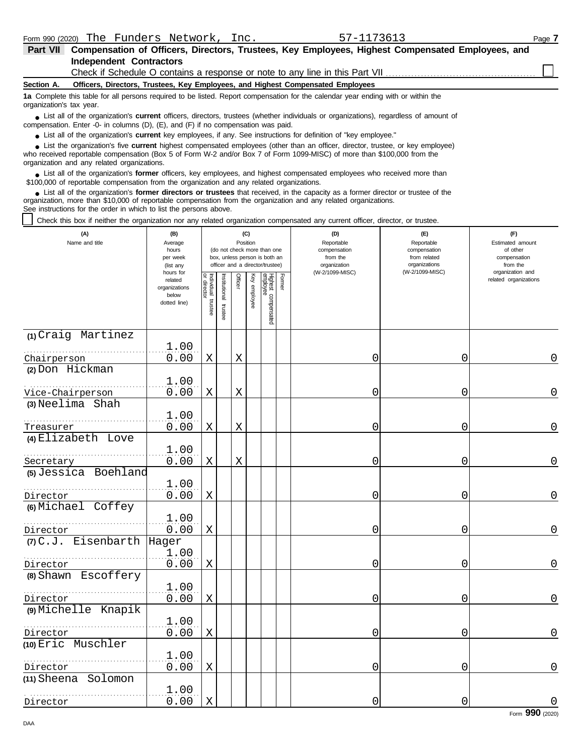| <b>Part VII</b>          | Compensation of Officers, Directors, Trustees, Key Employees, Highest Compensated Employees, and                                                                                                                                                                                                           |
|--------------------------|------------------------------------------------------------------------------------------------------------------------------------------------------------------------------------------------------------------------------------------------------------------------------------------------------------|
|                          | Independent Contractors                                                                                                                                                                                                                                                                                    |
|                          | Check if Schedule O contains a response or note to any line in this Part VII                                                                                                                                                                                                                               |
| Section A.               | Officers, Directors, Trustees, Key Employees, and Highest Compensated Employees                                                                                                                                                                                                                            |
| organization's tax year. | 1a Complete this table for all persons required to be listed. Report compensation for the calendar year ending with or within the                                                                                                                                                                          |
|                          | • List all of the organization's <b>current</b> officers, directors, trustees (whether individuals or organizations), regardless of amount of<br>compensation. Enter -0- in columns $(D)$ , $(E)$ , and $(F)$ if no compensation was paid.                                                                 |
|                          | • List all of the organization's <b>current</b> key employees, if any. See instructions for definition of "key employee."                                                                                                                                                                                  |
|                          | • List the organization's five current highest compensated employees (other than an officer, director, trustee, or key employee)<br>who received reportable compensation (Box 5 of Form W-2 and/or Box 7 of Form 1099-MISC) of more than \$100,000 from the<br>organization and any related organizations. |
|                          | <b>I</b> ist all of the organization's <b>former</b> officers, key employees, and highest compensated employees who received more than                                                                                                                                                                     |

List all of the organization's **former** officers, key employees, and highest compensated employees who received more than • List all of the organization's **former** officers, key employees, and highest compensate \$100,000 of reportable compensation from the organization and any related organizations.

List all of the organization's **former directors or trustees** that received, in the capacity as a former director or trustee of the organization, more than \$10,000 of reportable compensation from the organization and any related organizations. See instructions for the order in which to list the persons above. **•**

Check this box if neither the organization nor any related organization compensated any current officer, director, or trustee.

| (A)<br>Name and title                | (B)<br>Average<br>hours<br>per week<br>(list any               |                                   |                       | Position    | (C)          | (do not check more than one<br>box, unless person is both an<br>officer and a director/trustee) |               | (D)<br>Reportable<br>compensation<br>from the<br>organization | (E)<br>Reportable<br>compensation<br>from related<br>organizations | (F)<br>Estimated amount<br>of other<br>compensation<br>from the |  |
|--------------------------------------|----------------------------------------------------------------|-----------------------------------|-----------------------|-------------|--------------|-------------------------------------------------------------------------------------------------|---------------|---------------------------------------------------------------|--------------------------------------------------------------------|-----------------------------------------------------------------|--|
|                                      | hours for<br>related<br>organizations<br>below<br>dotted line) | Individual trustee<br>or director | Institutional trustee | Officer     | Key employee | Highest compensated<br>employee                                                                 | <b>Former</b> | (W-2/1099-MISC)                                               | (W-2/1099-MISC)                                                    | organization and<br>related organizations                       |  |
| (1) Craig Martinez                   |                                                                |                                   |                       |             |              |                                                                                                 |               |                                                               |                                                                    |                                                                 |  |
|                                      | 1.00                                                           |                                   |                       |             |              |                                                                                                 |               |                                                               |                                                                    |                                                                 |  |
| Chairperson                          | 0.00                                                           | Χ                                 |                       | X           |              |                                                                                                 |               | 0                                                             | 0                                                                  | 0                                                               |  |
| (2) Don Hickman                      |                                                                |                                   |                       |             |              |                                                                                                 |               |                                                               |                                                                    |                                                                 |  |
| Vice-Chairperson                     | 1.00<br>0.00                                                   | X                                 |                       | $\mathbf X$ |              |                                                                                                 |               | 0                                                             | 0                                                                  | 0                                                               |  |
| (3) Neelima Shah                     |                                                                |                                   |                       |             |              |                                                                                                 |               |                                                               |                                                                    |                                                                 |  |
|                                      | 1.00                                                           |                                   |                       |             |              |                                                                                                 |               |                                                               |                                                                    |                                                                 |  |
| Treasurer                            | 0.00                                                           | Χ                                 |                       | Χ           |              |                                                                                                 |               | 0                                                             | $\mathbf 0$                                                        | $\mathsf 0$                                                     |  |
| (4) Elizabeth Love                   |                                                                |                                   |                       |             |              |                                                                                                 |               |                                                               |                                                                    |                                                                 |  |
|                                      | 1.00                                                           |                                   |                       |             |              |                                                                                                 |               |                                                               |                                                                    |                                                                 |  |
| Secretary                            | 0.00                                                           | Χ                                 |                       | X           |              |                                                                                                 |               | 0                                                             | $\mathbf 0$                                                        | $\mathbf{0}$                                                    |  |
| (5) Jessica Boehland                 |                                                                |                                   |                       |             |              |                                                                                                 |               |                                                               |                                                                    |                                                                 |  |
|                                      | 1.00                                                           |                                   |                       |             |              |                                                                                                 |               |                                                               |                                                                    |                                                                 |  |
| Director                             | 0.00                                                           | Χ                                 |                       |             |              |                                                                                                 |               | 0                                                             | 0                                                                  | $\mathbf 0$                                                     |  |
| (6) Michael Coffey                   |                                                                |                                   |                       |             |              |                                                                                                 |               |                                                               |                                                                    |                                                                 |  |
|                                      | 1.00<br>0.00                                                   | X                                 |                       |             |              |                                                                                                 |               | 0                                                             | $\mathbf 0$                                                        | $\mathbf 0$                                                     |  |
| Director<br>(7) C.J. Eisenbarth      | Hager                                                          |                                   |                       |             |              |                                                                                                 |               |                                                               |                                                                    |                                                                 |  |
|                                      | 1.00                                                           |                                   |                       |             |              |                                                                                                 |               |                                                               |                                                                    |                                                                 |  |
| Director                             | 0.00                                                           | X                                 |                       |             |              |                                                                                                 |               | 0                                                             | 0                                                                  | 0                                                               |  |
| (8) Shawn Escoffery                  |                                                                |                                   |                       |             |              |                                                                                                 |               |                                                               |                                                                    |                                                                 |  |
|                                      | 1.00                                                           |                                   |                       |             |              |                                                                                                 |               |                                                               |                                                                    |                                                                 |  |
| Director                             | 0.00                                                           | X                                 |                       |             |              |                                                                                                 |               | 0                                                             | 0                                                                  | $\mathbf 0$                                                     |  |
| (9) Michelle Knapik                  |                                                                |                                   |                       |             |              |                                                                                                 |               |                                                               |                                                                    |                                                                 |  |
|                                      | 1.00                                                           |                                   |                       |             |              |                                                                                                 |               |                                                               |                                                                    |                                                                 |  |
| Director                             | 0.00                                                           | Χ                                 |                       |             |              |                                                                                                 |               | 0                                                             | 0                                                                  | $\mathsf{O}\xspace$                                             |  |
| (10) Eric Muschler                   |                                                                |                                   |                       |             |              |                                                                                                 |               |                                                               |                                                                    |                                                                 |  |
|                                      | 1.00<br>0.00                                                   |                                   |                       |             |              |                                                                                                 |               | 0                                                             | 0                                                                  | 0                                                               |  |
| Director<br>Solomon<br>$(11)$ Sheena |                                                                | Χ                                 |                       |             |              |                                                                                                 |               |                                                               |                                                                    |                                                                 |  |
|                                      | 1.00                                                           |                                   |                       |             |              |                                                                                                 |               |                                                               |                                                                    |                                                                 |  |
| Director                             | 0.00                                                           | X                                 |                       |             |              |                                                                                                 |               | 0                                                             | 0                                                                  | $\mathsf 0$                                                     |  |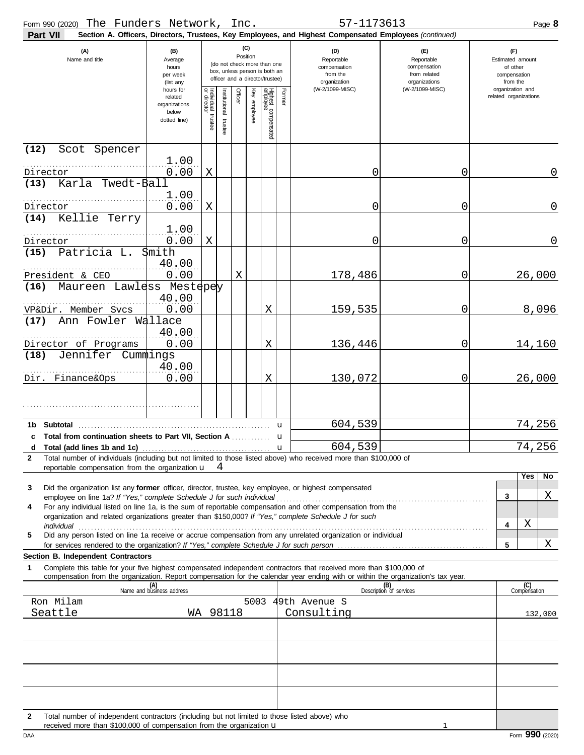| (2020)<br>Form 990 | The | Fundors<br>unuers | Network | $\sim$<br>TIIC | Page |
|--------------------|-----|-------------------|---------|----------------|------|
|                    |     |                   |         |                |      |

| Part VII<br>Section A. Officers, Directors, Trustees, Key Employees, and Highest Compensated Employees (continued)                                                                                                                                          |                                                                |                                   |                       |         |                 |                                                                                                 |        |                                                               |                                                                    |                                                                 |
|-------------------------------------------------------------------------------------------------------------------------------------------------------------------------------------------------------------------------------------------------------------|----------------------------------------------------------------|-----------------------------------|-----------------------|---------|-----------------|-------------------------------------------------------------------------------------------------|--------|---------------------------------------------------------------|--------------------------------------------------------------------|-----------------------------------------------------------------|
| (A)<br>Name and title                                                                                                                                                                                                                                       | (B)<br>Average<br>hours<br>per week<br>(list any               |                                   |                       |         | (C)<br>Position | (do not check more than one<br>box, unless person is both an<br>officer and a director/trustee) |        | (D)<br>Reportable<br>compensation<br>from the<br>organization | (F)<br>Reportable<br>compensation<br>from related<br>organizations | (F)<br>Estimated amount<br>of other<br>compensation<br>from the |
|                                                                                                                                                                                                                                                             | hours for<br>related<br>organizations<br>below<br>dotted line) | Individual trustee<br>or director | Institutional trustee | Officer | Key employee    | Highest compensated<br>employee                                                                 | Former | (W-2/1099-MISC)                                               | (W-2/1099-MISC)                                                    | organization and<br>related organizations                       |
| (12)<br>Scot Spencer<br>Director                                                                                                                                                                                                                            | 1.00<br>0.00                                                   | X                                 |                       |         |                 |                                                                                                 |        | C                                                             | 0                                                                  | 0                                                               |
| Karla Twedt-Ball<br>(13)<br>Director                                                                                                                                                                                                                        | 1.00<br>0.00                                                   | Χ                                 |                       |         |                 |                                                                                                 |        | C                                                             | 0                                                                  | $\overline{0}$                                                  |
| Kellie Terry<br>(14)<br>Director                                                                                                                                                                                                                            | 1.00<br>0.00                                                   | X                                 |                       |         |                 |                                                                                                 |        | C                                                             | 0                                                                  | 0                                                               |
| Patricia L.<br>(15)                                                                                                                                                                                                                                         | Smith<br>40.00                                                 |                                   |                       |         |                 |                                                                                                 |        |                                                               |                                                                    |                                                                 |
| President & CEO<br>Maureen Lawless Mestepey<br>(16)                                                                                                                                                                                                         | 0.00<br>40.00                                                  |                                   |                       | Χ       |                 |                                                                                                 |        | 178,486                                                       | 0                                                                  | 26,000                                                          |
| VP&Dir. Member Svcs<br>Ann Fowler Wallace<br>(17)                                                                                                                                                                                                           | 0.00<br>40.00                                                  |                                   |                       |         |                 | Χ                                                                                               |        | 159,535                                                       | 0                                                                  | 8,096                                                           |
| Director of Programs<br>Jennifer Cummings<br>(18)                                                                                                                                                                                                           | 0.00<br>40.00                                                  |                                   |                       |         |                 | Χ                                                                                               |        | 136,446                                                       | 0                                                                  | 14,160                                                          |
| Dir. Finance&Ops                                                                                                                                                                                                                                            | 0.00                                                           |                                   |                       |         |                 | X                                                                                               |        | 130,072                                                       | 0                                                                  | 26,000                                                          |
| 1b Subtotal                                                                                                                                                                                                                                                 |                                                                |                                   |                       |         |                 |                                                                                                 | u      | 604,539                                                       |                                                                    | 74,256                                                          |
| Total from continuation sheets to Part VII, Section A<br>Total number of individuals (including but not limited to those listed above) who received more than \$100,000 of<br>2                                                                             |                                                                |                                   |                       |         |                 |                                                                                                 | u<br>u | 604,539                                                       |                                                                    | 74,256                                                          |
| reportable compensation from the organization u<br>Did the organization list any former officer, director, trustee, key employee, or highest compensated<br>3<br>employee on line 1a? If "Yes," complete Schedule J for such individual                     |                                                                |                                   | 4                     |         |                 |                                                                                                 |        |                                                               |                                                                    | Yes<br>No<br>Χ<br>3                                             |
| For any individual listed on line 1a, is the sum of reportable compensation and other compensation from the<br>4<br>organization and related organizations greater than \$150,000? If "Yes," complete Schedule J for such                                   |                                                                |                                   |                       |         |                 |                                                                                                 |        |                                                               |                                                                    | Χ<br>4                                                          |
| Did any person listed on line 1a receive or accrue compensation from any unrelated organization or individual<br>5<br>Section B. Independent Contractors                                                                                                    |                                                                |                                   |                       |         |                 |                                                                                                 |        |                                                               |                                                                    | Χ<br>5                                                          |
| Complete this table for your five highest compensated independent contractors that received more than \$100,000 of<br>1<br>compensation from the organization. Report compensation for the calendar year ending with or within the organization's tax year. | (A)<br>Name and business address                               |                                   |                       |         |                 |                                                                                                 |        |                                                               | (B)<br>Description of services                                     | (C)                                                             |
| Ron Milam<br>Seattle                                                                                                                                                                                                                                        |                                                                |                                   | WA 98118              |         | 5003            |                                                                                                 |        | 49th Avenue S<br>Consulting                                   |                                                                    | Compensation<br>132,000                                         |
|                                                                                                                                                                                                                                                             |                                                                |                                   |                       |         |                 |                                                                                                 |        |                                                               |                                                                    |                                                                 |
|                                                                                                                                                                                                                                                             |                                                                |                                   |                       |         |                 |                                                                                                 |        |                                                               |                                                                    |                                                                 |
| Total number of independent contractors (including but not limited to those listed above) who<br>2                                                                                                                                                          |                                                                |                                   |                       |         |                 |                                                                                                 |        |                                                               |                                                                    |                                                                 |

1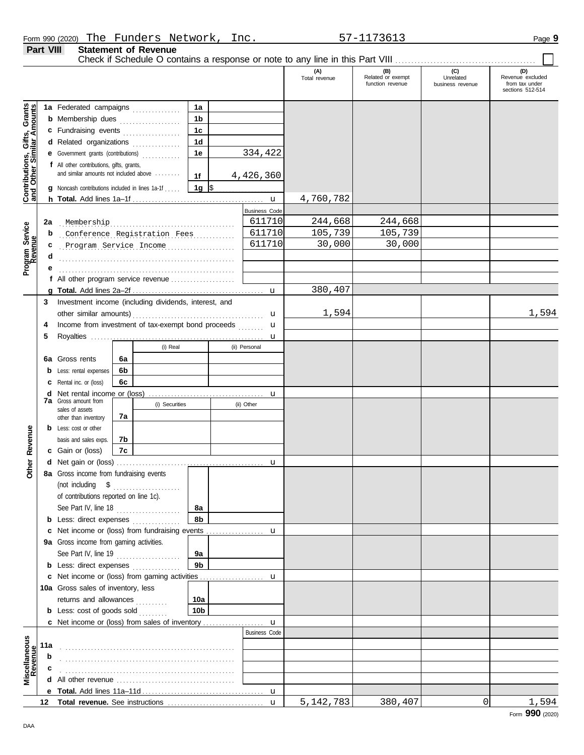| Form 990 (2020)     | The |                             | Funders Network, | Inc. | .73613<br>. — | Page 9 |
|---------------------|-----|-----------------------------|------------------|------|---------------|--------|
| <b>VIII</b><br>Part |     | <b>Statement of Revenue</b> |                  |      |               |        |

57-1173613

|                                                                  |     |                                                                                                                                       |    |                        |                |  |                      | Check if Schedule O contains a response or note to any line in this Part VIII |                                              |                                      |                                                               |
|------------------------------------------------------------------|-----|---------------------------------------------------------------------------------------------------------------------------------------|----|------------------------|----------------|--|----------------------|-------------------------------------------------------------------------------|----------------------------------------------|--------------------------------------|---------------------------------------------------------------|
|                                                                  |     |                                                                                                                                       |    |                        |                |  |                      | (A)<br>Total revenue                                                          | (B)<br>Related or exempt<br>function revenue | (C)<br>Unrelated<br>business revenue | (D)<br>Revenue excluded<br>from tax under<br>sections 512-514 |
|                                                                  |     | 1a Federated campaigns                                                                                                                |    |                        | 1a             |  |                      |                                                                               |                                              |                                      |                                                               |
| <b>Contributions, Gifts, Grants</b><br>and Other Similar Amounts |     | <b>b</b> Membership dues <i>[11]</i> [11] Membership dues <i>[11]</i> [11] Membership dues <i>[11]</i> (11] Membership dues <b>11</b> |    |                        | 1 <sub>b</sub> |  |                      |                                                                               |                                              |                                      |                                                               |
|                                                                  |     | c Fundraising events                                                                                                                  |    |                        | 1c             |  |                      |                                                                               |                                              |                                      |                                                               |
|                                                                  |     | d Related organizations                                                                                                               |    |                        | 1d             |  |                      |                                                                               |                                              |                                      |                                                               |
|                                                                  |     | e Government grants (contributions)                                                                                                   |    | .                      | 1e             |  | 334,422              |                                                                               |                                              |                                      |                                                               |
|                                                                  |     | f All other contributions, gifts, grants,                                                                                             |    |                        |                |  |                      |                                                                               |                                              |                                      |                                                               |
|                                                                  |     | and similar amounts not included above                                                                                                |    |                        | 1f             |  | 4,426,360            |                                                                               |                                              |                                      |                                                               |
|                                                                  |     | <b>g</b> Noncash contributions included in lines 1a-1f                                                                                |    |                        | $1g$ \$        |  |                      |                                                                               |                                              |                                      |                                                               |
|                                                                  |     |                                                                                                                                       |    |                        |                |  | $\mathbf{u}$         | 4,760,782                                                                     |                                              |                                      |                                                               |
|                                                                  |     |                                                                                                                                       |    |                        |                |  | <b>Business Code</b> |                                                                               |                                              |                                      |                                                               |
|                                                                  | 2a  | Membership                                                                                                                            |    |                        |                |  | 611710               | 244,668                                                                       | 244,668                                      |                                      |                                                               |
|                                                                  | b   | Conference Registration Fees                                                                                                          |    |                        |                |  | 611710               | 105,739                                                                       | 105,739                                      |                                      |                                                               |
|                                                                  | c   |                                                                                                                                       |    | Program Service Income |                |  | 611710               | 30,000                                                                        | 30,000                                       |                                      |                                                               |
| Program Service<br>Revenue                                       |     |                                                                                                                                       |    |                        |                |  |                      |                                                                               |                                              |                                      |                                                               |
|                                                                  |     |                                                                                                                                       |    |                        |                |  |                      |                                                                               |                                              |                                      |                                                               |
|                                                                  |     | f All other program service revenue                                                                                                   |    |                        |                |  |                      |                                                                               |                                              |                                      |                                                               |
|                                                                  |     |                                                                                                                                       |    |                        |                |  |                      | 380,407                                                                       |                                              |                                      |                                                               |
|                                                                  | 3   | Investment income (including dividends, interest, and                                                                                 |    |                        |                |  |                      |                                                                               |                                              |                                      |                                                               |
|                                                                  |     |                                                                                                                                       |    |                        |                |  | u                    | 1,594                                                                         |                                              |                                      | 1,594                                                         |
|                                                                  | 4   | Income from investment of tax-exempt bond proceeds                                                                                    |    |                        |                |  | u                    |                                                                               |                                              |                                      |                                                               |
|                                                                  | 5   |                                                                                                                                       |    |                        |                |  | u                    |                                                                               |                                              |                                      |                                                               |
|                                                                  |     |                                                                                                                                       |    | (i) Real               |                |  | (ii) Personal        |                                                                               |                                              |                                      |                                                               |
|                                                                  | 6а  | Gross rents                                                                                                                           | 6a |                        |                |  |                      |                                                                               |                                              |                                      |                                                               |
|                                                                  | b   | Less: rental expenses                                                                                                                 | 6b |                        |                |  |                      |                                                                               |                                              |                                      |                                                               |
|                                                                  |     | C Rental inc. or (loss)                                                                                                               | 6с |                        |                |  |                      |                                                                               |                                              |                                      |                                                               |
|                                                                  |     | d Net rental income or (loss)                                                                                                         |    | u                      |                |  |                      |                                                                               |                                              |                                      |                                                               |
|                                                                  |     | <b>7a</b> Gross amount from                                                                                                           |    | (i) Securities         |                |  | (ii) Other           |                                                                               |                                              |                                      |                                                               |
|                                                                  |     | sales of assets<br>other than inventory                                                                                               | 7a |                        |                |  |                      |                                                                               |                                              |                                      |                                                               |
|                                                                  |     | <b>b</b> Less: cost or other                                                                                                          |    |                        |                |  |                      |                                                                               |                                              |                                      |                                                               |
| Revenue                                                          |     | basis and sales exps.                                                                                                                 | 7b |                        |                |  |                      |                                                                               |                                              |                                      |                                                               |
|                                                                  |     | c Gain or (loss)                                                                                                                      | 7c |                        |                |  |                      |                                                                               |                                              |                                      |                                                               |
|                                                                  |     |                                                                                                                                       |    |                        |                |  | u                    |                                                                               |                                              |                                      |                                                               |
| Other                                                            |     | 8a Gross income from fundraising events                                                                                               |    |                        |                |  |                      |                                                                               |                                              |                                      |                                                               |
|                                                                  |     | (not including \$                                                                                                                     |    |                        |                |  |                      |                                                                               |                                              |                                      |                                                               |
|                                                                  |     | of contributions reported on line 1c).                                                                                                |    |                        |                |  |                      |                                                                               |                                              |                                      |                                                               |
|                                                                  |     | See Part IV, line 18                                                                                                                  |    |                        | 8a             |  |                      |                                                                               |                                              |                                      |                                                               |
|                                                                  |     | <b>b</b> Less: direct expenses <i>minimum</i>                                                                                         |    |                        | 8b             |  |                      |                                                                               |                                              |                                      |                                                               |
|                                                                  |     | c Net income or (loss) from fundraising events                                                                                        |    |                        |                |  | u                    |                                                                               |                                              |                                      |                                                               |
|                                                                  |     | 9a Gross income from gaming activities.                                                                                               |    |                        |                |  |                      |                                                                               |                                              |                                      |                                                               |
|                                                                  |     |                                                                                                                                       |    |                        | 9а             |  |                      |                                                                               |                                              |                                      |                                                               |
|                                                                  |     | <b>b</b> Less: direct expenses                                                                                                        |    |                        | 9 <sub>b</sub> |  |                      |                                                                               |                                              |                                      |                                                               |
|                                                                  |     | <b>c</b> Net income or (loss) from gaming activities                                                                                  |    |                        |                |  | u                    |                                                                               |                                              |                                      |                                                               |
|                                                                  |     | 10a Gross sales of inventory, less                                                                                                    |    |                        |                |  |                      |                                                                               |                                              |                                      |                                                               |
|                                                                  |     | returns and allowances                                                                                                                |    |                        | 10a            |  |                      |                                                                               |                                              |                                      |                                                               |
|                                                                  |     | <b>b</b> Less: cost of goods sold $\ldots$                                                                                            |    |                        | 10b            |  |                      |                                                                               |                                              |                                      |                                                               |
|                                                                  |     | c Net income or (loss) from sales of inventory                                                                                        |    |                        |                |  | $\mathbf{u}$         |                                                                               |                                              |                                      |                                                               |
|                                                                  |     |                                                                                                                                       |    |                        |                |  | <b>Business Code</b> |                                                                               |                                              |                                      |                                                               |
| Miscellaneous<br>Revenue                                         | 11a |                                                                                                                                       |    |                        |                |  |                      |                                                                               |                                              |                                      |                                                               |
|                                                                  | b   |                                                                                                                                       |    |                        |                |  |                      |                                                                               |                                              |                                      |                                                               |
|                                                                  | c   |                                                                                                                                       |    |                        |                |  |                      |                                                                               |                                              |                                      |                                                               |
|                                                                  |     |                                                                                                                                       |    |                        |                |  |                      |                                                                               |                                              |                                      |                                                               |
|                                                                  |     |                                                                                                                                       |    |                        |                |  |                      |                                                                               |                                              |                                      |                                                               |
|                                                                  |     |                                                                                                                                       |    |                        |                |  | $\mathbf{u}$         | 5, 142, 783                                                                   | 380,407                                      | 0                                    | 1,594                                                         |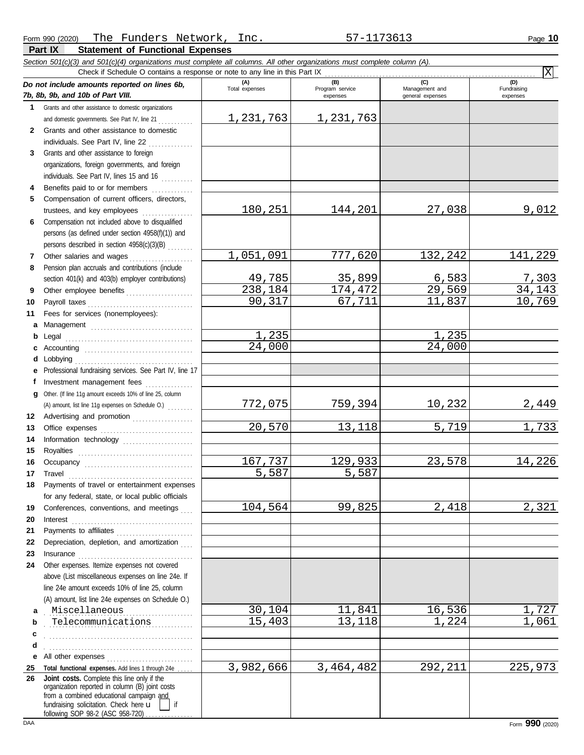|              | Section 501(c)(3) and 501(c)(4) organizations must complete all columns. All other organizations must complete column (A).<br>Check if Schedule O contains a response or note to any line in this Part IX                                                 |                       |                             |                                    | $\mathbf{X}$            |
|--------------|-----------------------------------------------------------------------------------------------------------------------------------------------------------------------------------------------------------------------------------------------------------|-----------------------|-----------------------------|------------------------------------|-------------------------|
|              | Do not include amounts reported on lines 6b,                                                                                                                                                                                                              | (A)<br>Total expenses | (B)                         | (C)                                | (D)                     |
|              | 7b, 8b, 9b, and 10b of Part VIII.                                                                                                                                                                                                                         |                       | Program service<br>expenses | Management and<br>general expenses | Fundraising<br>expenses |
| $\mathbf 1$  | Grants and other assistance to domestic organizations                                                                                                                                                                                                     |                       |                             |                                    |                         |
|              | and domestic governments. See Part IV, line 21                                                                                                                                                                                                            | 1,231,763             | 1,231,763                   |                                    |                         |
| $\mathbf{2}$ | Grants and other assistance to domestic                                                                                                                                                                                                                   |                       |                             |                                    |                         |
|              | individuals. See Part IV, line 22                                                                                                                                                                                                                         |                       |                             |                                    |                         |
| 3            | Grants and other assistance to foreign                                                                                                                                                                                                                    |                       |                             |                                    |                         |
|              | organizations, foreign governments, and foreign                                                                                                                                                                                                           |                       |                             |                                    |                         |
|              | individuals. See Part IV, lines 15 and 16                                                                                                                                                                                                                 |                       |                             |                                    |                         |
| 4            | Benefits paid to or for members                                                                                                                                                                                                                           |                       |                             |                                    |                         |
| 5            | Compensation of current officers, directors,                                                                                                                                                                                                              |                       |                             |                                    |                         |
|              | trustees, and key employees<br>Compensation not included above to disqualified                                                                                                                                                                            | 180,251               | 144,201                     | 27,038                             | 9,012                   |
| 6            | persons (as defined under section 4958(f)(1)) and                                                                                                                                                                                                         |                       |                             |                                    |                         |
|              | persons described in section 4958(c)(3)(B)                                                                                                                                                                                                                |                       |                             |                                    |                         |
| 7            | Other salaries and wages                                                                                                                                                                                                                                  | 1,051,091             | 777,620                     | 132,242                            | 141,229                 |
| 8            | Pension plan accruals and contributions (include                                                                                                                                                                                                          |                       |                             |                                    |                         |
|              | section 401(k) and 403(b) employer contributions)                                                                                                                                                                                                         | 49,785                | 35,899                      | 6,583                              | <u>7,303</u>            |
| 9            | Other employee benefits                                                                                                                                                                                                                                   | 238,184               | 174,472                     | 29,569                             | 34,143                  |
| 10           |                                                                                                                                                                                                                                                           | 90,317                | 67,711                      | 11,837                             | 10,769                  |
| 11           | Fees for services (nonemployees):                                                                                                                                                                                                                         |                       |                             |                                    |                         |
| a            | Management                                                                                                                                                                                                                                                |                       |                             |                                    |                         |
| b            |                                                                                                                                                                                                                                                           | 1,235                 |                             | 1,235                              |                         |
| c            |                                                                                                                                                                                                                                                           | 24,000                |                             | 24,000                             |                         |
| d            | Lobbying                                                                                                                                                                                                                                                  |                       |                             |                                    |                         |
| е            | Professional fundraising services. See Part IV, line 17                                                                                                                                                                                                   |                       |                             |                                    |                         |
| f            | Investment management fees                                                                                                                                                                                                                                |                       |                             |                                    |                         |
| g            | Other. (If line 11g amount exceeds 10% of line 25, column                                                                                                                                                                                                 |                       |                             |                                    |                         |
|              | (A) amount, list line 11g expenses on Schedule O.)                                                                                                                                                                                                        | 772,075               | 759,394                     | 10,232                             | <u>2,449</u>            |
| 12           | Advertising and promotion                                                                                                                                                                                                                                 |                       |                             |                                    |                         |
| 13           |                                                                                                                                                                                                                                                           | 20,570                | 13,118                      | 5,719                              | 1,733                   |
| 14           |                                                                                                                                                                                                                                                           |                       |                             |                                    |                         |
| 15<br>16     |                                                                                                                                                                                                                                                           | 167,737               | 129,933                     | 23,578                             | 14,226                  |
| 17           | Travel                                                                                                                                                                                                                                                    | 5,587                 | 5,587                       |                                    |                         |
| 18           | Payments of travel or entertainment expenses                                                                                                                                                                                                              |                       |                             |                                    |                         |
|              | for any federal, state, or local public officials                                                                                                                                                                                                         |                       |                             |                                    |                         |
| 19           | Conferences, conventions, and meetings                                                                                                                                                                                                                    | 104,564               | 99,825                      | 2,418                              | 2,321                   |
| 20           | $\textbf{Interest} \hspace{0.05in} \ldots \hspace{0.05in} \ldots \hspace{0.05in} \ldots \hspace{0.05in} \ldots \hspace{0.05in} \ldots \hspace{0.05in} \ldots \hspace{0.05in} \ldots \hspace{0.05in} \ldots \hspace{0.05in} \ldots \hspace{0.05in} \ldots$ |                       |                             |                                    |                         |
| 21           |                                                                                                                                                                                                                                                           |                       |                             |                                    |                         |
| 22           | Depreciation, depletion, and amortization                                                                                                                                                                                                                 |                       |                             |                                    |                         |
| 23           |                                                                                                                                                                                                                                                           |                       |                             |                                    |                         |
| 24           | Other expenses. Itemize expenses not covered                                                                                                                                                                                                              |                       |                             |                                    |                         |
|              | above (List miscellaneous expenses on line 24e. If                                                                                                                                                                                                        |                       |                             |                                    |                         |
|              | line 24e amount exceeds 10% of line 25, column                                                                                                                                                                                                            |                       |                             |                                    |                         |
|              | (A) amount, list line 24e expenses on Schedule O.)                                                                                                                                                                                                        |                       |                             |                                    |                         |
| a            | Miscellaneous                                                                                                                                                                                                                                             | 30,104                | 11,841                      | 16,536                             | 1,727                   |
| b            | Telecommunications                                                                                                                                                                                                                                        | 15,403                | 13,118                      | 1,224                              | 1,061                   |
| c<br>d       |                                                                                                                                                                                                                                                           |                       |                             |                                    |                         |
| е            | All other expenses                                                                                                                                                                                                                                        |                       |                             |                                    |                         |
| 25           | Total functional expenses. Add lines 1 through 24e                                                                                                                                                                                                        | 3,982,666             | 3,464,482                   | 292,211                            | 225,973                 |
| 26           | Joint costs. Complete this line only if the                                                                                                                                                                                                               |                       |                             |                                    |                         |
|              | organization reported in column (B) joint costs                                                                                                                                                                                                           |                       |                             |                                    |                         |
|              | from a combined educational campaign and<br>fundraising solicitation. Check here u<br>if                                                                                                                                                                  |                       |                             |                                    |                         |
|              | following SOP 98-2 (ASC 958-720)                                                                                                                                                                                                                          |                       |                             |                                    |                         |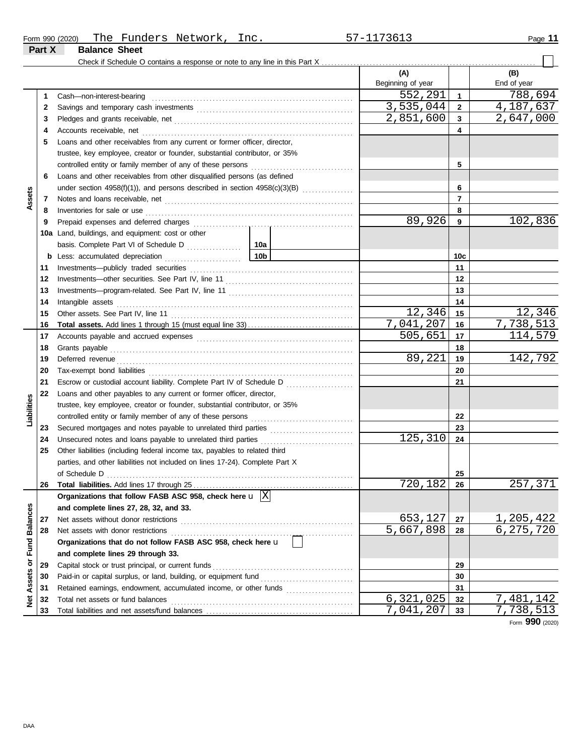| Form 990 (2020) | The                  | Funders | Network, | Inc. | 1173613<br>. _ | Page<br>. . |
|-----------------|----------------------|---------|----------|------|----------------|-------------|
| Part X          | <b>Balance Sheet</b> |         |          |      |                |             |

|                                 |     |                                                                                                                                                                                                                                     |     | (A)               |                 | (B)              |
|---------------------------------|-----|-------------------------------------------------------------------------------------------------------------------------------------------------------------------------------------------------------------------------------------|-----|-------------------|-----------------|------------------|
|                                 |     |                                                                                                                                                                                                                                     |     | Beginning of year |                 | End of year      |
|                                 | 1   | Cash-non-interest-bearing                                                                                                                                                                                                           |     | 552,291           | $\mathbf{1}$    | 788,694          |
|                                 | 2   |                                                                                                                                                                                                                                     |     | 3,535,044         | $\mathbf{2}$    | 4,187,637        |
|                                 | 3   |                                                                                                                                                                                                                                     |     | 2,851,600         | 3               | 2,647,000        |
|                                 | 4   | Accounts receivable, net                                                                                                                                                                                                            |     |                   | 4               |                  |
|                                 | 5   | Loans and other receivables from any current or former officer, director,                                                                                                                                                           |     |                   |                 |                  |
|                                 |     | trustee, key employee, creator or founder, substantial contributor, or 35%                                                                                                                                                          |     |                   |                 |                  |
|                                 |     |                                                                                                                                                                                                                                     |     |                   | 5               |                  |
|                                 | 6   | Loans and other receivables from other disqualified persons (as defined                                                                                                                                                             |     |                   |                 |                  |
|                                 |     |                                                                                                                                                                                                                                     |     |                   | 6               |                  |
| Assets                          | 7   |                                                                                                                                                                                                                                     |     |                   | $\overline{7}$  |                  |
|                                 | 8   | Inventories for sale or use <i>construction</i> and the state of the state of the state of the state of the state of the state of the state of the state of the state of the state of the state of the state of the state of the st |     |                   | 8               |                  |
|                                 | 9   |                                                                                                                                                                                                                                     |     | 89,926            | 9               | 102,836          |
|                                 | 10a | Land, buildings, and equipment: cost or other                                                                                                                                                                                       |     |                   |                 |                  |
|                                 |     |                                                                                                                                                                                                                                     |     |                   |                 |                  |
|                                 | b   |                                                                                                                                                                                                                                     | 10b |                   | 10 <sub>c</sub> |                  |
|                                 | 11  |                                                                                                                                                                                                                                     |     |                   | 11              |                  |
|                                 | 12  |                                                                                                                                                                                                                                     |     |                   | 12              |                  |
|                                 | 13  |                                                                                                                                                                                                                                     |     |                   | 13              |                  |
|                                 | 14  | Intangible assets                                                                                                                                                                                                                   |     |                   | 14              |                  |
|                                 | 15  |                                                                                                                                                                                                                                     |     | 12,346            | 15              | 12,346           |
|                                 | 16  |                                                                                                                                                                                                                                     |     | 7,041,207         | 16              | 7,738,513        |
|                                 | 17  |                                                                                                                                                                                                                                     |     | 505,651           | 17              | 114,579          |
|                                 | 18  | Grants payable                                                                                                                                                                                                                      |     |                   | 18              |                  |
|                                 | 19  | Deferred revenue                                                                                                                                                                                                                    |     | 89,221            | 19              | 142,792          |
|                                 | 20  |                                                                                                                                                                                                                                     |     |                   | 20              |                  |
|                                 | 21  |                                                                                                                                                                                                                                     |     |                   | 21              |                  |
|                                 | 22  | Loans and other payables to any current or former officer, director,                                                                                                                                                                |     |                   |                 |                  |
| Liabilities                     |     | trustee, key employee, creator or founder, substantial contributor, or 35%                                                                                                                                                          |     |                   |                 |                  |
|                                 |     | controlled entity or family member of any of these persons                                                                                                                                                                          |     |                   | 22              |                  |
|                                 | 23  |                                                                                                                                                                                                                                     |     |                   | 23              |                  |
|                                 | 24  | Unsecured notes and loans payable to unrelated third parties                                                                                                                                                                        |     | 125,310           | 24              |                  |
|                                 | 25  | Other liabilities (including federal income tax, payables to related third                                                                                                                                                          |     |                   |                 |                  |
|                                 |     | parties, and other liabilities not included on lines 17-24). Complete Part X                                                                                                                                                        |     |                   |                 |                  |
|                                 |     |                                                                                                                                                                                                                                     |     |                   | 25              |                  |
|                                 | 26  |                                                                                                                                                                                                                                     |     | 720,182           | 26              | 257,371          |
|                                 |     | Organizations that follow FASB ASC 958, check here $\mathbf{u}$  X                                                                                                                                                                  |     |                   |                 |                  |
|                                 |     | and complete lines 27, 28, 32, and 33.                                                                                                                                                                                              |     |                   |                 |                  |
|                                 | 27  | Net assets without donor restrictions                                                                                                                                                                                               |     | 653,127           | 27              | <u>1,205,422</u> |
|                                 | 28  | Net assets with donor restrictions                                                                                                                                                                                                  |     | 5,667,898         | 28              | 6,275,720        |
| <b>Fund Balances</b>            |     | Organizations that do not follow FASB ASC 958, check here u                                                                                                                                                                         |     |                   |                 |                  |
|                                 |     | and complete lines 29 through 33.                                                                                                                                                                                                   |     |                   |                 |                  |
| ŏ                               | 29  | Capital stock or trust principal, or current funds                                                                                                                                                                                  |     |                   | 29              |                  |
| Assets                          | 30  | Paid-in or capital surplus, or land, building, or equipment fund                                                                                                                                                                    |     |                   | 30              |                  |
|                                 | 31  | Retained earnings, endowment, accumulated income, or other funds                                                                                                                                                                    |     |                   | 31              |                  |
| $\mathbf{\underline{\ddot{g}}}$ | 32  | Total net assets or fund balances                                                                                                                                                                                                   |     | 6,321,025         | 32              | <u>7,481,142</u> |
|                                 | 33  |                                                                                                                                                                                                                                     |     | 7,041,207         | 33              | 7,738,513        |

Form **990** (2020)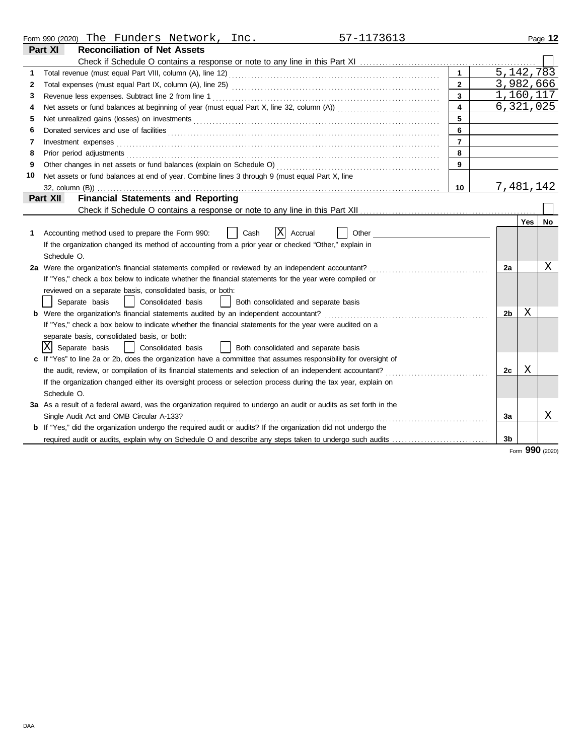|    | 57-1173613<br>Form 990 (2020) The Funders Network, Inc.                                                                                                                                                                              |                |                |            | Page 12 |
|----|--------------------------------------------------------------------------------------------------------------------------------------------------------------------------------------------------------------------------------------|----------------|----------------|------------|---------|
|    | Part XI<br><b>Reconciliation of Net Assets</b>                                                                                                                                                                                       |                |                |            |         |
|    |                                                                                                                                                                                                                                      |                |                |            |         |
| 1  |                                                                                                                                                                                                                                      |                | 5,142,783      |            |         |
| 2  |                                                                                                                                                                                                                                      | $\mathbf{2}$   | 3,982,666      |            |         |
| 3  |                                                                                                                                                                                                                                      | 3              | 1,160,117      |            |         |
| 4  |                                                                                                                                                                                                                                      | 4              | 6,321,025      |            |         |
| 5  |                                                                                                                                                                                                                                      | 5              |                |            |         |
| 6  | Donated services and use of facilities <b>constant of the constant of the constant of the constant of the constant of the constant of the constant of the constant of the constant of the constant of the constant of the consta</b> | 6              |                |            |         |
| 7  | Investment expenses <b>constant expenses</b>                                                                                                                                                                                         | $\overline{7}$ |                |            |         |
| 8  | Prior period adjustments                                                                                                                                                                                                             | 8              |                |            |         |
| 9  | Other changes in net assets or fund balances (explain on Schedule O)                                                                                                                                                                 | 9              |                |            |         |
| 10 | Net assets or fund balances at end of year. Combine lines 3 through 9 (must equal Part X, line                                                                                                                                       |                |                |            |         |
|    |                                                                                                                                                                                                                                      | 10             | 7,481,142      |            |         |
|    | <b>Financial Statements and Reporting</b><br>Part XII                                                                                                                                                                                |                |                |            |         |
|    |                                                                                                                                                                                                                                      |                |                |            |         |
|    |                                                                                                                                                                                                                                      |                |                | <b>Yes</b> | No      |
| 1  | X<br>Other<br>Accounting method used to prepare the Form 990:<br>Cash<br>Accrual                                                                                                                                                     |                |                |            |         |
|    | If the organization changed its method of accounting from a prior year or checked "Other," explain in                                                                                                                                |                |                |            |         |
|    | Schedule O.                                                                                                                                                                                                                          |                |                |            |         |
|    | 2a Were the organization's financial statements compiled or reviewed by an independent accountant?                                                                                                                                   |                | 2a             |            | X       |
|    | If "Yes," check a box below to indicate whether the financial statements for the year were compiled or                                                                                                                               |                |                |            |         |
|    | reviewed on a separate basis, consolidated basis, or both:                                                                                                                                                                           |                |                |            |         |
|    | Separate basis<br>Consolidated basis<br>Both consolidated and separate basis<br>$\perp$                                                                                                                                              |                |                |            |         |
|    | <b>b</b> Were the organization's financial statements audited by an independent accountant?                                                                                                                                          |                | 2b             | Χ          |         |
|    | If "Yes," check a box below to indicate whether the financial statements for the year were audited on a                                                                                                                              |                |                |            |         |
|    | separate basis, consolidated basis, or both:                                                                                                                                                                                         |                |                |            |         |
|    | X<br>Separate basis<br>Consolidated basis<br>Both consolidated and separate basis                                                                                                                                                    |                |                |            |         |
| c  | If "Yes" to line 2a or 2b, does the organization have a committee that assumes responsibility for oversight of                                                                                                                       |                |                |            |         |
|    | the audit, review, or compilation of its financial statements and selection of an independent accountant?                                                                                                                            |                | 2c             | Χ          |         |
|    | If the organization changed either its oversight process or selection process during the tax year, explain on                                                                                                                        |                |                |            |         |
|    | Schedule O.                                                                                                                                                                                                                          |                |                |            |         |
|    | 3a As a result of a federal award, was the organization required to undergo an audit or audits as set forth in the                                                                                                                   |                |                |            |         |
|    | Single Audit Act and OMB Circular A-133?                                                                                                                                                                                             |                | За             |            | Χ       |
|    | <b>b</b> If "Yes," did the organization undergo the required audit or audits? If the organization did not undergo the                                                                                                                |                |                |            |         |
|    | required audit or audits, explain why on Schedule O and describe any steps taken to undergo such audits                                                                                                                              |                | 3 <sub>b</sub> |            |         |

Form **990** (2020)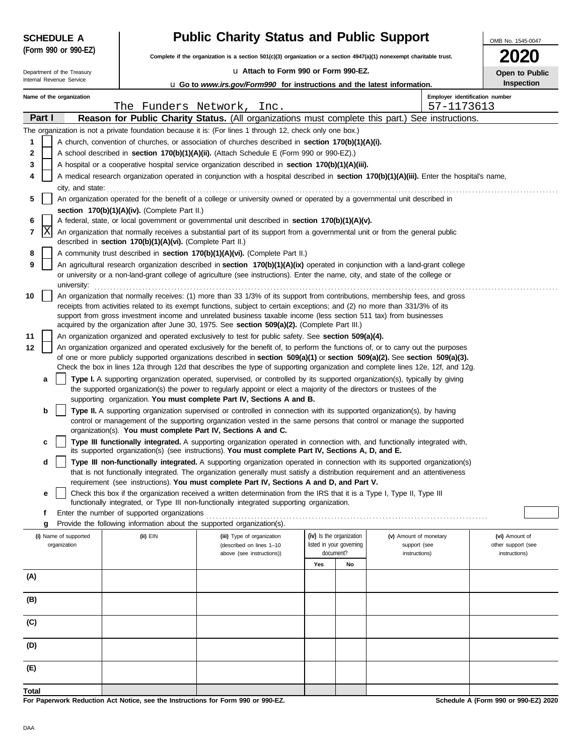| <b>SCHEDULE A</b> |                                                                                                                                               |                                                            | <b>Public Charity Status and Public Support</b>                                                                                                                                                                                                                 |     |                                                      |                                        |                                      |  |  |  |  |  |  |  |
|-------------------|-----------------------------------------------------------------------------------------------------------------------------------------------|------------------------------------------------------------|-----------------------------------------------------------------------------------------------------------------------------------------------------------------------------------------------------------------------------------------------------------------|-----|------------------------------------------------------|----------------------------------------|--------------------------------------|--|--|--|--|--|--|--|
|                   | (Form 990 or 990-EZ)                                                                                                                          |                                                            | Complete if the organization is a section 501(c)(3) organization or a section 4947(a)(1) nonexempt charitable trust.                                                                                                                                            |     |                                                      |                                        |                                      |  |  |  |  |  |  |  |
|                   | Department of the Treasury                                                                                                                    |                                                            | La Attach to Form 990 or Form 990-EZ.                                                                                                                                                                                                                           |     |                                                      |                                        | Open to Public                       |  |  |  |  |  |  |  |
|                   | Internal Revenue Service                                                                                                                      |                                                            | <b>u</b> Go to www.irs.gov/Form990 for instructions and the latest information.                                                                                                                                                                                 |     |                                                      |                                        | Inspection                           |  |  |  |  |  |  |  |
|                   | Name of the organization                                                                                                                      |                                                            |                                                                                                                                                                                                                                                                 |     |                                                      | Employer identification number         |                                      |  |  |  |  |  |  |  |
|                   | Part I                                                                                                                                        |                                                            | The Funders Network, Inc.<br>57-1173613<br>Reason for Public Charity Status. (All organizations must complete this part.) See instructions.                                                                                                                     |     |                                                      |                                        |                                      |  |  |  |  |  |  |  |
|                   |                                                                                                                                               |                                                            | The organization is not a private foundation because it is: (For lines 1 through 12, check only one box.)                                                                                                                                                       |     |                                                      |                                        |                                      |  |  |  |  |  |  |  |
| 1                 |                                                                                                                                               |                                                            | A church, convention of churches, or association of churches described in section 170(b)(1)(A)(i).                                                                                                                                                              |     |                                                      |                                        |                                      |  |  |  |  |  |  |  |
| 2                 |                                                                                                                                               |                                                            | A school described in section 170(b)(1)(A)(ii). (Attach Schedule E (Form 990 or 990-EZ).)                                                                                                                                                                       |     |                                                      |                                        |                                      |  |  |  |  |  |  |  |
| 3                 |                                                                                                                                               |                                                            | A hospital or a cooperative hospital service organization described in section 170(b)(1)(A)(iii).                                                                                                                                                               |     |                                                      |                                        |                                      |  |  |  |  |  |  |  |
| 4                 | A medical research organization operated in conjunction with a hospital described in section 170(b)(1)(A)(iii). Enter the hospital's name,    |                                                            |                                                                                                                                                                                                                                                                 |     |                                                      |                                        |                                      |  |  |  |  |  |  |  |
| 5                 | city, and state:<br>An organization operated for the benefit of a college or university owned or operated by a governmental unit described in |                                                            |                                                                                                                                                                                                                                                                 |     |                                                      |                                        |                                      |  |  |  |  |  |  |  |
|                   |                                                                                                                                               | section 170(b)(1)(A)(iv). (Complete Part II.)              |                                                                                                                                                                                                                                                                 |     |                                                      |                                        |                                      |  |  |  |  |  |  |  |
| 6                 |                                                                                                                                               |                                                            | A federal, state, or local government or governmental unit described in section 170(b)(1)(A)(v).                                                                                                                                                                |     |                                                      |                                        |                                      |  |  |  |  |  |  |  |
| 7                 | Ιx                                                                                                                                            | described in section 170(b)(1)(A)(vi). (Complete Part II.) | An organization that normally receives a substantial part of its support from a governmental unit or from the general public                                                                                                                                    |     |                                                      |                                        |                                      |  |  |  |  |  |  |  |
| 8                 |                                                                                                                                               |                                                            | A community trust described in section 170(b)(1)(A)(vi). (Complete Part II.)                                                                                                                                                                                    |     |                                                      |                                        |                                      |  |  |  |  |  |  |  |
| 9                 | university:                                                                                                                                   |                                                            | An agricultural research organization described in section 170(b)(1)(A)(ix) operated in conjunction with a land-grant college<br>or university or a non-land-grant college of agriculture (see instructions). Enter the name, city, and state of the college or |     |                                                      |                                        |                                      |  |  |  |  |  |  |  |
| 10                |                                                                                                                                               |                                                            | An organization that normally receives: (1) more than 33 1/3% of its support from contributions, membership fees, and gross                                                                                                                                     |     |                                                      |                                        |                                      |  |  |  |  |  |  |  |
|                   |                                                                                                                                               |                                                            | receipts from activities related to its exempt functions, subject to certain exceptions; and (2) no more than 331/3% of its                                                                                                                                     |     |                                                      |                                        |                                      |  |  |  |  |  |  |  |
|                   |                                                                                                                                               |                                                            | support from gross investment income and unrelated business taxable income (less section 511 tax) from businesses<br>acquired by the organization after June 30, 1975. See section 509(a)(2). (Complete Part III.)                                              |     |                                                      |                                        |                                      |  |  |  |  |  |  |  |
| 11                |                                                                                                                                               |                                                            | An organization organized and operated exclusively to test for public safety. See section 509(a)(4).                                                                                                                                                            |     |                                                      |                                        |                                      |  |  |  |  |  |  |  |
| 12                |                                                                                                                                               |                                                            | An organization organized and operated exclusively for the benefit of, to perform the functions of, or to carry out the purposes                                                                                                                                |     |                                                      |                                        |                                      |  |  |  |  |  |  |  |
|                   |                                                                                                                                               |                                                            | of one or more publicly supported organizations described in section 509(a)(1) or section 509(a)(2). See section 509(a)(3).<br>Check the box in lines 12a through 12d that describes the type of supporting organization and complete lines 12e, 12f, and 12g.  |     |                                                      |                                        |                                      |  |  |  |  |  |  |  |
|                   | а                                                                                                                                             |                                                            | Type I. A supporting organization operated, supervised, or controlled by its supported organization(s), typically by giving                                                                                                                                     |     |                                                      |                                        |                                      |  |  |  |  |  |  |  |
|                   |                                                                                                                                               |                                                            | the supported organization(s) the power to regularly appoint or elect a majority of the directors or trustees of the<br>supporting organization. You must complete Part IV, Sections A and B.                                                                   |     |                                                      |                                        |                                      |  |  |  |  |  |  |  |
|                   | b                                                                                                                                             |                                                            | Type II. A supporting organization supervised or controlled in connection with its supported organization(s), by having                                                                                                                                         |     |                                                      |                                        |                                      |  |  |  |  |  |  |  |
|                   |                                                                                                                                               |                                                            | control or management of the supporting organization vested in the same persons that control or manage the supported                                                                                                                                            |     |                                                      |                                        |                                      |  |  |  |  |  |  |  |
|                   |                                                                                                                                               |                                                            | organization(s). You must complete Part IV, Sections A and C.<br>Type III functionally integrated. A supporting organization operated in connection with, and functionally integrated with,                                                                     |     |                                                      |                                        |                                      |  |  |  |  |  |  |  |
|                   | c                                                                                                                                             |                                                            | its supported organization(s) (see instructions). You must complete Part IV, Sections A, D, and E.                                                                                                                                                              |     |                                                      |                                        |                                      |  |  |  |  |  |  |  |
|                   | d                                                                                                                                             |                                                            | Type III non-functionally integrated. A supporting organization operated in connection with its supported organization(s)<br>that is not functionally integrated. The organization generally must satisfy a distribution requirement and an attentiveness       |     |                                                      |                                        |                                      |  |  |  |  |  |  |  |
|                   |                                                                                                                                               |                                                            | requirement (see instructions). You must complete Part IV, Sections A and D, and Part V.                                                                                                                                                                        |     |                                                      |                                        |                                      |  |  |  |  |  |  |  |
|                   | е                                                                                                                                             |                                                            | Check this box if the organization received a written determination from the IRS that it is a Type I, Type II, Type III<br>functionally integrated, or Type III non-functionally integrated supporting organization.                                            |     |                                                      |                                        |                                      |  |  |  |  |  |  |  |
|                   | f                                                                                                                                             | Enter the number of supported organizations                |                                                                                                                                                                                                                                                                 |     |                                                      |                                        |                                      |  |  |  |  |  |  |  |
|                   | g                                                                                                                                             |                                                            | Provide the following information about the supported organization(s).                                                                                                                                                                                          |     |                                                      |                                        |                                      |  |  |  |  |  |  |  |
|                   | (i) Name of supported<br>organization                                                                                                         | (ii) EIN                                                   | (iii) Type of organization<br>(described on lines 1-10                                                                                                                                                                                                          |     | (iv) Is the organization<br>listed in your governing | (v) Amount of monetary<br>support (see | (vi) Amount of<br>other support (see |  |  |  |  |  |  |  |
|                   |                                                                                                                                               |                                                            | above (see instructions))                                                                                                                                                                                                                                       |     | document?                                            | instructions)                          | instructions)                        |  |  |  |  |  |  |  |
|                   |                                                                                                                                               |                                                            |                                                                                                                                                                                                                                                                 | Yes | No                                                   |                                        |                                      |  |  |  |  |  |  |  |
| (A)               |                                                                                                                                               |                                                            |                                                                                                                                                                                                                                                                 |     |                                                      |                                        |                                      |  |  |  |  |  |  |  |
| (B)               |                                                                                                                                               |                                                            |                                                                                                                                                                                                                                                                 |     |                                                      |                                        |                                      |  |  |  |  |  |  |  |
|                   |                                                                                                                                               |                                                            |                                                                                                                                                                                                                                                                 |     |                                                      |                                        |                                      |  |  |  |  |  |  |  |
| (C)               |                                                                                                                                               |                                                            |                                                                                                                                                                                                                                                                 |     |                                                      |                                        |                                      |  |  |  |  |  |  |  |
| (D)               |                                                                                                                                               |                                                            |                                                                                                                                                                                                                                                                 |     |                                                      |                                        |                                      |  |  |  |  |  |  |  |
| (E)               |                                                                                                                                               |                                                            |                                                                                                                                                                                                                                                                 |     |                                                      |                                        |                                      |  |  |  |  |  |  |  |
|                   |                                                                                                                                               |                                                            |                                                                                                                                                                                                                                                                 |     |                                                      |                                        |                                      |  |  |  |  |  |  |  |
| Total             |                                                                                                                                               |                                                            |                                                                                                                                                                                                                                                                 |     |                                                      |                                        |                                      |  |  |  |  |  |  |  |

**For Paperwork Reduction Act Notice, see the Instructions for Form 990 or 990-EZ.**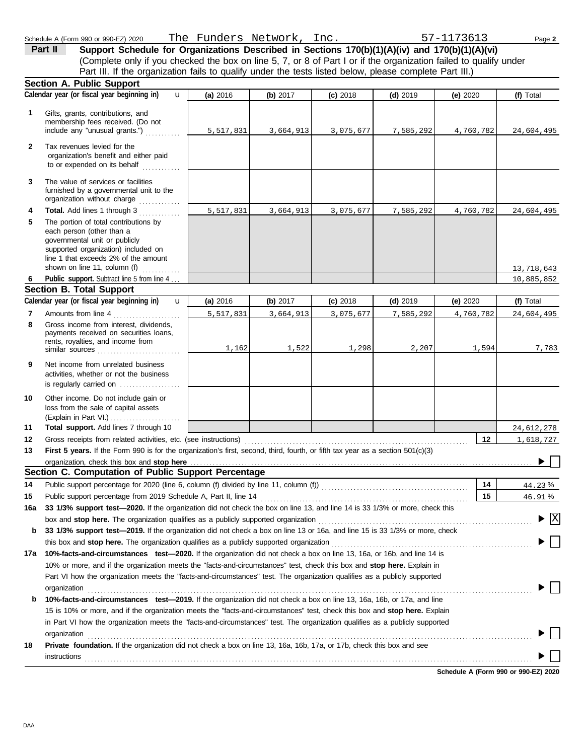|              | Schedule A (Form 990 or 990-EZ) 2020                                                                                                                                                                                         | The Funders Network, Inc. |            |            |            | 57-1173613 | Page 2                               |
|--------------|------------------------------------------------------------------------------------------------------------------------------------------------------------------------------------------------------------------------------|---------------------------|------------|------------|------------|------------|--------------------------------------|
| Part II      | Support Schedule for Organizations Described in Sections 170(b)(1)(A)(iv) and 170(b)(1)(A)(vi)                                                                                                                               |                           |            |            |            |            |                                      |
|              | (Complete only if you checked the box on line 5, 7, or 8 of Part I or if the organization failed to qualify under<br>Part III. If the organization fails to qualify under the tests listed below, please complete Part III.) |                           |            |            |            |            |                                      |
|              | Section A. Public Support                                                                                                                                                                                                    |                           |            |            |            |            |                                      |
|              | Calendar year (or fiscal year beginning in)<br>$\mathbf{u}$                                                                                                                                                                  | (a) 2016                  | (b) 2017   | $(c)$ 2018 | (d) $2019$ | (e) $2020$ | (f) Total                            |
|              |                                                                                                                                                                                                                              |                           |            |            |            |            |                                      |
| 1            | Gifts, grants, contributions, and                                                                                                                                                                                            |                           |            |            |            |            |                                      |
|              | membership fees received. (Do not<br>include any "unusual grants.")                                                                                                                                                          | 5,517,831                 | 3,664,913  | 3,075,677  | 7,585,292  | 4,760,782  | 24,604,495                           |
|              |                                                                                                                                                                                                                              |                           |            |            |            |            |                                      |
| $\mathbf{2}$ | Tax revenues levied for the<br>organization's benefit and either paid                                                                                                                                                        |                           |            |            |            |            |                                      |
|              | to or expended on its behalf<br>.                                                                                                                                                                                            |                           |            |            |            |            |                                      |
|              |                                                                                                                                                                                                                              |                           |            |            |            |            |                                      |
| 3            | The value of services or facilities<br>furnished by a governmental unit to the                                                                                                                                               |                           |            |            |            |            |                                      |
|              | organization without charge                                                                                                                                                                                                  |                           |            |            |            |            |                                      |
| 4            | Total. Add lines 1 through 3<br>.                                                                                                                                                                                            | 5,517,831                 | 3,664,913  | 3,075,677  | 7,585,292  | 4,760,782  | 24,604,495                           |
| 5            | The portion of total contributions by                                                                                                                                                                                        |                           |            |            |            |            |                                      |
|              | each person (other than a<br>governmental unit or publicly                                                                                                                                                                   |                           |            |            |            |            |                                      |
|              | supported organization) included on                                                                                                                                                                                          |                           |            |            |            |            |                                      |
|              | line 1 that exceeds 2% of the amount                                                                                                                                                                                         |                           |            |            |            |            |                                      |
|              | shown on line 11, column (f)                                                                                                                                                                                                 |                           |            |            |            |            | 13,718,643                           |
| 6            | Public support. Subtract line 5 from line 4.                                                                                                                                                                                 |                           |            |            |            |            | 10,885,852                           |
|              | <b>Section B. Total Support</b>                                                                                                                                                                                              |                           |            |            |            |            |                                      |
|              | Calendar year (or fiscal year beginning in)<br>$\mathbf{u}$                                                                                                                                                                  | (a) 2016                  | (b) $2017$ | $(c)$ 2018 | (d) $2019$ | (e) $2020$ | (f) Total                            |
| 7            | Amounts from line 4                                                                                                                                                                                                          | 5,517,831                 | 3,664,913  | 3,075,677  | 7,585,292  | 4,760,782  | 24,604,495                           |
| 8            | Gross income from interest, dividends,<br>payments received on securities loans,                                                                                                                                             |                           |            |            |            |            |                                      |
|              | rents, royalties, and income from                                                                                                                                                                                            |                           |            |            |            |            |                                      |
|              | similar sources                                                                                                                                                                                                              | 1,162                     | 1,522      | 1,298      | 2,207      | 1,594      | 7,783                                |
| 9            | Net income from unrelated business                                                                                                                                                                                           |                           |            |            |            |            |                                      |
|              | activities, whether or not the business                                                                                                                                                                                      |                           |            |            |            |            |                                      |
|              | is regularly carried on                                                                                                                                                                                                      |                           |            |            |            |            |                                      |
| 10           | Other income. Do not include gain or                                                                                                                                                                                         |                           |            |            |            |            |                                      |
|              | loss from the sale of capital assets<br>(Explain in Part VI.)                                                                                                                                                                |                           |            |            |            |            |                                      |
| 11           | Total support. Add lines 7 through 10                                                                                                                                                                                        |                           |            |            |            |            | 24,612,278                           |
| 12           | Gross receipts from related activities, etc. (see instructions)                                                                                                                                                              |                           |            |            |            | 12         | 1,618,727                            |
| 13           | First 5 years. If the Form 990 is for the organization's first, second, third, fourth, or fifth tax year as a section 501(c)(3)                                                                                              |                           |            |            |            |            |                                      |
|              | organization, check this box and stop here                                                                                                                                                                                   |                           |            |            |            |            |                                      |
|              | Section C. Computation of Public Support Percentage                                                                                                                                                                          |                           |            |            |            |            |                                      |
| 14           | Public support percentage for 2020 (line 6, column (f) divided by line 11, column (f) [[[[[[[[[[[[[[[[[[[[[[[                                                                                                                |                           |            |            |            | 14         | 44.23%                               |
| 15           | Public support percentage from 2019 Schedule A, Part II, line 14                                                                                                                                                             |                           |            |            |            | 15         | 46.91%                               |
| 16a          | 33 1/3% support test-2020. If the organization did not check the box on line 13, and line 14 is 33 1/3% or more, check this                                                                                                  |                           |            |            |            |            |                                      |
|              | box and stop here. The organization qualifies as a publicly supported organization                                                                                                                                           |                           |            |            |            |            | $\blacktriangleright$ $\overline{X}$ |
| b            | 33 1/3% support test-2019. If the organization did not check a box on line 13 or 16a, and line 15 is 33 1/3% or more, check                                                                                                  |                           |            |            |            |            |                                      |
|              | this box and <b>stop here.</b> The organization qualifies as a publicly supported organization                                                                                                                               |                           |            |            |            |            |                                      |
| 17a          | 10%-facts-and-circumstances test-2020. If the organization did not check a box on line 13, 16a, or 16b, and line 14 is                                                                                                       |                           |            |            |            |            |                                      |
|              | 10% or more, and if the organization meets the "facts-and-circumstances" test, check this box and stop here. Explain in                                                                                                      |                           |            |            |            |            |                                      |
|              | Part VI how the organization meets the "facts-and-circumstances" test. The organization qualifies as a publicly supported                                                                                                    |                           |            |            |            |            |                                      |
|              | organization                                                                                                                                                                                                                 |                           |            |            |            |            |                                      |

**b 10%-facts-and-circumstances test—2019.** If the organization did not check a box on line 13, 16a, 16b, or 17a, and line in Part VI how the organization meets the "facts-and-circumstances" test. The organization qualifies as a publicly supported 15 is 10% or more, and if the organization meets the "facts-and-circumstances" test, check this box and **stop here.** Explain **18 Private foundation.** If the organization did not check a box on line 13, 16a, 16b, 17a, or 17b, check this box and see organization . . . . . . . . . . . . . . . . . . . . . . . . . . . . . . . . . . . . . . . . . . . . . . . . . . . . . . . . . . . . . . . . . . . . . . . . . . . . . . . . . . . . . . . . . . . . . . . . . . . . . . . . . . . . . . . . . . . . . . . . . . . . . . . . . . . . . . . . . . . organization . . . . . . . . . . . . . . . . . . . . . . . . . . . . . . . . . . . . . . . . . . . . . . . . . . . . . . . . . . . . . . . . . . . . . . . . . . . . . . . . . . . . . . . . . . . . . . . . . . . . . . . . . . . . . . . . . . . . . . . . . . . . . . . . . . . . . . . . . . . **instructions** 

**Schedule A (Form 990 or 990-EZ) 2020**

 $\blacktriangleright$   $\boxed{\text{X}}$ 

 $\blacktriangleright$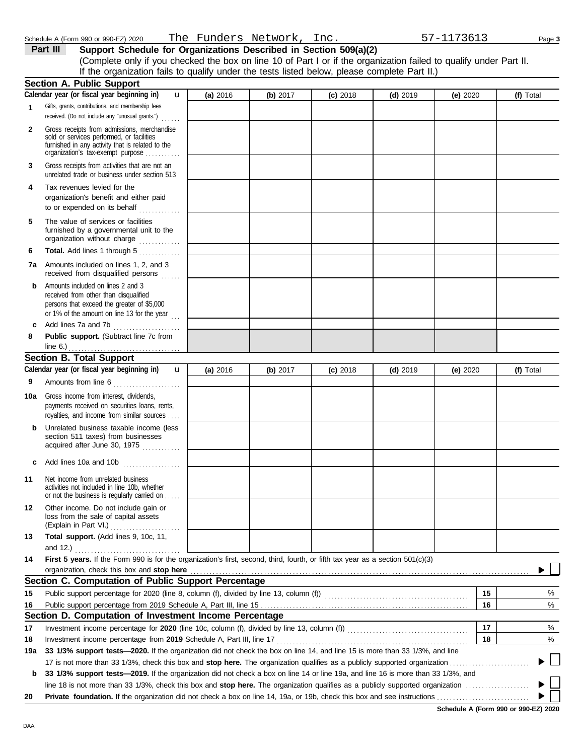**Part III Support Schedule for Organizations Described in Section 509(a)(2)** (Complete only if you checked the box on line 10 of Part I or if the organization failed to qualify under Part II. If the organization fails to qualify under the tests listed below, please complete Part II.)

|     | <b>Section A. Public Support</b>                                                                                                                                                  |            |            |            |            |            |           |
|-----|-----------------------------------------------------------------------------------------------------------------------------------------------------------------------------------|------------|------------|------------|------------|------------|-----------|
|     | Calendar year (or fiscal year beginning in)<br>u                                                                                                                                  | (a) 2016   | (b) $2017$ | $(c)$ 2018 | $(d)$ 2019 | (e) $2020$ | (f) Total |
| 1   | Gifts, grants, contributions, and membership fees<br>received. (Do not include any "unusual grants.")                                                                             |            |            |            |            |            |           |
| 2   | Gross receipts from admissions, merchandise<br>sold or services performed, or facilities<br>furnished in any activity that is related to the<br>organization's tax-exempt purpose |            |            |            |            |            |           |
| 3   | Gross receipts from activities that are not an<br>unrelated trade or business under section 513                                                                                   |            |            |            |            |            |           |
| 4   | Tax revenues levied for the<br>organization's benefit and either paid<br>to or expended on its behalf                                                                             |            |            |            |            |            |           |
| 5   | The value of services or facilities<br>furnished by a governmental unit to the<br>organization without charge                                                                     |            |            |            |            |            |           |
| 6   | Total. Add lines 1 through 5                                                                                                                                                      |            |            |            |            |            |           |
| 7a  | Amounts included on lines 1, 2, and 3<br>received from disqualified persons                                                                                                       |            |            |            |            |            |           |
| b   | Amounts included on lines 2 and 3<br>received from other than disqualified<br>persons that exceed the greater of \$5,000<br>or 1% of the amount on line 13 for the year $\ldots$  |            |            |            |            |            |           |
| c   | Add lines 7a and 7b<br>.                                                                                                                                                          |            |            |            |            |            |           |
| 8   | Public support. (Subtract line 7c from                                                                                                                                            |            |            |            |            |            |           |
|     | line $6.$ )                                                                                                                                                                       |            |            |            |            |            |           |
|     | <b>Section B. Total Support</b><br>Calendar year (or fiscal year beginning in)                                                                                                    |            |            |            |            |            |           |
|     | $\mathbf{u}$                                                                                                                                                                      | (a) $2016$ | (b) 2017   | $(c)$ 2018 | $(d)$ 2019 | (e) $2020$ | (f) Total |
| 9   | Amounts from line 6                                                                                                                                                               |            |            |            |            |            |           |
| 10a | Gross income from interest, dividends,<br>payments received on securities loans, rents,<br>royalties, and income from similar sources                                             |            |            |            |            |            |           |
| b   | Unrelated business taxable income (less<br>section 511 taxes) from businesses<br>acquired after June 30, 1975                                                                     |            |            |            |            |            |           |
| c   | Add lines 10a and 10b                                                                                                                                                             |            |            |            |            |            |           |
| 11  | Net income from unrelated business<br>activities not included in line 10b, whether<br>or not the business is regularly carried on                                                 |            |            |            |            |            |           |
| 12  | Other income. Do not include gain or<br>loss from the sale of capital assets<br>(Explain in Part VI.)                                                                             |            |            |            |            |            |           |
| 13  | Total support. (Add lines 9, 10c, 11,<br>and $12.$ )                                                                                                                              |            |            |            |            |            |           |
| 14  | First 5 years. If the Form 990 is for the organization's first, second, third, fourth, or fifth tax year as a section 501(c)(3)                                                   |            |            |            |            |            |           |
|     | organization, check this box and stop here                                                                                                                                        |            |            |            |            |            |           |
|     | Section C. Computation of Public Support Percentage                                                                                                                               |            |            |            |            |            |           |
| 15  |                                                                                                                                                                                   |            |            |            |            | 15         | %         |
| 16  |                                                                                                                                                                                   |            |            |            |            | 16         | %         |
|     | Section D. Computation of Investment Income Percentage                                                                                                                            |            |            |            |            |            |           |
| 17  |                                                                                                                                                                                   |            |            |            |            | 17         | %         |
| 18  | Investment income percentage from 2019 Schedule A, Part III, line 17                                                                                                              |            |            |            |            | 18         | %         |
| 19a | 33 1/3% support tests-2020. If the organization did not check the box on line 14, and line 15 is more than 33 1/3%, and line                                                      |            |            |            |            |            |           |
|     |                                                                                                                                                                                   |            |            |            |            |            |           |
| b   | 33 1/3% support tests-2019. If the organization did not check a box on line 14 or line 19a, and line 16 is more than 33 1/3%, and                                                 |            |            |            |            |            |           |
|     |                                                                                                                                                                                   |            |            |            |            |            |           |
| 20  |                                                                                                                                                                                   |            |            |            |            |            |           |

**Schedule A (Form 990 or 990-EZ) 2020**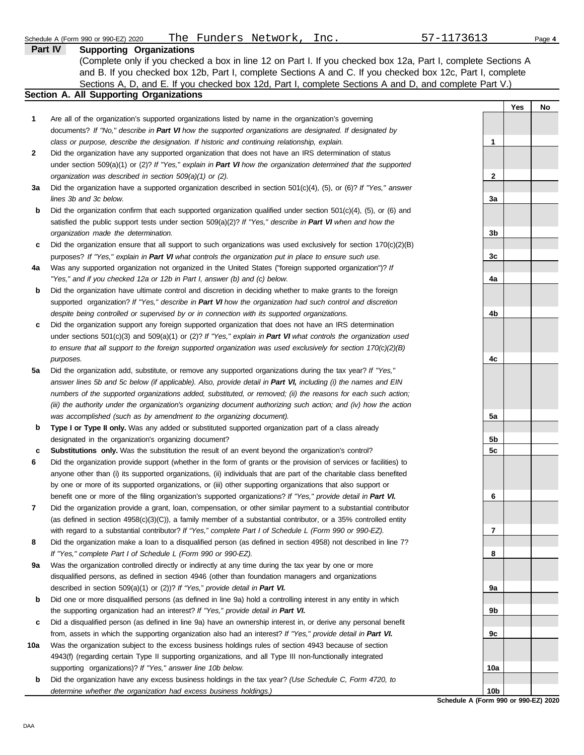|         | The Funders Network, Inc.<br>Schedule A (Form 990 or 990-EZ) 2020                                                   | 57-1173613      |     | Page 4 |
|---------|---------------------------------------------------------------------------------------------------------------------|-----------------|-----|--------|
| Part IV | <b>Supporting Organizations</b>                                                                                     |                 |     |        |
|         | (Complete only if you checked a box in line 12 on Part I. If you checked box 12a, Part I, complete Sections A       |                 |     |        |
|         | and B. If you checked box 12b, Part I, complete Sections A and C. If you checked box 12c, Part I, complete          |                 |     |        |
|         | Sections A, D, and E. If you checked box 12d, Part I, complete Sections A and D, and complete Part V.)              |                 |     |        |
|         | <b>Section A. All Supporting Organizations</b>                                                                      |                 |     |        |
|         |                                                                                                                     |                 | Yes | No     |
| 1       | Are all of the organization's supported organizations listed by name in the organization's governing                |                 |     |        |
|         | documents? If "No," describe in Part VI how the supported organizations are designated. If designated by            |                 |     |        |
|         | class or purpose, describe the designation. If historic and continuing relationship, explain.                       | 1               |     |        |
| 2       | Did the organization have any supported organization that does not have an IRS determination of status              |                 |     |        |
|         | under section 509(a)(1) or (2)? If "Yes," explain in Part VI how the organization determined that the supported     |                 |     |        |
|         | organization was described in section 509(a)(1) or (2).                                                             | 2               |     |        |
| За      | Did the organization have a supported organization described in section $501(c)(4)$ , (5), or (6)? If "Yes," answer |                 |     |        |
|         | lines 3b and 3c below.                                                                                              | 3a              |     |        |
| b       | Did the organization confirm that each supported organization qualified under section $501(c)(4)$ , (5), or (6) and |                 |     |        |
|         | satisfied the public support tests under section 509(a)(2)? If "Yes," describe in Part VI when and how the          |                 |     |        |
|         | organization made the determination.                                                                                | 3b              |     |        |
|         |                                                                                                                     |                 |     |        |
| c       | Did the organization ensure that all support to such organizations was used exclusively for section $170(c)(2)(B)$  |                 |     |        |
|         | purposes? If "Yes," explain in Part VI what controls the organization put in place to ensure such use.              | 3c              |     |        |
| 4a      | Was any supported organization not organized in the United States ("foreign supported organization")? If            |                 |     |        |
|         | "Yes," and if you checked 12a or 12b in Part I, answer (b) and (c) below.                                           | 4a              |     |        |
| b       | Did the organization have ultimate control and discretion in deciding whether to make grants to the foreign         |                 |     |        |
|         | supported organization? If "Yes," describe in Part VI how the organization had such control and discretion          |                 |     |        |
|         | despite being controlled or supervised by or in connection with its supported organizations.                        | 4b              |     |        |
| c       | Did the organization support any foreign supported organization that does not have an IRS determination             |                 |     |        |
|         | under sections $501(c)(3)$ and $509(a)(1)$ or (2)? If "Yes," explain in Part VI what controls the organization used |                 |     |        |
|         | to ensure that all support to the foreign supported organization was used exclusively for section 170(c)(2)(B)      |                 |     |        |
|         | purposes.                                                                                                           | 4c              |     |        |
| 5a      | Did the organization add, substitute, or remove any supported organizations during the tax year? If "Yes,"          |                 |     |        |
|         | answer lines 5b and 5c below (if applicable). Also, provide detail in Part VI, including (i) the names and EIN      |                 |     |        |
|         | numbers of the supported organizations added, substituted, or removed; (ii) the reasons for each such action;       |                 |     |        |
|         | (iii) the authority under the organization's organizing document authorizing such action; and (iv) how the action   |                 |     |        |
|         | was accomplished (such as by amendment to the organizing document).                                                 | 5a              |     |        |
| b       | Type I or Type II only. Was any added or substituted supported organization part of a class already                 |                 |     |        |
|         | designated in the organization's organizing document?                                                               | 5b              |     |        |
| c       | Substitutions only. Was the substitution the result of an event beyond the organization's control?                  | 5c              |     |        |
|         | Did the organization provide support (whether in the form of grants or the provision of services or facilities) to  |                 |     |        |
|         | anyone other than (i) its supported organizations, (ii) individuals that are part of the charitable class benefited |                 |     |        |
|         | by one or more of its supported organizations, or (iii) other supporting organizations that also support or         |                 |     |        |
|         | benefit one or more of the filing organization's supported organizations? If "Yes," provide detail in Part VI.      | 6               |     |        |
| 7       | Did the organization provide a grant, loan, compensation, or other similar payment to a substantial contributor     |                 |     |        |
|         | (as defined in section $4958(c)(3)(C)$ ), a family member of a substantial contributor, or a 35% controlled entity  |                 |     |        |
|         | with regard to a substantial contributor? If "Yes," complete Part I of Schedule L (Form 990 or 990-EZ).             | 7               |     |        |
| 8       | Did the organization make a loan to a disqualified person (as defined in section 4958) not described in line 7?     |                 |     |        |
|         | If "Yes," complete Part I of Schedule L (Form 990 or 990-EZ).                                                       | 8               |     |        |
|         |                                                                                                                     |                 |     |        |
| 9a      | Was the organization controlled directly or indirectly at any time during the tax year by one or more               |                 |     |        |
|         | disqualified persons, as defined in section 4946 (other than foundation managers and organizations                  |                 |     |        |
|         | described in section 509(a)(1) or (2))? If "Yes," provide detail in Part VI.                                        | 9а              |     |        |
| b       | Did one or more disqualified persons (as defined in line 9a) hold a controlling interest in any entity in which     |                 |     |        |
|         | the supporting organization had an interest? If "Yes," provide detail in Part VI.                                   | 9b              |     |        |
| c       | Did a disqualified person (as defined in line 9a) have an ownership interest in, or derive any personal benefit     |                 |     |        |
|         | from, assets in which the supporting organization also had an interest? If "Yes," provide detail in Part VI.        | 9c              |     |        |
| 10a     | Was the organization subject to the excess business holdings rules of section 4943 because of section               |                 |     |        |
|         | 4943(f) (regarding certain Type II supporting organizations, and all Type III non-functionally integrated           |                 |     |        |
|         | supporting organizations)? If "Yes," answer line 10b below.                                                         | 10a             |     |        |
| b       | Did the organization have any excess business holdings in the tax year? (Use Schedule C, Form 4720, to              |                 |     |        |
|         | determine whether the organization had excess business holdings.)                                                   | 10 <sub>b</sub> |     |        |

**Schedule A (Form 990 or 990-EZ) 2020**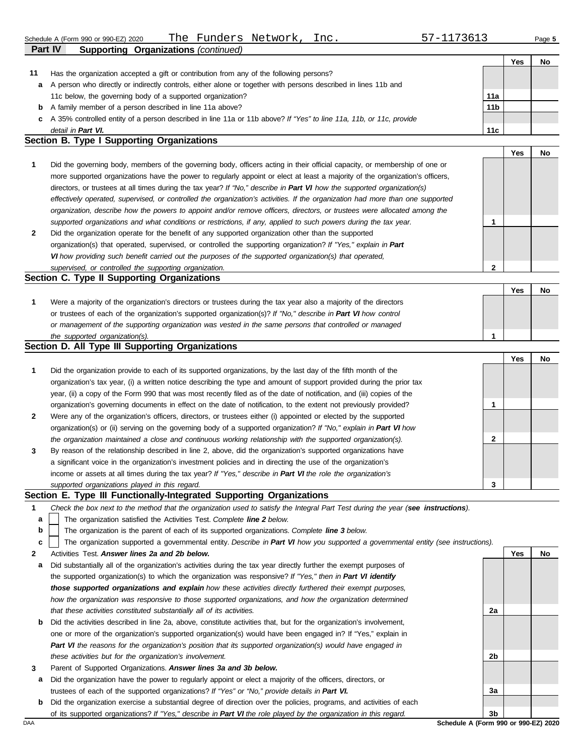| 57-1173613 |  |  |  |  |
|------------|--|--|--|--|
|            |  |  |  |  |

|    |                                                                                                                      |                 | Yes | No |
|----|----------------------------------------------------------------------------------------------------------------------|-----------------|-----|----|
| 11 | Has the organization accepted a gift or contribution from any of the following persons?                              |                 |     |    |
| a  | A person who directly or indirectly controls, either alone or together with persons described in lines 11b and       |                 |     |    |
|    | 11c below, the governing body of a supported organization?                                                           | 11a             |     |    |
| b  | A family member of a person described in line 11a above?                                                             | 11 <sub>b</sub> |     |    |
|    | c A 35% controlled entity of a person described in line 11a or 11b above? If "Yes" to line 11a, 11b, or 11c, provide |                 |     |    |
|    | detail in Part VI.                                                                                                   | 11с             |     |    |

### **Section B. Type I Supporting Organizations**

**Part IV Supporting Organizations** *(continued)*

|                |                                                                                                                                |   | Yes | <b>No</b> |
|----------------|--------------------------------------------------------------------------------------------------------------------------------|---|-----|-----------|
| 1              | Did the governing body, members of the governing body, officers acting in their official capacity, or membership of one or     |   |     |           |
|                | more supported organizations have the power to regularly appoint or elect at least a majority of the organization's officers,  |   |     |           |
|                | directors, or trustees at all times during the tax year? If "No," describe in Part VI how the supported organization(s)        |   |     |           |
|                | effectively operated, supervised, or controlled the organization's activities. If the organization had more than one supported |   |     |           |
|                | organization, describe how the powers to appoint and/or remove officers, directors, or trustees were allocated among the       |   |     |           |
|                | supported organizations and what conditions or restrictions, if any, applied to such powers during the tax year.               |   |     |           |
| $\overline{2}$ | Did the organization operate for the benefit of any supported organization other than the supported                            |   |     |           |
|                | organization(s) that operated, supervised, or controlled the supporting organization? If "Yes," explain in Part                |   |     |           |
|                | VI how providing such benefit carried out the purposes of the supported organization(s) that operated,                         |   |     |           |
|                | supervised, or controlled the supporting organization.                                                                         | ົ |     |           |

## *supervised, or controlled the supporting organization.* **Section C. Type II Supporting Organizations**

|                                                                                                                  |  | Nc |
|------------------------------------------------------------------------------------------------------------------|--|----|
| Were a majority of the organization's directors or trustees during the tax year also a majority of the directors |  |    |
| or trustees of each of the organization's supported organization(s)? If "No," describe in Part VI how control    |  |    |
| or management of the supporting organization was vested in the same persons that controlled or managed           |  |    |
| the supported organization(s).                                                                                   |  |    |

## **Section D. All Type III Supporting Organizations**

|                |                                                                                                                        |   | Yes | No |
|----------------|------------------------------------------------------------------------------------------------------------------------|---|-----|----|
| 1              | Did the organization provide to each of its supported organizations, by the last day of the fifth month of the         |   |     |    |
|                | organization's tax year, (i) a written notice describing the type and amount of support provided during the prior tax  |   |     |    |
|                | year, (ii) a copy of the Form 990 that was most recently filed as of the date of notification, and (iii) copies of the |   |     |    |
|                | organization's governing documents in effect on the date of notification, to the extent not previously provided?       |   |     |    |
| $\overline{2}$ | Were any of the organization's officers, directors, or trustees either (i) appointed or elected by the supported       |   |     |    |
|                | organization(s) or (ii) serving on the governing body of a supported organization? If "No," explain in Part VI how     |   |     |    |
|                | the organization maintained a close and continuous working relationship with the supported organization(s).            | 2 |     |    |
| $\mathbf{3}$   | By reason of the relationship described in line 2, above, did the organization's supported organizations have          |   |     |    |
|                | a significant voice in the organization's investment policies and in directing the use of the organization's           |   |     |    |
|                | income or assets at all times during the tax year? If "Yes," describe in Part VI the role the organization's           |   |     |    |
|                | supported organizations played in this regard.                                                                         | 3 |     |    |

## **Section E. Type III Functionally-Integrated Supporting Organizations**

| Check the box next to the method that the organization used to satisfy the Integral Part Test during the year (see instructions). |  |  |
|-----------------------------------------------------------------------------------------------------------------------------------|--|--|
|                                                                                                                                   |  |  |

- The organization satisfied the Activities Test. *Complete line 2 below.* **a**
- The organization is the parent of each of its supported organizations. *Complete line 3 below.* **b**

The organization supported a governmental entity. *Describe in Part VI how you supported a governmental entity (see instructions).* **c**

- **2** Activities Test. *Answer lines 2a and 2b below.*
- **a** Did substantially all of the organization's activities during the tax year directly further the exempt purposes of the supported organization(s) to which the organization was responsive? *If "Yes," then in Part VI identify those supported organizations and explain how these activities directly furthered their exempt purposes,*  how the organization was responsive to those supported organizations, and how the organization determined *that these activities constituted substantially all of its activities.*
- **b** Did the activities described in line 2a, above, constitute activities that, but for the organization's involvement, one or more of the organization's supported organization(s) would have been engaged in? If "Yes," explain in *Part VI the reasons for the organization's position that its supported organization(s) would have engaged in these activities but for the organization's involvement.*
- **3** Parent of Supported Organizations. *Answer lines 3a and 3b below.*
- **a** Did the organization have the power to regularly appoint or elect a majority of the officers, directors, or trustees of each of the supported organizations? *If "Yes" or "No," provide details in Part VI.*
- **b** Did the organization exercise a substantial degree of direction over the policies, programs, and activities of each of its supported organizations? *If "Yes," describe in Part VI the role played by the organization in this regard.*

**Yes No 2a 2b 3a 3b**

DAA **Schedule A (Form 990 or 990-EZ) 2020**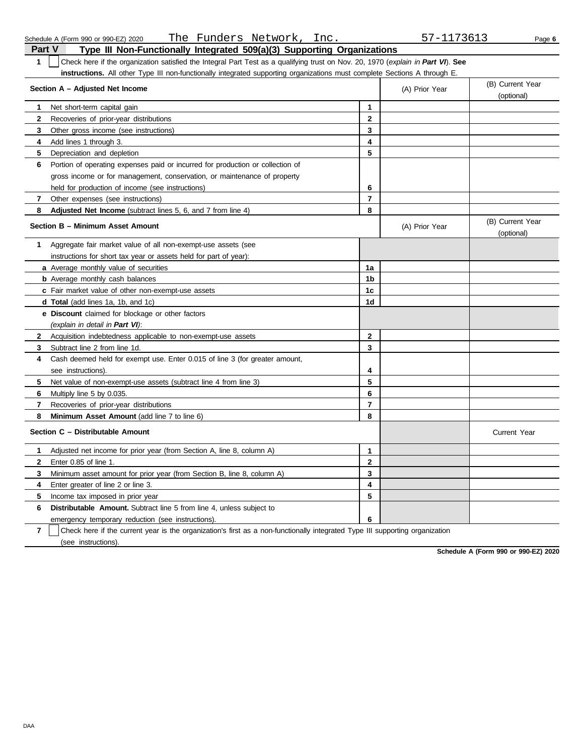|              | <b>instructions.</b> All other Type III non-functionally integrated supporting organizations must complete Sections A through E. |                         |                |                                |
|--------------|----------------------------------------------------------------------------------------------------------------------------------|-------------------------|----------------|--------------------------------|
|              | Section A - Adjusted Net Income                                                                                                  |                         | (A) Prior Year | (B) Current Year<br>(optional) |
| 1            | Net short-term capital gain                                                                                                      | 1                       |                |                                |
| $\mathbf{2}$ | Recoveries of prior-year distributions                                                                                           | $\mathbf{2}$            |                |                                |
| 3            | Other gross income (see instructions)                                                                                            | 3                       |                |                                |
| 4            | Add lines 1 through 3.                                                                                                           | 4                       |                |                                |
| 5            | Depreciation and depletion                                                                                                       | 5                       |                |                                |
| 6            | Portion of operating expenses paid or incurred for production or collection of                                                   |                         |                |                                |
|              | gross income or for management, conservation, or maintenance of property                                                         |                         |                |                                |
|              | held for production of income (see instructions)                                                                                 | 6                       |                |                                |
| 7            | Other expenses (see instructions)                                                                                                | 7                       |                |                                |
| 8            | Adjusted Net Income (subtract lines 5, 6, and 7 from line 4)                                                                     | 8                       |                |                                |
|              | Section B - Minimum Asset Amount                                                                                                 |                         | (A) Prior Year | (B) Current Year<br>(optional) |
| 1            | Aggregate fair market value of all non-exempt-use assets (see                                                                    |                         |                |                                |
|              | instructions for short tax year or assets held for part of year):                                                                |                         |                |                                |
|              | a Average monthly value of securities                                                                                            | 1a                      |                |                                |
|              | <b>b</b> Average monthly cash balances                                                                                           | 1 <sub>b</sub>          |                |                                |
|              | c Fair market value of other non-exempt-use assets                                                                               | 1c                      |                |                                |
|              | <b>d Total</b> (add lines 1a, 1b, and 1c)                                                                                        | 1d                      |                |                                |
|              | <b>e</b> Discount claimed for blockage or other factors                                                                          |                         |                |                                |
|              | (explain in detail in Part VI):                                                                                                  |                         |                |                                |
| $\mathbf{2}$ | Acquisition indebtedness applicable to non-exempt-use assets                                                                     | $\mathbf{2}$            |                |                                |
| 3            | Subtract line 2 from line 1d.                                                                                                    | 3                       |                |                                |
| 4            | Cash deemed held for exempt use. Enter 0.015 of line 3 (for greater amount,                                                      |                         |                |                                |
|              | see instructions).                                                                                                               | 4                       |                |                                |
| 5            | Net value of non-exempt-use assets (subtract line 4 from line 3)                                                                 | 5                       |                |                                |
| 6            | Multiply line 5 by 0.035.                                                                                                        | 6                       |                |                                |
| 7            | Recoveries of prior-year distributions                                                                                           | $\overline{7}$          |                |                                |
| 8            | <b>Minimum Asset Amount (add line 7 to line 6)</b>                                                                               | 8                       |                |                                |
|              | Section C - Distributable Amount                                                                                                 |                         |                | <b>Current Year</b>            |
| 1            | Adjusted net income for prior year (from Section A, line 8, column A)                                                            | 1                       |                |                                |
| $\mathbf{2}$ | Enter 0.85 of line 1.                                                                                                            | $\mathbf 2$             |                |                                |
| 3            | Minimum asset amount for prior year (from Section B, line 8, column A)                                                           | 3                       |                |                                |
| 4            | Enter greater of line 2 or line 3.                                                                                               | $\overline{\mathbf{4}}$ |                |                                |
| 5            | Income tax imposed in prior year                                                                                                 | 5                       |                |                                |
| 6            | <b>Distributable Amount.</b> Subtract line 5 from line 4, unless subject to                                                      |                         |                |                                |
|              | emergency temporary reduction (see instructions).                                                                                | 6                       |                |                                |
| 7            | Check here if the current year is the organization's first as a non-functionally integrated Type III supporting organization     |                         |                |                                |

**Part V Type III Non-Functionally Integrated 509(a)(3) Supporting Organizations** Schedule A (Form 990 or 990-EZ) 2020 Page **6** The Funders Network, Inc. 57-1173613

**1** Check here if the organization satisfied the Integral Part Test as a qualifying trust on Nov. 20, 1970 (*explain in Part VI*). **See** 

DAA

(see instructions).

**Schedule A (Form 990 or 990-EZ) 2020**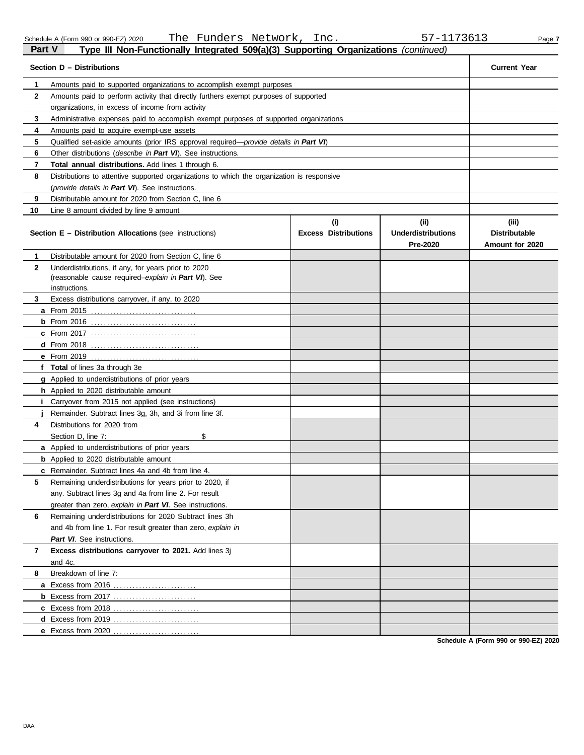|--|

Schedule A (Form 990 or 990-EZ) 2020 The Funders Network, Inc. 57-1173613 Page <mark>7</mark>

|                | The Funders Network,<br>Schedule A (Form 990 or 990-EZ) 2020                               | Inc.                               | 57-1173613                                           | Page 7                                           |
|----------------|--------------------------------------------------------------------------------------------|------------------------------------|------------------------------------------------------|--------------------------------------------------|
| <b>Part V</b>  | Type III Non-Functionally Integrated 509(a)(3) Supporting Organizations (continued)        |                                    |                                                      |                                                  |
|                | Section D - Distributions                                                                  |                                    |                                                      | <b>Current Year</b>                              |
| 1              | Amounts paid to supported organizations to accomplish exempt purposes                      |                                    |                                                      |                                                  |
| $\mathbf{2}$   | Amounts paid to perform activity that directly furthers exempt purposes of supported       |                                    |                                                      |                                                  |
|                | organizations, in excess of income from activity                                           |                                    |                                                      |                                                  |
| 3              | Administrative expenses paid to accomplish exempt purposes of supported organizations      |                                    |                                                      |                                                  |
| 4              | Amounts paid to acquire exempt-use assets                                                  |                                    |                                                      |                                                  |
| 5              | Qualified set-aside amounts (prior IRS approval required-provide details in Part VI)       |                                    |                                                      |                                                  |
| 6              | Other distributions (describe in Part VI). See instructions.                               |                                    |                                                      |                                                  |
| $\overline{7}$ | Total annual distributions. Add lines 1 through 6.                                         |                                    |                                                      |                                                  |
| 8              | Distributions to attentive supported organizations to which the organization is responsive |                                    |                                                      |                                                  |
|                | (provide details in Part VI). See instructions.                                            |                                    |                                                      |                                                  |
| 9              | Distributable amount for 2020 from Section C, line 6                                       |                                    |                                                      |                                                  |
| 10             | Line 8 amount divided by line 9 amount                                                     |                                    |                                                      |                                                  |
|                | <b>Section E - Distribution Allocations (see instructions)</b>                             | (i)<br><b>Excess Distributions</b> | (ii)<br><b>Underdistributions</b><br><b>Pre-2020</b> | (iii)<br><b>Distributable</b><br>Amount for 2020 |
| 1              | Distributable amount for 2020 from Section C, line 6                                       |                                    |                                                      |                                                  |
| $\overline{2}$ | Underdistributions, if any, for years prior to 2020                                        |                                    |                                                      |                                                  |
|                | (reasonable cause required-explain in Part VI). See                                        |                                    |                                                      |                                                  |
|                | instructions.                                                                              |                                    |                                                      |                                                  |
| 3              | Excess distributions carryover, if any, to 2020                                            |                                    |                                                      |                                                  |
|                |                                                                                            |                                    |                                                      |                                                  |
|                |                                                                                            |                                    |                                                      |                                                  |
|                |                                                                                            |                                    |                                                      |                                                  |
|                | <b>e</b> From 2019                                                                         |                                    |                                                      |                                                  |
|                | f Total of lines 3a through 3e                                                             |                                    |                                                      |                                                  |
|                | g Applied to underdistributions of prior years                                             |                                    |                                                      |                                                  |
|                | h Applied to 2020 distributable amount                                                     |                                    |                                                      |                                                  |
|                | Carryover from 2015 not applied (see instructions)                                         |                                    |                                                      |                                                  |
|                | Remainder. Subtract lines 3g, 3h, and 3i from line 3f.                                     |                                    |                                                      |                                                  |
| 4              | Distributions for 2020 from                                                                |                                    |                                                      |                                                  |
|                | \$<br>Section D, line 7:                                                                   |                                    |                                                      |                                                  |
|                | <b>a</b> Applied to underdistributions of prior years                                      |                                    |                                                      |                                                  |
|                | <b>b</b> Applied to 2020 distributable amount                                              |                                    |                                                      |                                                  |
|                | c Remainder. Subtract lines 4a and 4b from line 4.                                         |                                    |                                                      |                                                  |
| 5              | Remaining underdistributions for years prior to 2020, if                                   |                                    |                                                      |                                                  |
|                | any. Subtract lines 3g and 4a from line 2. For result                                      |                                    |                                                      |                                                  |
|                | greater than zero, explain in Part VI. See instructions.                                   |                                    |                                                      |                                                  |
| 6              | Remaining underdistributions for 2020 Subtract lines 3h                                    |                                    |                                                      |                                                  |
|                | and 4b from line 1. For result greater than zero, explain in                               |                                    |                                                      |                                                  |
|                | Part VI. See instructions.                                                                 |                                    |                                                      |                                                  |
| $\overline{7}$ | Excess distributions carryover to 2021. Add lines 3j                                       |                                    |                                                      |                                                  |
|                | and 4c.                                                                                    |                                    |                                                      |                                                  |
| 8              | Breakdown of line 7:                                                                       |                                    |                                                      |                                                  |
|                | a Excess from 2016                                                                         |                                    |                                                      |                                                  |
|                | <b>b</b> Excess from 2017                                                                  |                                    |                                                      |                                                  |
|                |                                                                                            |                                    |                                                      |                                                  |
|                | d Excess from 2019                                                                         |                                    |                                                      |                                                  |
|                | e Excess from 2020                                                                         |                                    |                                                      |                                                  |

**Schedule A (Form 990 or 990-EZ) 2020**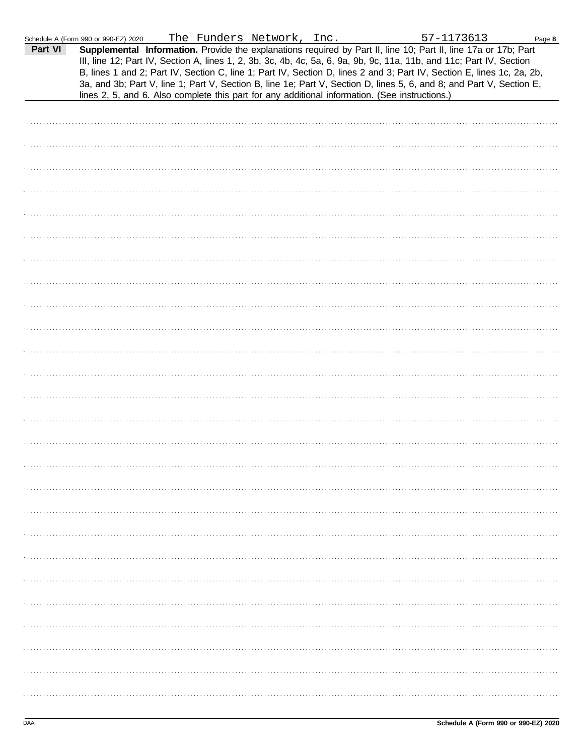|         | Schedule A (Form 990 or 990-EZ) 2020 |                                                                                                                                                                                                                                                                                                                                                                                                                                                                                                                                                                                             |  | The Funders Network, Inc. 57-1173613 | Page 8 |
|---------|--------------------------------------|---------------------------------------------------------------------------------------------------------------------------------------------------------------------------------------------------------------------------------------------------------------------------------------------------------------------------------------------------------------------------------------------------------------------------------------------------------------------------------------------------------------------------------------------------------------------------------------------|--|--------------------------------------|--------|
| Part VI |                                      | Supplemental Information. Provide the explanations required by Part II, line 10; Part II, line 17a or 17b; Part<br>III, line 12; Part IV, Section A, lines 1, 2, 3b, 3c, 4b, 4c, 5a, 6, 9a, 9b, 9c, 11a, 11b, and 11c; Part IV, Section<br>B, lines 1 and 2; Part IV, Section C, line 1; Part IV, Section D, lines 2 and 3; Part IV, Section E, lines 1c, 2a, 2b,<br>3a, and 3b; Part V, line 1; Part V, Section B, line 1e; Part V, Section D, lines 5, 6, and 8; and Part V, Section E,<br>lines 2, 5, and 6. Also complete this part for any additional information. (See instructions.) |  |                                      |        |
|         |                                      |                                                                                                                                                                                                                                                                                                                                                                                                                                                                                                                                                                                             |  |                                      |        |
|         |                                      |                                                                                                                                                                                                                                                                                                                                                                                                                                                                                                                                                                                             |  |                                      |        |
|         |                                      |                                                                                                                                                                                                                                                                                                                                                                                                                                                                                                                                                                                             |  |                                      |        |
|         |                                      |                                                                                                                                                                                                                                                                                                                                                                                                                                                                                                                                                                                             |  |                                      |        |
|         |                                      |                                                                                                                                                                                                                                                                                                                                                                                                                                                                                                                                                                                             |  |                                      |        |
|         |                                      |                                                                                                                                                                                                                                                                                                                                                                                                                                                                                                                                                                                             |  |                                      |        |
|         |                                      |                                                                                                                                                                                                                                                                                                                                                                                                                                                                                                                                                                                             |  |                                      |        |
|         |                                      |                                                                                                                                                                                                                                                                                                                                                                                                                                                                                                                                                                                             |  |                                      |        |
|         |                                      |                                                                                                                                                                                                                                                                                                                                                                                                                                                                                                                                                                                             |  |                                      |        |
|         |                                      |                                                                                                                                                                                                                                                                                                                                                                                                                                                                                                                                                                                             |  |                                      |        |
|         |                                      |                                                                                                                                                                                                                                                                                                                                                                                                                                                                                                                                                                                             |  |                                      |        |
|         |                                      |                                                                                                                                                                                                                                                                                                                                                                                                                                                                                                                                                                                             |  |                                      |        |
|         |                                      |                                                                                                                                                                                                                                                                                                                                                                                                                                                                                                                                                                                             |  |                                      |        |
|         |                                      |                                                                                                                                                                                                                                                                                                                                                                                                                                                                                                                                                                                             |  |                                      |        |
|         |                                      |                                                                                                                                                                                                                                                                                                                                                                                                                                                                                                                                                                                             |  |                                      |        |
|         |                                      |                                                                                                                                                                                                                                                                                                                                                                                                                                                                                                                                                                                             |  |                                      |        |
|         |                                      |                                                                                                                                                                                                                                                                                                                                                                                                                                                                                                                                                                                             |  |                                      |        |
|         |                                      |                                                                                                                                                                                                                                                                                                                                                                                                                                                                                                                                                                                             |  |                                      |        |
|         |                                      |                                                                                                                                                                                                                                                                                                                                                                                                                                                                                                                                                                                             |  |                                      |        |
|         |                                      |                                                                                                                                                                                                                                                                                                                                                                                                                                                                                                                                                                                             |  |                                      |        |
|         |                                      |                                                                                                                                                                                                                                                                                                                                                                                                                                                                                                                                                                                             |  |                                      |        |
|         |                                      |                                                                                                                                                                                                                                                                                                                                                                                                                                                                                                                                                                                             |  |                                      |        |
|         |                                      |                                                                                                                                                                                                                                                                                                                                                                                                                                                                                                                                                                                             |  |                                      |        |
|         |                                      |                                                                                                                                                                                                                                                                                                                                                                                                                                                                                                                                                                                             |  |                                      |        |
|         |                                      |                                                                                                                                                                                                                                                                                                                                                                                                                                                                                                                                                                                             |  |                                      |        |
|         |                                      |                                                                                                                                                                                                                                                                                                                                                                                                                                                                                                                                                                                             |  |                                      |        |
|         |                                      |                                                                                                                                                                                                                                                                                                                                                                                                                                                                                                                                                                                             |  |                                      |        |
|         |                                      |                                                                                                                                                                                                                                                                                                                                                                                                                                                                                                                                                                                             |  |                                      |        |
|         |                                      |                                                                                                                                                                                                                                                                                                                                                                                                                                                                                                                                                                                             |  |                                      |        |
|         |                                      |                                                                                                                                                                                                                                                                                                                                                                                                                                                                                                                                                                                             |  |                                      |        |
|         |                                      |                                                                                                                                                                                                                                                                                                                                                                                                                                                                                                                                                                                             |  |                                      |        |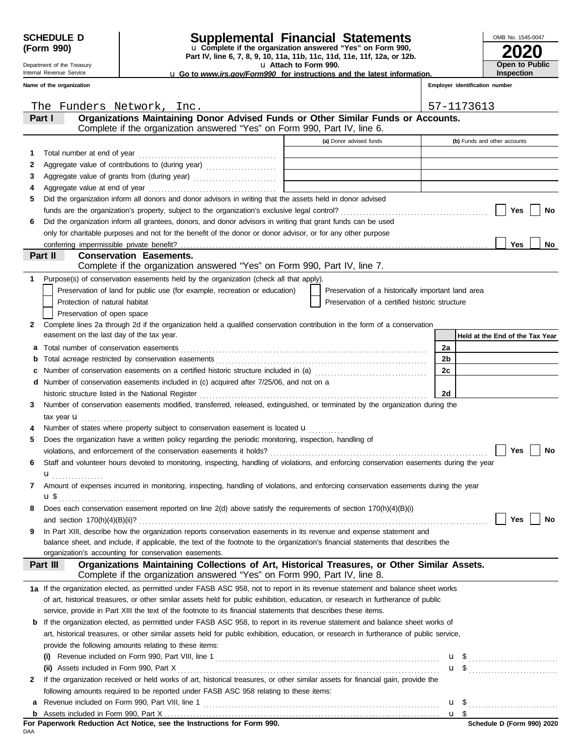# **SCHEDULE D Supplemental Financial Statements**

**Part IV, line 6, 7, 8, 9, 10, 11a, 11b, 11c, 11d, 11e, 11f, 12a, or 12b.** u **Complete if the organization answered "Yes" on Form 990,**

u **Attach to Form 990.** 

| 2020                                |
|-------------------------------------|
| Open to Public<br><b>Inspection</b> |

OMB No. 1545-0047

u **Go to** *www.irs.gov/Form990* **for instructions and the latest information.**

## Internal Revenue Service **Name of the organization**

Department of the Treasury

|        | The Funders Network, Inc. |                                                                                   | 57-1173613 |
|--------|---------------------------|-----------------------------------------------------------------------------------|------------|
| Part I |                           | Organizations Maintaining Donor Advised Funds or Other Similar Funds or Accounts. |            |

**Employer identification number**

|              | Complete if the organization answered "Yes" on Form 990, Part IV, line 6.                                                                 |                                                    |       |                                 |
|--------------|-------------------------------------------------------------------------------------------------------------------------------------------|----------------------------------------------------|-------|---------------------------------|
|              |                                                                                                                                           | (a) Donor advised funds                            |       | (b) Funds and other accounts    |
| 1            |                                                                                                                                           |                                                    |       |                                 |
| 2            |                                                                                                                                           | the control of the control of the control of       |       |                                 |
| 3            | Aggregate value of grants from (during year)                                                                                              |                                                    |       |                                 |
| 4            |                                                                                                                                           |                                                    |       |                                 |
| 5            | Did the organization inform all donors and donor advisors in writing that the assets held in donor advised                                |                                                    |       |                                 |
|              |                                                                                                                                           |                                                    |       | Yes<br>No                       |
| 6            | Did the organization inform all grantees, donors, and donor advisors in writing that grant funds can be used                              |                                                    |       |                                 |
|              | only for charitable purposes and not for the benefit of the donor or donor advisor, or for any other purpose                              |                                                    |       |                                 |
|              |                                                                                                                                           |                                                    |       | Yes<br>No                       |
|              | Part II<br><b>Conservation Easements.</b>                                                                                                 |                                                    |       |                                 |
|              | Complete if the organization answered "Yes" on Form 990, Part IV, line 7.                                                                 |                                                    |       |                                 |
| 1            | Purpose(s) of conservation easements held by the organization (check all that apply).                                                     |                                                    |       |                                 |
|              | Preservation of land for public use (for example, recreation or education)                                                                | Preservation of a historically important land area |       |                                 |
|              | Protection of natural habitat                                                                                                             | Preservation of a certified historic structure     |       |                                 |
|              | Preservation of open space                                                                                                                |                                                    |       |                                 |
| $\mathbf{2}$ | Complete lines 2a through 2d if the organization held a qualified conservation contribution in the form of a conservation                 |                                                    |       |                                 |
|              | easement on the last day of the tax year.                                                                                                 |                                                    |       | Held at the End of the Tax Year |
| a            |                                                                                                                                           |                                                    | 2a    |                                 |
| b            |                                                                                                                                           |                                                    | 2b    |                                 |
| c            |                                                                                                                                           |                                                    | 2c    |                                 |
|              | d Number of conservation easements included in (c) acquired after 7/25/06, and not on a                                                   |                                                    |       |                                 |
|              | historic structure listed in the National Register                                                                                        |                                                    | 2d    |                                 |
| 3            | Number of conservation easements modified, transferred, released, extinguished, or terminated by the organization during the              |                                                    |       |                                 |
|              | tax year <b>u</b>                                                                                                                         |                                                    |       |                                 |
|              | Number of states where property subject to conservation easement is located $\mathbf u$                                                   |                                                    |       |                                 |
| 5            | Does the organization have a written policy regarding the periodic monitoring, inspection, handling of                                    |                                                    |       |                                 |
|              |                                                                                                                                           |                                                    |       | Yes<br>No                       |
| 6            | Staff and volunteer hours devoted to monitoring, inspecting, handling of violations, and enforcing conservation easements during the year |                                                    |       |                                 |
|              | $\mathbf{u}$ is a serious set of $\mathbf{u}$                                                                                             |                                                    |       |                                 |
| 7            | Amount of expenses incurred in monitoring, inspecting, handling of violations, and enforcing conservation easements during the year       |                                                    |       |                                 |
|              | u \$                                                                                                                                      |                                                    |       |                                 |
| 8            | Does each conservation easement reported on line 2(d) above satisfy the requirements of section 170(h)(4)(B)(i)                           |                                                    |       |                                 |
|              |                                                                                                                                           |                                                    |       | Yes<br>No                       |
| 9            | In Part XIII, describe how the organization reports conservation easements in its revenue and expense statement and                       |                                                    |       |                                 |
|              | balance sheet, and include, if applicable, the text of the footnote to the organization's financial statements that describes the         |                                                    |       |                                 |
|              | organization's accounting for conservation easements.                                                                                     |                                                    |       |                                 |
|              | Organizations Maintaining Collections of Art, Historical Treasures, or Other Similar Assets.<br>Part III                                  |                                                    |       |                                 |
|              | Complete if the organization answered "Yes" on Form 990, Part IV, line 8.                                                                 |                                                    |       |                                 |
|              | 1a If the organization elected, as permitted under FASB ASC 958, not to report in its revenue statement and balance sheet works           |                                                    |       |                                 |
|              | of art, historical treasures, or other similar assets held for public exhibition, education, or research in furtherance of public         |                                                    |       |                                 |
|              | service, provide in Part XIII the text of the footnote to its financial statements that describes these items.                            |                                                    |       |                                 |
|              | <b>b</b> If the organization elected, as permitted under FASB ASC 958, to report in its revenue statement and balance sheet works of      |                                                    |       |                                 |
|              | art, historical treasures, or other similar assets held for public exhibition, education, or research in furtherance of public service,   |                                                    |       |                                 |
|              | provide the following amounts relating to these items:                                                                                    |                                                    |       |                                 |
|              |                                                                                                                                           |                                                    |       | u \$                            |
|              | (ii) Assets included in Form 990, Part X                                                                                                  |                                                    |       | $\mathbf{u}$ \$                 |
| $\mathbf{2}$ | If the organization received or held works of art, historical treasures, or other similar assets for financial gain, provide the          |                                                    |       |                                 |
|              | following amounts required to be reported under FASB ASC 958 relating to these items:                                                     |                                                    |       |                                 |
| а            |                                                                                                                                           |                                                    |       | $\mathbf{u}$ \$                 |
|              |                                                                                                                                           |                                                    | $u \$ |                                 |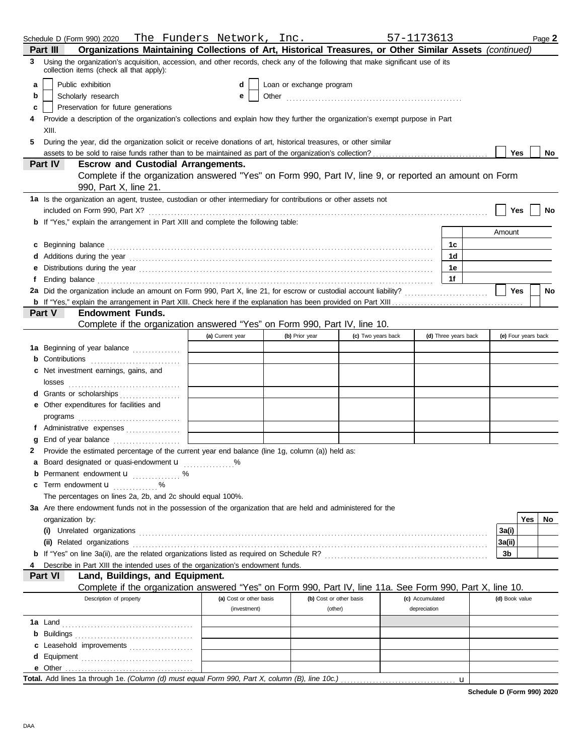|   | Schedule D (Form 990) 2020                                                                                                                                                                                                           | The Funders Network, Inc. |                          |                         | 57-1173613      |                      |                | Page 2              |
|---|--------------------------------------------------------------------------------------------------------------------------------------------------------------------------------------------------------------------------------------|---------------------------|--------------------------|-------------------------|-----------------|----------------------|----------------|---------------------|
|   | Organizations Maintaining Collections of Art, Historical Treasures, or Other Similar Assets (continued)<br>Part III                                                                                                                  |                           |                          |                         |                 |                      |                |                     |
| 3 | Using the organization's acquisition, accession, and other records, check any of the following that make significant use of its<br>collection items (check all that apply):                                                          |                           |                          |                         |                 |                      |                |                     |
|   | Public exhibition                                                                                                                                                                                                                    |                           |                          |                         |                 |                      |                |                     |
| a |                                                                                                                                                                                                                                      | d                         | Loan or exchange program |                         |                 |                      |                |                     |
| b | Scholarly research                                                                                                                                                                                                                   | е                         |                          |                         |                 |                      |                |                     |
| c | Preservation for future generations                                                                                                                                                                                                  |                           |                          |                         |                 |                      |                |                     |
|   | Provide a description of the organization's collections and explain how they further the organization's exempt purpose in Part                                                                                                       |                           |                          |                         |                 |                      |                |                     |
|   | XIII.                                                                                                                                                                                                                                |                           |                          |                         |                 |                      |                |                     |
| 5 | During the year, did the organization solicit or receive donations of art, historical treasures, or other similar                                                                                                                    |                           |                          |                         |                 |                      |                |                     |
|   |                                                                                                                                                                                                                                      |                           |                          |                         |                 |                      | <b>Yes</b>     | No                  |
|   | <b>Part IV</b><br><b>Escrow and Custodial Arrangements.</b>                                                                                                                                                                          |                           |                          |                         |                 |                      |                |                     |
|   | Complete if the organization answered "Yes" on Form 990, Part IV, line 9, or reported an amount on Form<br>990, Part X, line 21.                                                                                                     |                           |                          |                         |                 |                      |                |                     |
|   | 1a Is the organization an agent, trustee, custodian or other intermediary for contributions or other assets not                                                                                                                      |                           |                          |                         |                 |                      |                |                     |
|   |                                                                                                                                                                                                                                      |                           |                          |                         |                 |                      | Yes            | No                  |
|   | <b>b</b> If "Yes," explain the arrangement in Part XIII and complete the following table:                                                                                                                                            |                           |                          |                         |                 |                      |                |                     |
|   |                                                                                                                                                                                                                                      |                           |                          |                         |                 |                      | Amount         |                     |
|   | c Beginning balance <b>contract the contract of the contract of the contract of the contract of the contract of the contract of the contract of the contract of the contract of the contract of the contract of the contract of </b> |                           |                          |                         |                 | 1c                   |                |                     |
|   |                                                                                                                                                                                                                                      |                           |                          |                         |                 | 1d                   |                |                     |
|   |                                                                                                                                                                                                                                      |                           |                          |                         |                 | 1е                   |                |                     |
| f | Ending balance <b>construction and the construction of the construction</b> of the construction of the construction of the construction of the construction of the construction of the construction of the construction of the cons  |                           |                          |                         |                 | 1f                   |                |                     |
|   |                                                                                                                                                                                                                                      |                           |                          |                         |                 |                      | <b>Yes</b>     | No                  |
|   |                                                                                                                                                                                                                                      |                           |                          |                         |                 |                      |                |                     |
|   | <b>Part V</b><br>Endowment Funds.                                                                                                                                                                                                    |                           |                          |                         |                 |                      |                |                     |
|   | Complete if the organization answered "Yes" on Form 990, Part IV, line 10.                                                                                                                                                           |                           |                          |                         |                 |                      |                |                     |
|   |                                                                                                                                                                                                                                      | (a) Current year          | (b) Prior year           | (c) Two years back      |                 | (d) Three years back |                | (e) Four years back |
|   | 1a Beginning of year balance                                                                                                                                                                                                         |                           |                          |                         |                 |                      |                |                     |
|   |                                                                                                                                                                                                                                      |                           |                          |                         |                 |                      |                |                     |
|   | <b>b</b> Contributions <b>contributions</b><br>c Net investment earnings, gains, and                                                                                                                                                 |                           |                          |                         |                 |                      |                |                     |
|   |                                                                                                                                                                                                                                      |                           |                          |                         |                 |                      |                |                     |
|   |                                                                                                                                                                                                                                      |                           |                          |                         |                 |                      |                |                     |
|   | d Grants or scholarships                                                                                                                                                                                                             |                           |                          |                         |                 |                      |                |                     |
|   | e Other expenditures for facilities and                                                                                                                                                                                              |                           |                          |                         |                 |                      |                |                     |
|   |                                                                                                                                                                                                                                      |                           |                          |                         |                 |                      |                |                     |
|   | f Administrative expenses                                                                                                                                                                                                            |                           |                          |                         |                 |                      |                |                     |
|   |                                                                                                                                                                                                                                      |                           |                          |                         |                 |                      |                |                     |
| 2 | Provide the estimated percentage of the current year end balance (line 1g, column (a)) held as:                                                                                                                                      |                           |                          |                         |                 |                      |                |                     |
|   | a Board designated or quasi-endowment u                                                                                                                                                                                              |                           |                          |                         |                 |                      |                |                     |
|   | <b>b</b> Permanent endowment <b>u</b> %                                                                                                                                                                                              |                           |                          |                         |                 |                      |                |                     |
|   | c Term endowment <b>u</b> %                                                                                                                                                                                                          |                           |                          |                         |                 |                      |                |                     |
|   | The percentages on lines 2a, 2b, and 2c should equal 100%.                                                                                                                                                                           |                           |                          |                         |                 |                      |                |                     |
|   | 3a Are there endowment funds not in the possession of the organization that are held and administered for the                                                                                                                        |                           |                          |                         |                 |                      |                |                     |
|   | organization by:                                                                                                                                                                                                                     |                           |                          |                         |                 |                      |                | Yes<br>No.          |
|   |                                                                                                                                                                                                                                      |                           |                          |                         |                 |                      | 3a(i)          |                     |
|   | (ii) Related organizations <b>contracts</b> and contracts are contracted as a contract of the contract of the contract or contract of the contract of the contract of the contract of the contract of the contract of the contract   |                           |                          |                         |                 |                      | 3a(ii)         |                     |
|   |                                                                                                                                                                                                                                      |                           |                          |                         |                 |                      | 3b             |                     |
|   | Describe in Part XIII the intended uses of the organization's endowment funds.                                                                                                                                                       |                           |                          |                         |                 |                      |                |                     |
|   | Land, Buildings, and Equipment.<br><b>Part VI</b>                                                                                                                                                                                    |                           |                          |                         |                 |                      |                |                     |
|   | Complete if the organization answered "Yes" on Form 990, Part IV, line 11a. See Form 990, Part X, line 10.                                                                                                                           |                           |                          |                         |                 |                      |                |                     |
|   | Description of property                                                                                                                                                                                                              | (a) Cost or other basis   |                          | (b) Cost or other basis | (c) Accumulated |                      | (d) Book value |                     |
|   |                                                                                                                                                                                                                                      | (investment)              |                          | (other)                 | depreciation    |                      |                |                     |
|   |                                                                                                                                                                                                                                      |                           |                          |                         |                 |                      |                |                     |
|   |                                                                                                                                                                                                                                      |                           |                          |                         |                 |                      |                |                     |
|   | c Leasehold improvements                                                                                                                                                                                                             |                           |                          |                         |                 |                      |                |                     |
|   |                                                                                                                                                                                                                                      |                           |                          |                         |                 |                      |                |                     |
|   |                                                                                                                                                                                                                                      |                           |                          |                         |                 |                      |                |                     |
|   | Total. Add lines 1a through 1e. (Column (d) must equal Form 990, Part X, column (B), line 10c.)                                                                                                                                      |                           |                          |                         |                 | u                    |                |                     |

**Schedule D (Form 990) 2020**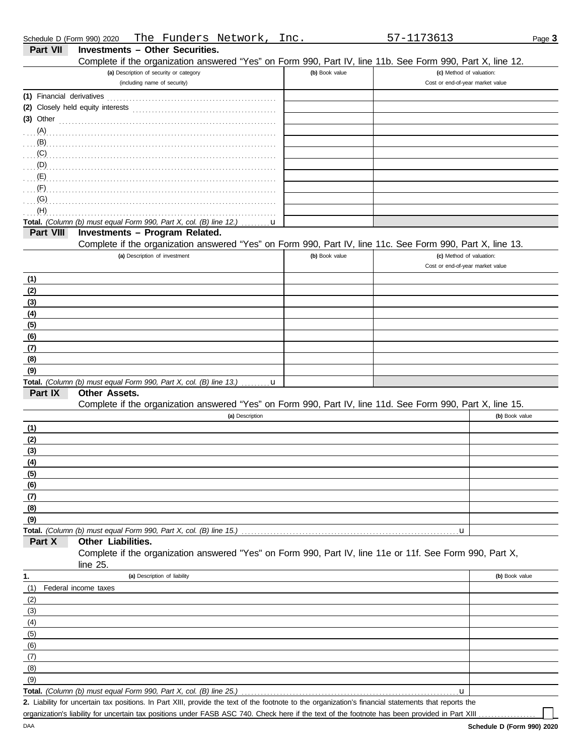|--|--|

|            | (a) Description of security or category<br>(including name of security)<br>$(3)$ Other                                                                                                                                         | (b) Book value | (c) Method of valuation:<br>Cost or end-of-year market value |                |
|------------|--------------------------------------------------------------------------------------------------------------------------------------------------------------------------------------------------------------------------------|----------------|--------------------------------------------------------------|----------------|
|            |                                                                                                                                                                                                                                |                |                                                              |                |
|            |                                                                                                                                                                                                                                |                |                                                              |                |
|            |                                                                                                                                                                                                                                |                |                                                              |                |
|            |                                                                                                                                                                                                                                |                |                                                              |                |
|            |                                                                                                                                                                                                                                |                |                                                              |                |
|            |                                                                                                                                                                                                                                |                |                                                              |                |
|            | $(C)$ . The contract of the contract of the contract of the contract of the contract of the contract of the contract of the contract of the contract of the contract of the contract of the contract of the contract of the co |                |                                                              |                |
|            |                                                                                                                                                                                                                                |                |                                                              |                |
|            |                                                                                                                                                                                                                                |                |                                                              |                |
|            |                                                                                                                                                                                                                                |                |                                                              |                |
| (G)        |                                                                                                                                                                                                                                |                |                                                              |                |
| (H)        |                                                                                                                                                                                                                                |                |                                                              |                |
|            | Total. (Column (b) must equal Form 990, Part X, col. (B) line 12.)<br>u                                                                                                                                                        |                |                                                              |                |
| Part VIII  | Investments - Program Related.                                                                                                                                                                                                 |                |                                                              |                |
|            | Complete if the organization answered "Yes" on Form 990, Part IV, line 11c. See Form 990, Part X, line 13.                                                                                                                     |                |                                                              |                |
|            | (a) Description of investment                                                                                                                                                                                                  | (b) Book value | (c) Method of valuation:<br>Cost or end-of-year market value |                |
|            |                                                                                                                                                                                                                                |                |                                                              |                |
| (1)<br>(2) |                                                                                                                                                                                                                                |                |                                                              |                |
| (3)        |                                                                                                                                                                                                                                |                |                                                              |                |
| (4)        |                                                                                                                                                                                                                                |                |                                                              |                |
| (5)        |                                                                                                                                                                                                                                |                |                                                              |                |
| (6)        |                                                                                                                                                                                                                                |                |                                                              |                |
| (7)        |                                                                                                                                                                                                                                |                |                                                              |                |
| (8)        |                                                                                                                                                                                                                                |                |                                                              |                |
| (9)        |                                                                                                                                                                                                                                |                |                                                              |                |
|            | Total. (Column (b) must equal Form 990, Part X, col. (B) line 13.) $\ldots \ldots \mathbf{u}$                                                                                                                                  |                |                                                              |                |
| Part IX    | Other Assets.                                                                                                                                                                                                                  |                |                                                              |                |
|            | Complete if the organization answered "Yes" on Form 990, Part IV, line 11d. See Form 990, Part X, line 15.                                                                                                                     |                |                                                              |                |
|            | (a) Description                                                                                                                                                                                                                |                |                                                              | (b) Book value |
| (1)        |                                                                                                                                                                                                                                |                |                                                              |                |
| (2)        |                                                                                                                                                                                                                                |                |                                                              |                |
| (3)        |                                                                                                                                                                                                                                |                |                                                              |                |
| (4)        |                                                                                                                                                                                                                                |                |                                                              |                |
| (5)<br>(6) |                                                                                                                                                                                                                                |                |                                                              |                |
| (7)        |                                                                                                                                                                                                                                |                |                                                              |                |
| (8)        |                                                                                                                                                                                                                                |                |                                                              |                |
| (9)        |                                                                                                                                                                                                                                |                |                                                              |                |
|            | Total. (Column (b) must equal Form 990, Part X, col. (B) line 15.)                                                                                                                                                             |                | $\mathbf{u}$                                                 |                |
| Part X     | Other Liabilities.                                                                                                                                                                                                             |                |                                                              |                |
|            | Complete if the organization answered "Yes" on Form 990, Part IV, line 11e or 11f. See Form 990, Part X,                                                                                                                       |                |                                                              |                |
|            | line $25$ .                                                                                                                                                                                                                    |                |                                                              |                |
|            | (a) Description of liability                                                                                                                                                                                                   |                |                                                              | (b) Book value |
| (1)        | Federal income taxes                                                                                                                                                                                                           |                |                                                              |                |
| (2)        |                                                                                                                                                                                                                                |                |                                                              |                |
| (3)        |                                                                                                                                                                                                                                |                |                                                              |                |
| (4)        |                                                                                                                                                                                                                                |                |                                                              |                |
| (5)        |                                                                                                                                                                                                                                |                |                                                              |                |
| (6)        |                                                                                                                                                                                                                                |                |                                                              |                |
| (7)        |                                                                                                                                                                                                                                |                |                                                              |                |
| (8)<br>(9) |                                                                                                                                                                                                                                |                |                                                              |                |
|            | Total. (Column (b) must equal Form 990, Part X, col. (B) line 25.)                                                                                                                                                             |                | $\mathbf u$                                                  |                |
|            | 2. Liability for uncertain tax positions. In Part XIII, provide the text of the footnote to the organization's financial statements that reports the                                                                           |                |                                                              |                |
|            | organization's liability for uncertain tax positions under FASB ASC 740. Check here if the text of the footnote has been provided in Part XIII                                                                                 |                |                                                              |                |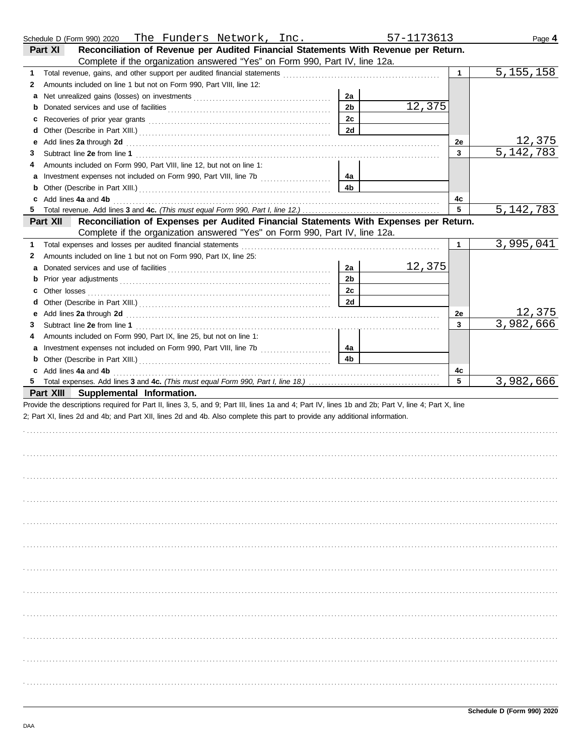|    | Schedule D (Form 990) 2020 The Funders Network, Inc.                                                                                                                                                                               |                | 57-1173613 |              | Page 4                    |
|----|------------------------------------------------------------------------------------------------------------------------------------------------------------------------------------------------------------------------------------|----------------|------------|--------------|---------------------------|
|    | Reconciliation of Revenue per Audited Financial Statements With Revenue per Return.<br>Part XI                                                                                                                                     |                |            |              |                           |
|    | Complete if the organization answered "Yes" on Form 990, Part IV, line 12a.                                                                                                                                                        |                |            |              |                           |
| 1. |                                                                                                                                                                                                                                    |                |            | $\mathbf{1}$ | $\overline{5}$ , 155, 158 |
| 2  | Amounts included on line 1 but not on Form 990, Part VIII, line 12:                                                                                                                                                                |                |            |              |                           |
| a  |                                                                                                                                                                                                                                    | 2a             |            |              |                           |
| b  |                                                                                                                                                                                                                                    | 2 <sub>b</sub> | 12,375     |              |                           |
| c  |                                                                                                                                                                                                                                    | 2c             |            |              |                           |
| d  |                                                                                                                                                                                                                                    | 2d             |            |              |                           |
| е  | Add lines 2a through 2d [11] Add [12] Add [12] Add lines 2a through 2d [12] Add lines 2a through 2d                                                                                                                                |                |            | 2e           | 12,375                    |
| З  |                                                                                                                                                                                                                                    |                |            | 3            | 5, 142, 783               |
|    | Amounts included on Form 990, Part VIII, line 12, but not on line 1:                                                                                                                                                               |                |            |              |                           |
| а  |                                                                                                                                                                                                                                    | 4а             |            |              |                           |
| b  |                                                                                                                                                                                                                                    | 4b             |            |              |                           |
| c  | Add lines 4a and 4b                                                                                                                                                                                                                |                |            | 4c           |                           |
| 5  |                                                                                                                                                                                                                                    |                |            | 5            | 5, 142, 783               |
|    | Reconciliation of Expenses per Audited Financial Statements With Expenses per Return.<br>Part XII                                                                                                                                  |                |            |              |                           |
|    | Complete if the organization answered "Yes" on Form 990, Part IV, line 12a.                                                                                                                                                        |                |            |              |                           |
| 1  | Total expenses and losses per audited financial statements                                                                                                                                                                         |                |            | 1            | 3,995,041                 |
| 2  | Amounts included on line 1 but not on Form 990, Part IX, line 25:                                                                                                                                                                  |                |            |              |                           |
| a  |                                                                                                                                                                                                                                    | 2a             | 12,375     |              |                           |
| b  |                                                                                                                                                                                                                                    | 2 <sub>b</sub> |            |              |                           |
| c  |                                                                                                                                                                                                                                    | 2c             |            |              |                           |
| d  |                                                                                                                                                                                                                                    | 2d             |            |              |                           |
| е  |                                                                                                                                                                                                                                    |                |            | 2e           | 12,375                    |
| З  | Add lines 2a through 2d <b>Martin Community Community</b> and the set of the set of the set of the set of the set of the set of the set of the set of the set of the set of the set of the set of the set of the set of the set of |                |            | 3            | 3,982,666                 |
| 4  | Amounts included on Form 990, Part IX, line 25, but not on line 1:                                                                                                                                                                 |                |            |              |                           |
| а  |                                                                                                                                                                                                                                    | 4a             |            |              |                           |
| b  |                                                                                                                                                                                                                                    | 4 <sub>b</sub> |            |              |                           |
| c  | Add lines 4a and 4b                                                                                                                                                                                                                |                |            | 4c           |                           |
| 5. |                                                                                                                                                                                                                                    |                |            | 5            | 3,982,666                 |
|    | Part XIII Supplemental Information.                                                                                                                                                                                                |                |            |              |                           |
|    | Provide the descriptions required for Part II, lines 3, 5, and 9; Part III, lines 1a and 4; Part IV, lines 1b and 2b; Part V, line 4; Part X, line                                                                                 |                |            |              |                           |
|    | 2; Part XI, lines 2d and 4b; and Part XII, lines 2d and 4b. Also complete this part to provide any additional information.                                                                                                         |                |            |              |                           |
|    |                                                                                                                                                                                                                                    |                |            |              |                           |
|    |                                                                                                                                                                                                                                    |                |            |              |                           |
|    |                                                                                                                                                                                                                                    |                |            |              |                           |
|    |                                                                                                                                                                                                                                    |                |            |              |                           |
|    |                                                                                                                                                                                                                                    |                |            |              |                           |
|    |                                                                                                                                                                                                                                    |                |            |              |                           |
|    |                                                                                                                                                                                                                                    |                |            |              |                           |
|    |                                                                                                                                                                                                                                    |                |            |              |                           |
|    |                                                                                                                                                                                                                                    |                |            |              |                           |
|    |                                                                                                                                                                                                                                    |                |            |              |                           |
|    |                                                                                                                                                                                                                                    |                |            |              |                           |
|    |                                                                                                                                                                                                                                    |                |            |              |                           |
|    |                                                                                                                                                                                                                                    |                |            |              |                           |
|    |                                                                                                                                                                                                                                    |                |            |              |                           |
|    |                                                                                                                                                                                                                                    |                |            |              |                           |
|    |                                                                                                                                                                                                                                    |                |            |              |                           |
|    |                                                                                                                                                                                                                                    |                |            |              |                           |
|    |                                                                                                                                                                                                                                    |                |            |              |                           |
|    |                                                                                                                                                                                                                                    |                |            |              |                           |
|    |                                                                                                                                                                                                                                    |                |            |              |                           |
|    |                                                                                                                                                                                                                                    |                |            |              |                           |
|    |                                                                                                                                                                                                                                    |                |            |              |                           |
|    |                                                                                                                                                                                                                                    |                |            |              |                           |
|    |                                                                                                                                                                                                                                    |                |            |              |                           |
|    |                                                                                                                                                                                                                                    |                |            |              |                           |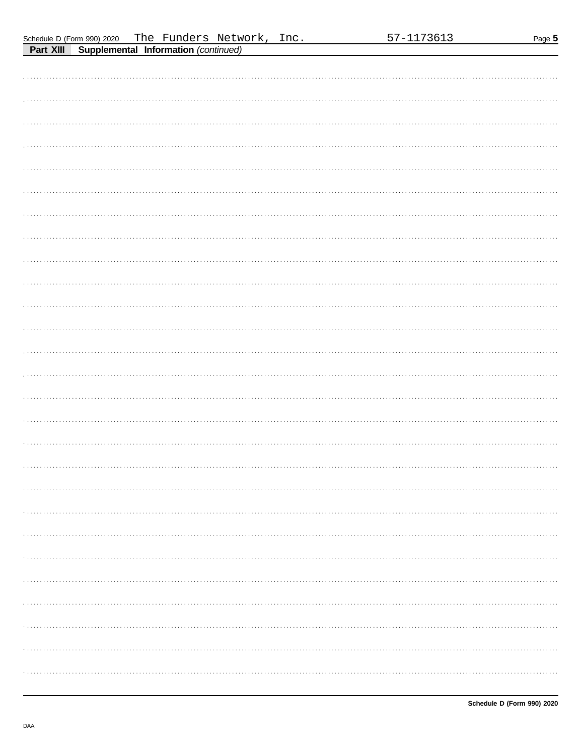Page 5

| <b>HILAILING</b><br><u>oommuudu</u> |
|-------------------------------------|
|                                     |
|                                     |
|                                     |
|                                     |
|                                     |
|                                     |
|                                     |
|                                     |
|                                     |
|                                     |
|                                     |
|                                     |
|                                     |
|                                     |
|                                     |
|                                     |
|                                     |
|                                     |
|                                     |
|                                     |
|                                     |
|                                     |
|                                     |
|                                     |
|                                     |
|                                     |
|                                     |
|                                     |
|                                     |
|                                     |
|                                     |
|                                     |
|                                     |
|                                     |
|                                     |
|                                     |
|                                     |
|                                     |
|                                     |
|                                     |
|                                     |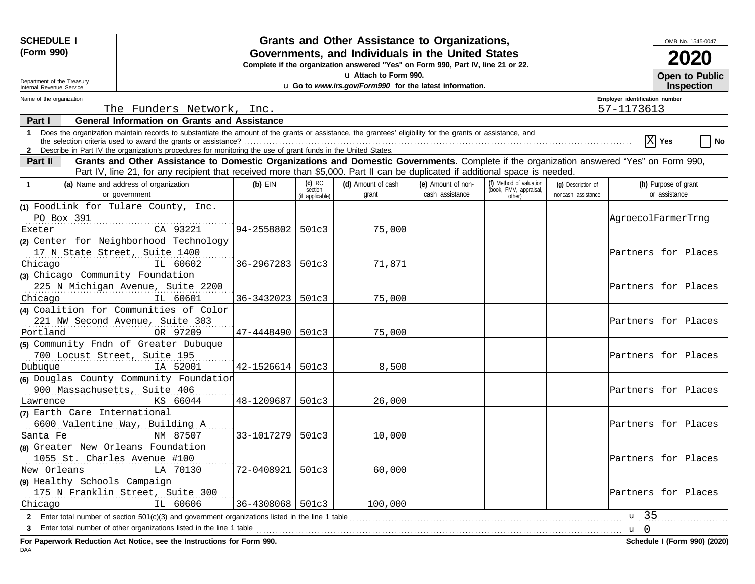| <b>SCHEDULE I</b>                                      |                                                                                                                                                                                                                                                                               |                        |                            | Grants and Other Assistance to Organizations,                                                                                         |                    |                                  |                    |                                | OMB No. 1545-0047                   |
|--------------------------------------------------------|-------------------------------------------------------------------------------------------------------------------------------------------------------------------------------------------------------------------------------------------------------------------------------|------------------------|----------------------------|---------------------------------------------------------------------------------------------------------------------------------------|--------------------|----------------------------------|--------------------|--------------------------------|-------------------------------------|
| (Form 990)                                             |                                                                                                                                                                                                                                                                               |                        |                            | Governments, and Individuals in the United States<br>Complete if the organization answered "Yes" on Form 990, Part IV, line 21 or 22. |                    |                                  |                    |                                | <b>2020</b>                         |
| Department of the Treasury<br>Internal Revenue Service | u Attach to Form 990.<br>u Go to www.irs.gov/Form990 for the latest information.                                                                                                                                                                                              |                        |                            |                                                                                                                                       |                    |                                  |                    |                                | Open to Public<br><b>Inspection</b> |
| Name of the organization                               |                                                                                                                                                                                                                                                                               |                        |                            |                                                                                                                                       |                    |                                  |                    | Employer identification number |                                     |
|                                                        | The Funders Network, Inc.                                                                                                                                                                                                                                                     |                        |                            |                                                                                                                                       |                    |                                  |                    | 57-1173613                     |                                     |
| Part I                                                 | <b>General Information on Grants and Assistance</b>                                                                                                                                                                                                                           |                        |                            |                                                                                                                                       |                    |                                  |                    |                                |                                     |
| 1                                                      | Does the organization maintain records to substantiate the amount of the grants or assistance, the grantees' eligibility for the grants or assistance, and<br>2 Describe in Part IV the organization's procedures for monitoring the use of grant funds in the United States. |                        |                            |                                                                                                                                       |                    |                                  |                    |                                | $ X $ Yes<br><b>No</b>              |
| Part II                                                | Grants and Other Assistance to Domestic Organizations and Domestic Governments. Complete if the organization answered "Yes" on Form 990,                                                                                                                                      |                        |                            |                                                                                                                                       |                    |                                  |                    |                                |                                     |
|                                                        | Part IV, line 21, for any recipient that received more than \$5,000. Part II can be duplicated if additional space is needed.                                                                                                                                                 |                        |                            |                                                                                                                                       |                    |                                  |                    |                                |                                     |
| $\mathbf{1}$                                           | (a) Name and address of organization                                                                                                                                                                                                                                          | $(b)$ EIN              | $(c)$ IRC                  | (d) Amount of cash                                                                                                                    | (e) Amount of non- | (f) Method of valuation          | (q) Description of |                                | (h) Purpose of grant                |
|                                                        | or government                                                                                                                                                                                                                                                                 |                        | section<br>(if applicable) | grant                                                                                                                                 | cash assistance    | (book, FMV, appraisal,<br>other) | noncash assistance |                                | or assistance                       |
| (1) FoodLink for Tulare County, Inc.                   |                                                                                                                                                                                                                                                                               |                        |                            |                                                                                                                                       |                    |                                  |                    |                                |                                     |
| PO Box 391                                             |                                                                                                                                                                                                                                                                               |                        |                            |                                                                                                                                       |                    |                                  |                    |                                | AgroecolFarmerTrng                  |
| Exeter                                                 | CA 93221                                                                                                                                                                                                                                                                      | $94 - 2558802$ 501c3   |                            | 75,000                                                                                                                                |                    |                                  |                    |                                |                                     |
|                                                        | (2) Center for Neighborhood Technology                                                                                                                                                                                                                                        |                        |                            |                                                                                                                                       |                    |                                  |                    |                                |                                     |
| 17 N State Street, Suite 1400                          |                                                                                                                                                                                                                                                                               |                        |                            |                                                                                                                                       |                    |                                  |                    |                                | Partners for Places                 |
| Chicago                                                | IL 60602                                                                                                                                                                                                                                                                      | $36 - 2967283$ 501c3   |                            | 71,871                                                                                                                                |                    |                                  |                    |                                |                                     |
| (3) Chicago Community Foundation                       |                                                                                                                                                                                                                                                                               |                        |                            |                                                                                                                                       |                    |                                  |                    |                                |                                     |
|                                                        | 225 N Michigan Avenue, Suite 2200                                                                                                                                                                                                                                             |                        |                            |                                                                                                                                       |                    |                                  |                    |                                | Partners for Places                 |
| Chicago                                                | IL 60601                                                                                                                                                                                                                                                                      | $36 - 3432023$   501c3 |                            | 75,000                                                                                                                                |                    |                                  |                    |                                |                                     |
|                                                        | (4) Coalition for Communities of Color                                                                                                                                                                                                                                        |                        |                            |                                                                                                                                       |                    |                                  |                    |                                |                                     |
| 221 NW Second Avenue, Suite 303                        |                                                                                                                                                                                                                                                                               |                        |                            |                                                                                                                                       |                    |                                  |                    |                                | Partners for Places                 |
| Portland                                               | OR 97209                                                                                                                                                                                                                                                                      | $47 - 4448490$   501c3 |                            | 75,000                                                                                                                                |                    |                                  |                    |                                |                                     |
| (5) Community Fndn of Greater Dubuque                  |                                                                                                                                                                                                                                                                               |                        |                            |                                                                                                                                       |                    |                                  |                    |                                |                                     |
| 700 Locust Street, Suite 195                           |                                                                                                                                                                                                                                                                               |                        |                            |                                                                                                                                       |                    |                                  |                    |                                | Partners for Places                 |
| Dubuque                                                | IA 52001                                                                                                                                                                                                                                                                      | $42 - 1526614$   501c3 |                            | 8,500                                                                                                                                 |                    |                                  |                    |                                |                                     |
|                                                        | (6) Douglas County Community Foundation                                                                                                                                                                                                                                       |                        |                            |                                                                                                                                       |                    |                                  |                    |                                |                                     |
| 900 Massachusetts, Suite 406                           |                                                                                                                                                                                                                                                                               |                        |                            |                                                                                                                                       |                    |                                  |                    |                                | Partners for Places                 |
| Lawrence                                               | KS 66044                                                                                                                                                                                                                                                                      | 48-1209687             | 501c3                      | 26,000                                                                                                                                |                    |                                  |                    |                                |                                     |
| (7) Earth Care International                           |                                                                                                                                                                                                                                                                               |                        |                            |                                                                                                                                       |                    |                                  |                    |                                |                                     |
| 6600 Valentine Way, Building A                         | NM 87507                                                                                                                                                                                                                                                                      |                        | 501c3                      |                                                                                                                                       |                    |                                  |                    |                                | Partners for Places                 |
| Santa Fe<br>(8) Greater New Orleans Foundation         |                                                                                                                                                                                                                                                                               | 33-1017279             |                            | 10,000                                                                                                                                |                    |                                  |                    |                                |                                     |
| 1055 St. Charles Avenue #100                           |                                                                                                                                                                                                                                                                               |                        |                            |                                                                                                                                       |                    |                                  |                    |                                | Partners for Places                 |
| New Orleans                                            | LA 70130                                                                                                                                                                                                                                                                      | 72-0408921             | 501c3                      | 60,000                                                                                                                                |                    |                                  |                    |                                |                                     |
| (9) Healthy Schools Campaign                           |                                                                                                                                                                                                                                                                               |                        |                            |                                                                                                                                       |                    |                                  |                    |                                |                                     |
|                                                        | 175 N Franklin Street, Suite 300                                                                                                                                                                                                                                              |                        |                            |                                                                                                                                       |                    |                                  |                    |                                | Partners for Places                 |
| Chicago                                                | IL 60606                                                                                                                                                                                                                                                                      | $36 - 4308068$   501c3 |                            | 100,000                                                                                                                               |                    |                                  |                    |                                |                                     |
|                                                        | 2 Enter total number of section 501(c)(3) and government organizations listed in the line 1 table                                                                                                                                                                             |                        |                            |                                                                                                                                       |                    |                                  |                    | $u$ 35                         |                                     |
| З                                                      | Enter total number of other organizations listed in the line 1 table                                                                                                                                                                                                          |                        |                            |                                                                                                                                       |                    |                                  |                    | u 0                            |                                     |
|                                                        | For Paperwork Reduction Act Notice, see the Instructions for Form 990.                                                                                                                                                                                                        |                        |                            |                                                                                                                                       |                    |                                  |                    |                                | Schedule I (Form 990) (2020)        |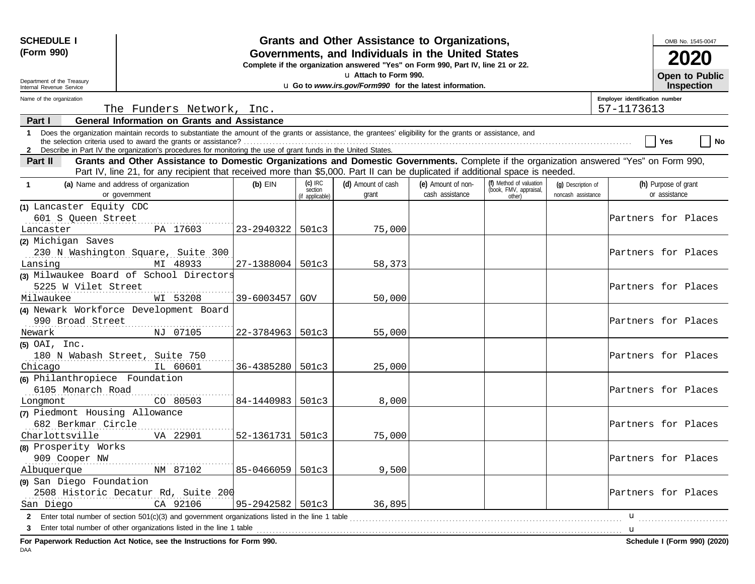| <b>SCHEDULE I</b>                                      |                                                                                                                                                                                                                                                                               |                                                                                                                                       |                 | Grants and Other Assistance to Organizations,                                    |                                       |                                  |                                          |                                | OMB No. 1545-0047                     |
|--------------------------------------------------------|-------------------------------------------------------------------------------------------------------------------------------------------------------------------------------------------------------------------------------------------------------------------------------|---------------------------------------------------------------------------------------------------------------------------------------|-----------------|----------------------------------------------------------------------------------|---------------------------------------|----------------------------------|------------------------------------------|--------------------------------|---------------------------------------|
| (Form 990)                                             |                                                                                                                                                                                                                                                                               | Governments, and Individuals in the United States<br>Complete if the organization answered "Yes" on Form 990, Part IV, line 21 or 22. |                 | 2020                                                                             |                                       |                                  |                                          |                                |                                       |
| Department of the Treasury<br>Internal Revenue Service |                                                                                                                                                                                                                                                                               |                                                                                                                                       |                 | u Attach to Form 990.<br>u Go to www.irs.gov/Form990 for the latest information. |                                       |                                  |                                          |                                | Open to Public<br>Inspection          |
| Name of the organization                               |                                                                                                                                                                                                                                                                               |                                                                                                                                       |                 |                                                                                  |                                       |                                  |                                          | Employer identification number |                                       |
|                                                        | The Funders Network, Inc.                                                                                                                                                                                                                                                     |                                                                                                                                       |                 |                                                                                  |                                       |                                  |                                          | 57-1173613                     |                                       |
| Part I                                                 | <b>General Information on Grants and Assistance</b>                                                                                                                                                                                                                           |                                                                                                                                       |                 |                                                                                  |                                       |                                  |                                          |                                |                                       |
| $\mathbf 1$                                            | Does the organization maintain records to substantiate the amount of the grants or assistance, the grantees' eligibility for the grants or assistance, and<br>2 Describe in Part IV the organization's procedures for monitoring the use of grant funds in the United States. |                                                                                                                                       |                 |                                                                                  |                                       |                                  |                                          |                                | <b>No</b><br><b>Yes</b>               |
| Part II                                                | Grants and Other Assistance to Domestic Organizations and Domestic Governments. Complete if the organization answered "Yes" on Form 990,                                                                                                                                      |                                                                                                                                       |                 |                                                                                  |                                       |                                  |                                          |                                |                                       |
|                                                        | Part IV, line 21, for any recipient that received more than \$5,000. Part II can be duplicated if additional space is needed.                                                                                                                                                 |                                                                                                                                       | $(c)$ IRC       |                                                                                  |                                       | (f) Method of valuation          |                                          |                                |                                       |
| $\mathbf{1}$                                           | (a) Name and address of organization<br>or government                                                                                                                                                                                                                         | $(b)$ EIN                                                                                                                             | section         | (d) Amount of cash<br>grant                                                      | (e) Amount of non-<br>cash assistance | (book, FMV, appraisal,<br>other) | (g) Description of<br>noncash assistance |                                | (h) Purpose of grant<br>or assistance |
|                                                        |                                                                                                                                                                                                                                                                               |                                                                                                                                       | (if applicable) |                                                                                  |                                       |                                  |                                          |                                |                                       |
| (1) Lancaster Equity CDC                               |                                                                                                                                                                                                                                                                               |                                                                                                                                       |                 |                                                                                  |                                       |                                  |                                          |                                |                                       |
| 601 S Queen Street                                     |                                                                                                                                                                                                                                                                               |                                                                                                                                       |                 |                                                                                  |                                       |                                  |                                          |                                | Partners for Places                   |
| Lancaster                                              | PA 17603                                                                                                                                                                                                                                                                      | 23-2940322                                                                                                                            | 501c3           | 75,000                                                                           |                                       |                                  |                                          |                                |                                       |
| (2) Michigan Saves                                     |                                                                                                                                                                                                                                                                               |                                                                                                                                       |                 |                                                                                  |                                       |                                  |                                          |                                |                                       |
|                                                        | 230 N Washington Square, Suite 300                                                                                                                                                                                                                                            |                                                                                                                                       |                 |                                                                                  |                                       |                                  |                                          |                                | Partners for Places                   |
| Lansing                                                | MI 48933                                                                                                                                                                                                                                                                      | 27-1388004                                                                                                                            | 501c3           | 58,373                                                                           |                                       |                                  |                                          |                                |                                       |
|                                                        | (3) Milwaukee Board of School Directors                                                                                                                                                                                                                                       |                                                                                                                                       |                 |                                                                                  |                                       |                                  |                                          |                                |                                       |
| 5225 W Vilet Street                                    |                                                                                                                                                                                                                                                                               |                                                                                                                                       |                 |                                                                                  |                                       |                                  |                                          | Partners for Places            |                                       |
| Milwaukee                                              | WI 53208                                                                                                                                                                                                                                                                      | 39-6003457                                                                                                                            | GOV             | 50,000                                                                           |                                       |                                  |                                          |                                |                                       |
|                                                        | (4) Newark Workforce Development Board                                                                                                                                                                                                                                        |                                                                                                                                       |                 |                                                                                  |                                       |                                  |                                          |                                |                                       |
| 990 Broad Street                                       |                                                                                                                                                                                                                                                                               |                                                                                                                                       |                 |                                                                                  |                                       |                                  |                                          |                                | Partners for Places                   |
| Newark                                                 | NJ 07105                                                                                                                                                                                                                                                                      | 22-3784963                                                                                                                            | 501c3           | 55,000                                                                           |                                       |                                  |                                          |                                |                                       |
| $(5)$ OAI, Inc.                                        |                                                                                                                                                                                                                                                                               |                                                                                                                                       |                 |                                                                                  |                                       |                                  |                                          |                                |                                       |
|                                                        | 180 N Wabash Street, Suite 750                                                                                                                                                                                                                                                |                                                                                                                                       |                 |                                                                                  |                                       |                                  |                                          |                                | Partners for Places                   |
| Chicago                                                | IL 60601                                                                                                                                                                                                                                                                      | 36-4385280                                                                                                                            | 501c3           | 25,000                                                                           |                                       |                                  |                                          |                                |                                       |
| (6) Philanthropiece Foundation                         |                                                                                                                                                                                                                                                                               |                                                                                                                                       |                 |                                                                                  |                                       |                                  |                                          |                                |                                       |
| 6105 Monarch Road                                      |                                                                                                                                                                                                                                                                               |                                                                                                                                       |                 |                                                                                  |                                       |                                  |                                          |                                | Partners for Places                   |
| Longmont                                               | CO 80503                                                                                                                                                                                                                                                                      | 84-1440983                                                                                                                            | 501c3           | 8,000                                                                            |                                       |                                  |                                          |                                |                                       |
| (7) Piedmont Housing Allowance                         |                                                                                                                                                                                                                                                                               |                                                                                                                                       |                 |                                                                                  |                                       |                                  |                                          |                                |                                       |
| 682 Berkmar Circle                                     |                                                                                                                                                                                                                                                                               |                                                                                                                                       |                 |                                                                                  |                                       |                                  |                                          |                                | Partners for Places                   |
| Charlottsville                                         | VA 22901                                                                                                                                                                                                                                                                      | 52-1361731                                                                                                                            | 501c3           | 75,000                                                                           |                                       |                                  |                                          |                                |                                       |
| (8) Prosperity Works                                   |                                                                                                                                                                                                                                                                               |                                                                                                                                       |                 |                                                                                  |                                       |                                  |                                          |                                |                                       |
|                                                        |                                                                                                                                                                                                                                                                               |                                                                                                                                       |                 |                                                                                  |                                       |                                  |                                          |                                | Partners for Places                   |
| Albuquerque                                            | NM 87102                                                                                                                                                                                                                                                                      | 85-0466059   501c3                                                                                                                    |                 | 9,500                                                                            |                                       |                                  |                                          |                                |                                       |
| (9) San Diego Foundation                               |                                                                                                                                                                                                                                                                               |                                                                                                                                       |                 |                                                                                  |                                       |                                  |                                          |                                |                                       |
|                                                        | 2508 Historic Decatur Rd, Suite 200                                                                                                                                                                                                                                           |                                                                                                                                       |                 |                                                                                  |                                       |                                  |                                          |                                | Partners for Places                   |
| San Diego                                              | CA 92106                                                                                                                                                                                                                                                                      | 95-2942582   501c3                                                                                                                    |                 | 36,895                                                                           |                                       |                                  |                                          |                                |                                       |
|                                                        | 2 Enter total number of section 501(c)(3) and government organizations listed in the line 1 table                                                                                                                                                                             |                                                                                                                                       |                 |                                                                                  |                                       |                                  |                                          | $\mathbf{u}$                   |                                       |
|                                                        | Enter total number of other organizations listed in the line 1 table <b>conserved</b> and conserved and conserved and number of other organizations listed in the line 1 table <b>conserved and conserved and conserved and conserved</b>                                     |                                                                                                                                       |                 |                                                                                  |                                       |                                  |                                          | u                              |                                       |
|                                                        | For Paperwork Reduction Act Notice, see the Instructions for Form 990.                                                                                                                                                                                                        |                                                                                                                                       |                 |                                                                                  |                                       |                                  |                                          |                                | Schedule I (Form 990) (2020)          |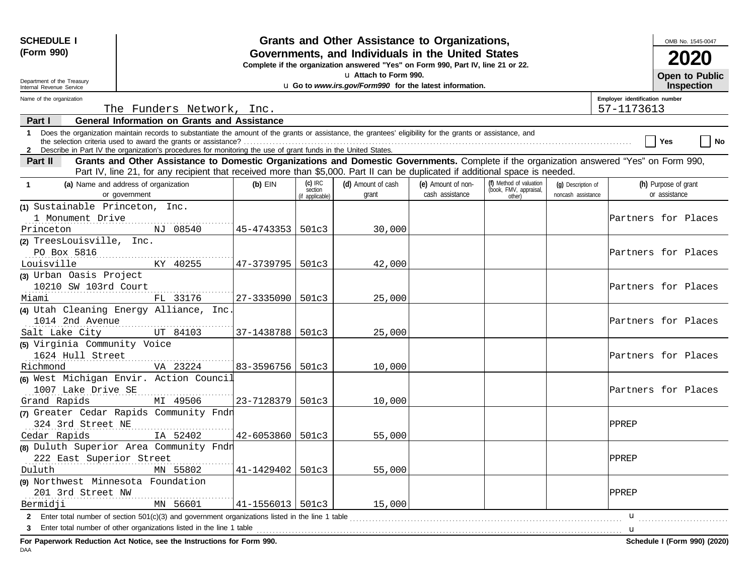| <b>SCHEDULE I</b>                                                                                                                                                                                                                                                                  |                                                                                                                                          |                                                                                                                                       |                      | Grants and Other Assistance to Organizations, |                                       |                                                             |                                          |                                | OMB No. 1545-0047                     |
|------------------------------------------------------------------------------------------------------------------------------------------------------------------------------------------------------------------------------------------------------------------------------------|------------------------------------------------------------------------------------------------------------------------------------------|---------------------------------------------------------------------------------------------------------------------------------------|----------------------|-----------------------------------------------|---------------------------------------|-------------------------------------------------------------|------------------------------------------|--------------------------------|---------------------------------------|
| (Form 990)                                                                                                                                                                                                                                                                         |                                                                                                                                          | Governments, and Individuals in the United States<br>Complete if the organization answered "Yes" on Form 990, Part IV, line 21 or 22. |                      | 2020                                          |                                       |                                                             |                                          |                                |                                       |
| Department of the Treasury<br>Internal Revenue Service                                                                                                                                                                                                                             | u Attach to Form 990.<br>u Go to www.irs.gov/Form990 for the latest information.                                                         |                                                                                                                                       |                      |                                               |                                       |                                                             |                                          |                                | Open to Public<br><b>Inspection</b>   |
| Name of the organization                                                                                                                                                                                                                                                           |                                                                                                                                          |                                                                                                                                       |                      |                                               |                                       |                                                             |                                          | Employer identification number |                                       |
|                                                                                                                                                                                                                                                                                    | The Funders Network, Inc.                                                                                                                |                                                                                                                                       |                      |                                               |                                       |                                                             |                                          | 57-1173613                     |                                       |
| Part I                                                                                                                                                                                                                                                                             | <b>General Information on Grants and Assistance</b>                                                                                      |                                                                                                                                       |                      |                                               |                                       |                                                             |                                          |                                |                                       |
| Does the organization maintain records to substantiate the amount of the grants or assistance, the grantees' eligibility for the grants or assistance, and<br>1<br>2 Describe in Part IV the organization's procedures for monitoring the use of grant funds in the United States. |                                                                                                                                          |                                                                                                                                       |                      |                                               |                                       |                                                             |                                          |                                | $\overline{\phantom{a}}$ No<br>Yes    |
| Part II                                                                                                                                                                                                                                                                            | Grants and Other Assistance to Domestic Organizations and Domestic Governments. Complete if the organization answered "Yes" on Form 990, |                                                                                                                                       |                      |                                               |                                       |                                                             |                                          |                                |                                       |
|                                                                                                                                                                                                                                                                                    | Part IV, line 21, for any recipient that received more than \$5,000. Part II can be duplicated if additional space is needed.            |                                                                                                                                       |                      |                                               |                                       |                                                             |                                          |                                |                                       |
| (a) Name and address of organization<br>$\overline{1}$<br>or government                                                                                                                                                                                                            |                                                                                                                                          | $(b)$ EIN                                                                                                                             | $(c)$ IRC<br>section | (d) Amount of cash<br>grant                   | (e) Amount of non-<br>cash assistance | (f) Method of valuation<br>(book, FMV, appraisal,<br>other) | (g) Description of<br>noncash assistance |                                | (h) Purpose of grant<br>or assistance |
| (1) Sustainable Princeton, Inc.                                                                                                                                                                                                                                                    |                                                                                                                                          |                                                                                                                                       | (if applicable)      |                                               |                                       |                                                             |                                          |                                |                                       |
|                                                                                                                                                                                                                                                                                    |                                                                                                                                          |                                                                                                                                       |                      |                                               |                                       |                                                             |                                          |                                | Partners for Places                   |
| 1 Monument Drive<br>Princeton                                                                                                                                                                                                                                                      | NJ 08540                                                                                                                                 | $45 - 4743353$   501c3                                                                                                                |                      | 30,000                                        |                                       |                                                             |                                          |                                |                                       |
| (2) TreesLouisville, Inc.                                                                                                                                                                                                                                                          |                                                                                                                                          |                                                                                                                                       |                      |                                               |                                       |                                                             |                                          |                                |                                       |
| PO Box 5816                                                                                                                                                                                                                                                                        |                                                                                                                                          |                                                                                                                                       |                      |                                               |                                       |                                                             |                                          |                                | Partners for Places                   |
|                                                                                                                                                                                                                                                                                    | KY 40255                                                                                                                                 | $47 - 3739795$ 501c3                                                                                                                  |                      |                                               |                                       |                                                             |                                          |                                |                                       |
| Louisville<br>(3) Urban Oasis Project                                                                                                                                                                                                                                              |                                                                                                                                          |                                                                                                                                       |                      | 42,000                                        |                                       |                                                             |                                          |                                |                                       |
| 10210 SW 103rd Court                                                                                                                                                                                                                                                               |                                                                                                                                          |                                                                                                                                       |                      |                                               |                                       |                                                             |                                          |                                |                                       |
| Miami                                                                                                                                                                                                                                                                              |                                                                                                                                          | $27 - 3335090$ 501c3                                                                                                                  |                      |                                               |                                       |                                                             |                                          | Partners for Places            |                                       |
| (4) Utah Cleaning Energy Alliance, Inc                                                                                                                                                                                                                                             | FL 33176                                                                                                                                 |                                                                                                                                       |                      | 25,000                                        |                                       |                                                             |                                          |                                |                                       |
| 1014 2nd Avenue                                                                                                                                                                                                                                                                    |                                                                                                                                          |                                                                                                                                       |                      |                                               |                                       |                                                             |                                          |                                | Partners for Places                   |
| Salt Lake City                                                                                                                                                                                                                                                                     | UT 84103                                                                                                                                 | 37-1438788   501c3                                                                                                                    |                      | 25,000                                        |                                       |                                                             |                                          |                                |                                       |
| (5) Virginia Community Voice                                                                                                                                                                                                                                                       |                                                                                                                                          |                                                                                                                                       |                      |                                               |                                       |                                                             |                                          |                                |                                       |
| 1624 Hull Street                                                                                                                                                                                                                                                                   |                                                                                                                                          |                                                                                                                                       |                      |                                               |                                       |                                                             |                                          |                                | Partners for Places                   |
| Richmond                                                                                                                                                                                                                                                                           | VA 23224                                                                                                                                 | 83-3596756   501c3                                                                                                                    |                      | 10,000                                        |                                       |                                                             |                                          |                                |                                       |
| (6) West Michigan Envir. Action Council                                                                                                                                                                                                                                            |                                                                                                                                          |                                                                                                                                       |                      |                                               |                                       |                                                             |                                          |                                |                                       |
| 1007 Lake Drive SE                                                                                                                                                                                                                                                                 |                                                                                                                                          |                                                                                                                                       |                      |                                               |                                       |                                                             |                                          |                                | Partners for Places                   |
| Grand Rapids                                                                                                                                                                                                                                                                       | MI 49506                                                                                                                                 | $23 - 7128379$ 501c3                                                                                                                  |                      | 10,000                                        |                                       |                                                             |                                          |                                |                                       |
| (7) Greater Cedar Rapids Community Fndr                                                                                                                                                                                                                                            |                                                                                                                                          |                                                                                                                                       |                      |                                               |                                       |                                                             |                                          |                                |                                       |
| 324 3rd Street NE                                                                                                                                                                                                                                                                  |                                                                                                                                          |                                                                                                                                       |                      |                                               |                                       |                                                             |                                          | <b>PPREP</b>                   |                                       |
| Cedar Rapids                                                                                                                                                                                                                                                                       | IA 52402                                                                                                                                 | $42 - 6053860$   501c3                                                                                                                |                      | 55,000                                        |                                       |                                                             |                                          |                                |                                       |
| (8) Duluth Superior Area Community Fndn                                                                                                                                                                                                                                            |                                                                                                                                          |                                                                                                                                       |                      |                                               |                                       |                                                             |                                          |                                |                                       |
| 222 East Superior Street                                                                                                                                                                                                                                                           |                                                                                                                                          |                                                                                                                                       |                      |                                               |                                       |                                                             |                                          | PPREP                          |                                       |
| Duluth                                                                                                                                                                                                                                                                             | MN 55802                                                                                                                                 | $41 - 1429402$ 501c3                                                                                                                  |                      | 55,000                                        |                                       |                                                             |                                          |                                |                                       |
| (9) Northwest Minnesota Foundation                                                                                                                                                                                                                                                 |                                                                                                                                          |                                                                                                                                       |                      |                                               |                                       |                                                             |                                          |                                |                                       |
| 201 3rd Street NW                                                                                                                                                                                                                                                                  |                                                                                                                                          |                                                                                                                                       |                      |                                               |                                       |                                                             |                                          | PPREP                          |                                       |
| Bermidji                                                                                                                                                                                                                                                                           | MN 56601                                                                                                                                 | $1-1556013$ 501c3                                                                                                                     |                      | 15,000                                        |                                       |                                                             |                                          |                                |                                       |
| 2 Enter total number of section 501(c)(3) and government organizations listed in the line 1 table                                                                                                                                                                                  |                                                                                                                                          |                                                                                                                                       |                      |                                               |                                       |                                                             |                                          | u                              |                                       |
| Enter total number of other organizations listed in the line 1 table<br>з                                                                                                                                                                                                          |                                                                                                                                          |                                                                                                                                       |                      |                                               |                                       |                                                             |                                          | u                              |                                       |
| For Paperwork Reduction Act Notice, see the Instructions for Form 990.                                                                                                                                                                                                             |                                                                                                                                          |                                                                                                                                       |                      |                                               |                                       |                                                             |                                          |                                | Schedule I (Form 990) (2020)          |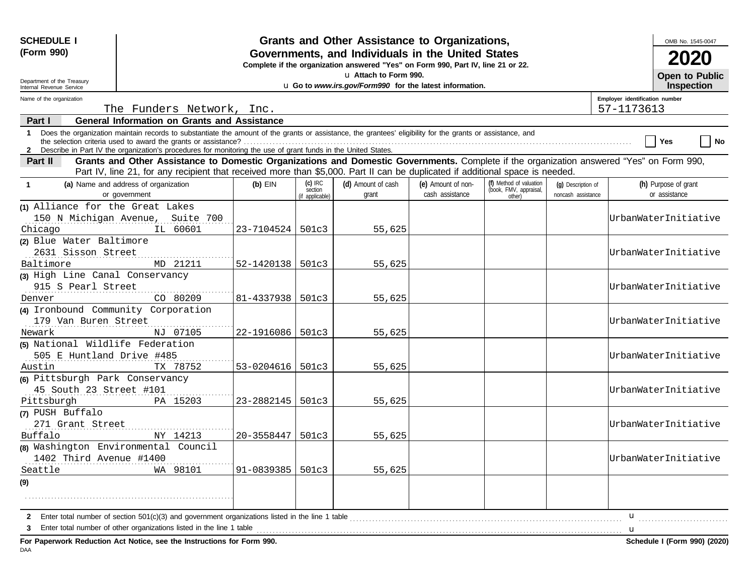| <b>SCHEDULE I</b>                                    |                                                                                                                                                                                                                                                                               |                      |                                                                                  | Grants and Other Assistance to Organizations, |                    |                                  |                    |                                | OMB No. 1545-0047            |
|------------------------------------------------------|-------------------------------------------------------------------------------------------------------------------------------------------------------------------------------------------------------------------------------------------------------------------------------|----------------------|----------------------------------------------------------------------------------|-----------------------------------------------|--------------------|----------------------------------|--------------------|--------------------------------|------------------------------|
| (Form 990)                                           | Governments, and Individuals in the United States<br>Complete if the organization answered "Yes" on Form 990, Part IV, line 21 or 22.                                                                                                                                         |                      |                                                                                  |                                               |                    |                                  |                    | 2020                           |                              |
| Department of the Treasury                           |                                                                                                                                                                                                                                                                               |                      | u Attach to Form 990.<br>u Go to www.irs.gov/Form990 for the latest information. |                                               |                    |                                  |                    |                                | Open to Public<br>Inspection |
| Internal Revenue Service<br>Name of the organization |                                                                                                                                                                                                                                                                               |                      |                                                                                  |                                               |                    |                                  |                    | Employer identification number |                              |
|                                                      | The Funders Network, Inc.                                                                                                                                                                                                                                                     |                      |                                                                                  |                                               |                    |                                  |                    | 57-1173613                     |                              |
| Part I                                               | <b>General Information on Grants and Assistance</b>                                                                                                                                                                                                                           |                      |                                                                                  |                                               |                    |                                  |                    |                                |                              |
| $\mathbf 1$                                          | Does the organization maintain records to substantiate the amount of the grants or assistance, the grantees' eligibility for the grants or assistance, and<br>2 Describe in Part IV the organization's procedures for monitoring the use of grant funds in the United States. |                      |                                                                                  |                                               |                    |                                  |                    | Yes                            | No                           |
| Part II                                              | Grants and Other Assistance to Domestic Organizations and Domestic Governments. Complete if the organization answered "Yes" on Form 990,                                                                                                                                      |                      |                                                                                  |                                               |                    |                                  |                    |                                |                              |
|                                                      | Part IV, line 21, for any recipient that received more than \$5,000. Part II can be duplicated if additional space is needed.                                                                                                                                                 |                      |                                                                                  |                                               |                    |                                  |                    |                                |                              |
| $\mathbf{1}$                                         | (a) Name and address of organization                                                                                                                                                                                                                                          | $(b)$ EIN            | $(c)$ IRC                                                                        | (d) Amount of cash                            | (e) Amount of non- | (f) Method of valuation          | (g) Description of | (h) Purpose of grant           |                              |
|                                                      | or government                                                                                                                                                                                                                                                                 |                      | section<br>(if applicable)                                                       | grant                                         | cash assistance    | (book, FMV, appraisal,<br>other) | noncash assistance | or assistance                  |                              |
| (1) Alliance for the Great Lakes                     |                                                                                                                                                                                                                                                                               |                      |                                                                                  |                                               |                    |                                  |                    |                                |                              |
|                                                      | 150 N Michigan Avenue, Suite 700                                                                                                                                                                                                                                              |                      |                                                                                  |                                               |                    |                                  |                    | UrbanWaterInitiative           |                              |
| Chicago                                              | IL 60601                                                                                                                                                                                                                                                                      | $23 - 7104524$ 501c3 |                                                                                  | 55,625                                        |                    |                                  |                    |                                |                              |
| (2) Blue Water Baltimore                             |                                                                                                                                                                                                                                                                               |                      |                                                                                  |                                               |                    |                                  |                    |                                |                              |
| 2631 Sisson Street                                   |                                                                                                                                                                                                                                                                               |                      |                                                                                  |                                               |                    |                                  |                    | UrbanWaterInitiative           |                              |
| Baltimore                                            | MD 21211                                                                                                                                                                                                                                                                      | 52-1420138           | 501c3                                                                            | 55,625                                        |                    |                                  |                    |                                |                              |
| (3) High Line Canal Conservancy                      |                                                                                                                                                                                                                                                                               |                      |                                                                                  |                                               |                    |                                  |                    |                                |                              |
| 915 S Pearl Street                                   |                                                                                                                                                                                                                                                                               |                      |                                                                                  |                                               |                    |                                  |                    | UrbanWaterInitiative           |                              |
| Denver                                               | CO 80209                                                                                                                                                                                                                                                                      | 81-4337938           | 501c3                                                                            | 55,625                                        |                    |                                  |                    |                                |                              |
|                                                      | (4) Ironbound Community Corporation                                                                                                                                                                                                                                           |                      |                                                                                  |                                               |                    |                                  |                    |                                |                              |
| 179 Van Buren Street                                 |                                                                                                                                                                                                                                                                               |                      |                                                                                  |                                               |                    |                                  |                    | UrbanWaterInitiative           |                              |
| Newark                                               | NJ 07105                                                                                                                                                                                                                                                                      | 22-1916086   501c3   |                                                                                  | 55,625                                        |                    |                                  |                    |                                |                              |
| (5) National Wildlife Federation                     |                                                                                                                                                                                                                                                                               |                      |                                                                                  |                                               |                    |                                  |                    |                                |                              |
| 505 E Huntland Drive #485                            |                                                                                                                                                                                                                                                                               |                      |                                                                                  |                                               |                    |                                  |                    | UrbanWaterInitiative           |                              |
| Austin                                               | TX 78752                                                                                                                                                                                                                                                                      | 53-0204616           | 501c3                                                                            | 55,625                                        |                    |                                  |                    |                                |                              |
| (6) Pittsburgh Park Conservancy                      |                                                                                                                                                                                                                                                                               |                      |                                                                                  |                                               |                    |                                  |                    |                                |                              |
| 45 South 23 Street #101                              |                                                                                                                                                                                                                                                                               |                      |                                                                                  |                                               |                    |                                  |                    | UrbanWaterInitiative           |                              |
| Pittsburgh                                           | PA 15203                                                                                                                                                                                                                                                                      | 23-2882145           | 501c3                                                                            | 55,625                                        |                    |                                  |                    |                                |                              |
| (7) PUSH Buffalo                                     |                                                                                                                                                                                                                                                                               |                      |                                                                                  |                                               |                    |                                  |                    |                                |                              |
| 271 Grant Street                                     |                                                                                                                                                                                                                                                                               |                      |                                                                                  |                                               |                    |                                  |                    | UrbanWaterInitiative           |                              |
| Buffalo                                              | NY 14213                                                                                                                                                                                                                                                                      | 20-3558447           | 501c3                                                                            | 55,625                                        |                    |                                  |                    |                                |                              |
|                                                      | (8) Washington Environmental Council                                                                                                                                                                                                                                          |                      |                                                                                  |                                               |                    |                                  |                    |                                |                              |
| 1402 Third Avenue #1400                              |                                                                                                                                                                                                                                                                               |                      |                                                                                  |                                               |                    |                                  |                    | UrbanWaterInitiative           |                              |
| Seattle                                              | WA 98101                                                                                                                                                                                                                                                                      | 91-0839385           | 501c3                                                                            | 55,625                                        |                    |                                  |                    |                                |                              |
| (9)                                                  |                                                                                                                                                                                                                                                                               |                      |                                                                                  |                                               |                    |                                  |                    |                                |                              |
|                                                      |                                                                                                                                                                                                                                                                               |                      |                                                                                  |                                               |                    |                                  |                    |                                |                              |
| 2                                                    |                                                                                                                                                                                                                                                                               |                      |                                                                                  |                                               |                    |                                  |                    | $\mathbf{u}$                   |                              |
|                                                      |                                                                                                                                                                                                                                                                               |                      |                                                                                  |                                               |                    |                                  |                    |                                |                              |
|                                                      |                                                                                                                                                                                                                                                                               |                      |                                                                                  |                                               |                    |                                  |                    | u                              |                              |
| DAA                                                  | For Paperwork Reduction Act Notice, see the Instructions for Form 990.                                                                                                                                                                                                        |                      |                                                                                  |                                               |                    |                                  |                    | Schedule I (Form 990) (2020)   |                              |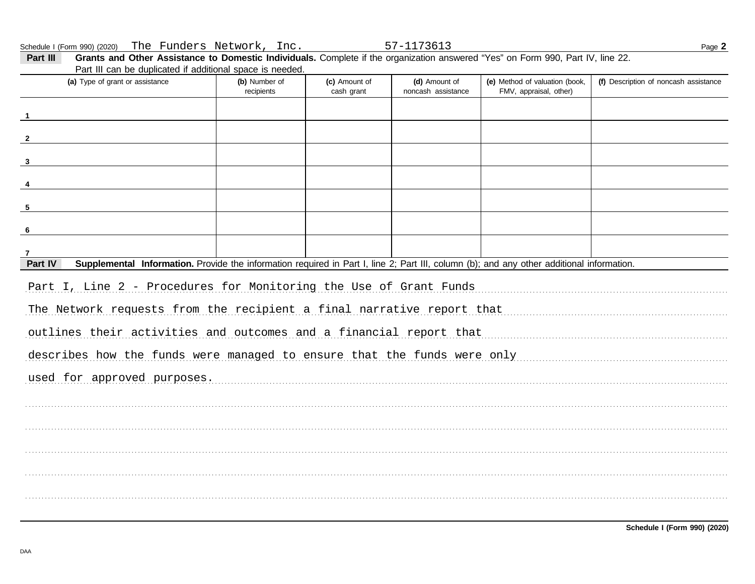Schedule I (Form 990) (2020) The Funders Network, Inc. 57-1173613 Page 2 Grants and Other Assistance to Domestic Individuals. Complete if the organization answered "Yes" on Form 990, Part IV, line 22. Part III Part III can be duplicated if additional space is needed. (a) Type of grant or assistance (b) Number of (c) Amount of (d) Amount of (e) Method of valuation (book, (f) Description of noncash assistance FMV, appraisal, other) recipients cash grant noncash assistance -5 6  $\overline{7}$ Supplemental Information. Provide the information required in Part I, line 2; Part III, column (b); and any other additional information. Part IV Part I, Line 2 - Procedures for Monitoring the Use of Grant Funds The Network requests from the recipient a final narrative report that outlines their activities and outcomes and a financial report that describes how the funds were managed to ensure that the funds were only used for approved purposes.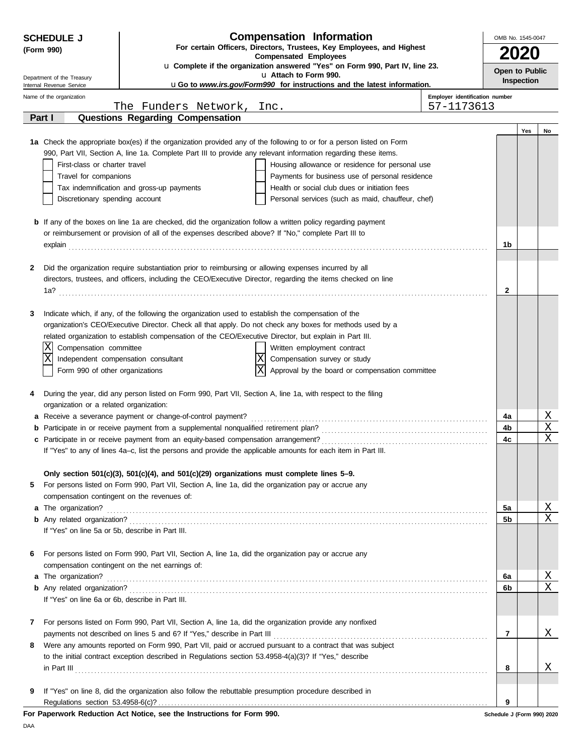| <b>SCHEDULE J</b>                                | <b>Compensation Information</b><br>For certain Officers, Directors, Trustees, Key Employees, and Highest            |                                                                                                                      |                                | OMB No. 1545-0047          |                              |                                              |  |  |
|--------------------------------------------------|---------------------------------------------------------------------------------------------------------------------|----------------------------------------------------------------------------------------------------------------------|--------------------------------|----------------------------|------------------------------|----------------------------------------------|--|--|
| (Form 990)                                       | <b>Compensated Employees</b>                                                                                        |                                                                                                                      |                                | 2020                       |                              |                                              |  |  |
| Department of the Treasury                       | u Complete if the organization answered "Yes" on Form 990, Part IV, line 23.<br>u Attach to Form 990.               |                                                                                                                      |                                |                            | Open to Public<br>Inspection |                                              |  |  |
| Internal Revenue Service                         |                                                                                                                     | uGo to www.irs.gov/Form990 for instructions and the latest information.                                              | Employer identification number |                            |                              |                                              |  |  |
| Name of the organization                         | The Funders Network, Inc.                                                                                           |                                                                                                                      | 57-1173613                     |                            |                              |                                              |  |  |
| Part I                                           | Questions Regarding Compensation                                                                                    |                                                                                                                      |                                |                            |                              |                                              |  |  |
|                                                  |                                                                                                                     |                                                                                                                      |                                |                            | Yes                          | No                                           |  |  |
|                                                  |                                                                                                                     | 1a Check the appropriate box(es) if the organization provided any of the following to or for a person listed on Form |                                |                            |                              |                                              |  |  |
|                                                  |                                                                                                                     | 990, Part VII, Section A, line 1a. Complete Part III to provide any relevant information regarding these items.      |                                |                            |                              |                                              |  |  |
| First-class or charter travel                    |                                                                                                                     | Housing allowance or residence for personal use                                                                      |                                |                            |                              |                                              |  |  |
| Travel for companions                            |                                                                                                                     | Payments for business use of personal residence                                                                      |                                |                            |                              |                                              |  |  |
|                                                  | Tax indemnification and gross-up payments                                                                           | Health or social club dues or initiation fees                                                                        |                                |                            |                              |                                              |  |  |
| Discretionary spending account                   |                                                                                                                     | Personal services (such as maid, chauffeur, chef)                                                                    |                                |                            |                              |                                              |  |  |
|                                                  | <b>b</b> If any of the boxes on line 1a are checked, did the organization follow a written policy regarding payment |                                                                                                                      |                                |                            |                              |                                              |  |  |
|                                                  | or reimbursement or provision of all of the expenses described above? If "No," complete Part III to                 |                                                                                                                      |                                |                            |                              |                                              |  |  |
| explain                                          |                                                                                                                     |                                                                                                                      |                                | 1b                         |                              |                                              |  |  |
|                                                  |                                                                                                                     |                                                                                                                      |                                |                            |                              |                                              |  |  |
| 2                                                | Did the organization require substantiation prior to reimbursing or allowing expenses incurred by all               |                                                                                                                      |                                |                            |                              |                                              |  |  |
|                                                  | directors, trustees, and officers, including the CEO/Executive Director, regarding the items checked on line        |                                                                                                                      |                                |                            |                              |                                              |  |  |
| 1a?                                              |                                                                                                                     |                                                                                                                      |                                | $\mathbf{2}$               |                              |                                              |  |  |
| 3                                                | Indicate which, if any, of the following the organization used to establish the compensation of the                 |                                                                                                                      |                                |                            |                              |                                              |  |  |
|                                                  |                                                                                                                     | organization's CEO/Executive Director. Check all that apply. Do not check any boxes for methods used by a            |                                |                            |                              |                                              |  |  |
|                                                  | related organization to establish compensation of the CEO/Executive Director, but explain in Part III.              |                                                                                                                      |                                |                            |                              |                                              |  |  |
| Χ<br>Compensation committee                      |                                                                                                                     | Written employment contract                                                                                          |                                |                            |                              |                                              |  |  |
| $\overline{\text{X}}$                            | Independent compensation consultant                                                                                 | Χ<br>Compensation survey or study                                                                                    |                                |                            |                              |                                              |  |  |
| Form 990 of other organizations                  |                                                                                                                     | Χ<br>Approval by the board or compensation committee                                                                 |                                |                            |                              |                                              |  |  |
|                                                  |                                                                                                                     |                                                                                                                      |                                |                            |                              |                                              |  |  |
| 4                                                | During the year, did any person listed on Form 990, Part VII, Section A, line 1a, with respect to the filing        |                                                                                                                      |                                |                            |                              |                                              |  |  |
| organization or a related organization:          |                                                                                                                     |                                                                                                                      |                                |                            |                              |                                              |  |  |
|                                                  | a Receive a severance payment or change-of-control payment?                                                         |                                                                                                                      |                                | 4a<br>4b                   |                              | <u>X</u><br>$\overline{\mathrm{x}}$          |  |  |
| b                                                |                                                                                                                     |                                                                                                                      |                                | 4c                         |                              | $\overline{\mathbf{X}}$                      |  |  |
|                                                  | If "Yes" to any of lines 4a–c, list the persons and provide the applicable amounts for each item in Part III.       |                                                                                                                      |                                |                            |                              |                                              |  |  |
|                                                  |                                                                                                                     |                                                                                                                      |                                |                            |                              |                                              |  |  |
|                                                  | Only section 501(c)(3), 501(c)(4), and 501(c)(29) organizations must complete lines 5-9.                            |                                                                                                                      |                                |                            |                              |                                              |  |  |
| 5                                                | For persons listed on Form 990, Part VII, Section A, line 1a, did the organization pay or accrue any                |                                                                                                                      |                                |                            |                              |                                              |  |  |
| compensation contingent on the revenues of:      |                                                                                                                     |                                                                                                                      |                                |                            |                              |                                              |  |  |
| a The organization?                              |                                                                                                                     |                                                                                                                      |                                | 5a                         |                              | <u>X</u>                                     |  |  |
|                                                  |                                                                                                                     |                                                                                                                      |                                | <b>5b</b>                  |                              | $\overline{\mathrm{x}}$                      |  |  |
| If "Yes" on line 5a or 5b, describe in Part III. |                                                                                                                     |                                                                                                                      |                                |                            |                              |                                              |  |  |
|                                                  |                                                                                                                     |                                                                                                                      |                                |                            |                              |                                              |  |  |
| 6                                                | For persons listed on Form 990, Part VII, Section A, line 1a, did the organization pay or accrue any                |                                                                                                                      |                                |                            |                              |                                              |  |  |
|                                                  | compensation contingent on the net earnings of:                                                                     |                                                                                                                      |                                |                            |                              |                                              |  |  |
| a The organization?                              |                                                                                                                     |                                                                                                                      |                                | 6а                         |                              | $\overline{\chi}$<br>$\overline{\mathrm{x}}$ |  |  |
|                                                  |                                                                                                                     |                                                                                                                      |                                | 6b                         |                              |                                              |  |  |
| If "Yes" on line 6a or 6b, describe in Part III. |                                                                                                                     |                                                                                                                      |                                |                            |                              |                                              |  |  |
| 7                                                | For persons listed on Form 990, Part VII, Section A, line 1a, did the organization provide any nonfixed             |                                                                                                                      |                                |                            |                              |                                              |  |  |
|                                                  |                                                                                                                     |                                                                                                                      |                                | 7                          |                              | Χ                                            |  |  |
| 8                                                | Were any amounts reported on Form 990, Part VII, paid or accrued pursuant to a contract that was subject            |                                                                                                                      |                                |                            |                              |                                              |  |  |
|                                                  | to the initial contract exception described in Regulations section 53.4958-4(a)(3)? If "Yes," describe              |                                                                                                                      |                                |                            |                              |                                              |  |  |
|                                                  |                                                                                                                     | $\ $ n Part III $\ $                                                                                                 |                                | 8                          |                              | Χ                                            |  |  |
|                                                  |                                                                                                                     |                                                                                                                      |                                |                            |                              |                                              |  |  |
| 9                                                | If "Yes" on line 8, did the organization also follow the rebuttable presumption procedure described in              |                                                                                                                      |                                |                            |                              |                                              |  |  |
|                                                  |                                                                                                                     |                                                                                                                      |                                | 9                          |                              |                                              |  |  |
|                                                  | For Paperwork Reduction Act Notice, see the Instructions for Form 990.                                              |                                                                                                                      |                                | Schedule J (Form 990) 2020 |                              |                                              |  |  |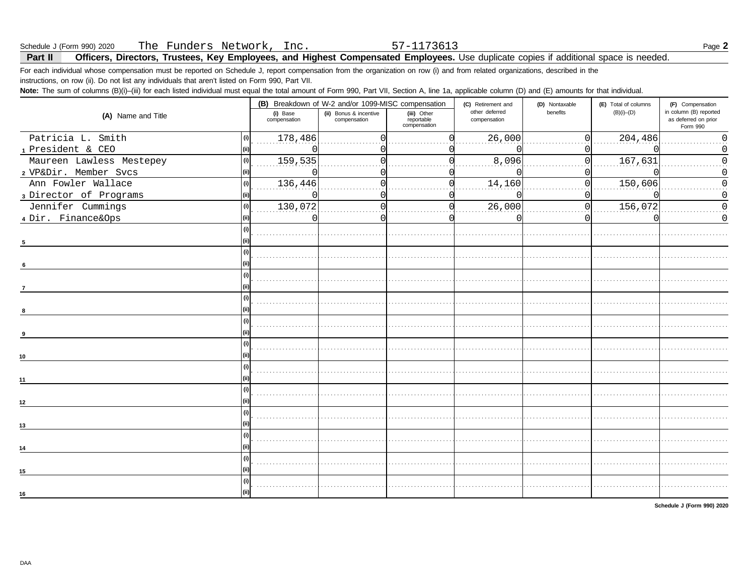## Schedule J (Form 990) 2020 Page **2** The Funders Network, Inc. 57-1173613

## Part II **Officers, Directors, Trustees, Key Employees, and Highest Compensated Employees.** Use duplicate copies if additional space is needed.

For each individual whose compensation must be reported on Schedule J, report compensation from the organization on row (i) and from related organizations, described in the instructions, on row (ii). Do not list any individuals that aren't listed on Form 990, Part VII.

Note: The sum of columns (B)(i)–(iii) for each listed individual must equal the total amount of Form 990, Part VII, Section A, line 1a, applicable column (D) and (E) amounts for that individual.

|                                 |                                                                                                                 | (B) Breakdown of W-2 and/or 1099-MISC compensation |                                | (C) Retirement and | (D) Nontaxable   | (E) Total of columns                                       | (F) Compensation |
|---------------------------------|-----------------------------------------------------------------------------------------------------------------|----------------------------------------------------|--------------------------------|--------------------|------------------|------------------------------------------------------------|------------------|
| (A) Name and Title              | (ii) Bonus & incentive<br>(i) Base<br>(iii) Other<br>compensation<br>reportable<br>compensation<br>compensation |                                                    | other deferred<br>compensation | benefits           | $(B)(i)$ – $(D)$ | in column (B) reported<br>as deferred on prior<br>Form 990 |                  |
| Patricia L. Smith<br>(i)        | 178,486                                                                                                         |                                                    |                                | 26,000             |                  | 204,486                                                    |                  |
| 1 President & CEO               |                                                                                                                 |                                                    |                                |                    |                  |                                                            |                  |
| Maureen Lawless Mestepey<br>(i) | 159,535                                                                                                         |                                                    |                                | 8,096              |                  | 167,631                                                    |                  |
| 2 VP&Dir. Member Svcs           |                                                                                                                 |                                                    |                                |                    |                  |                                                            |                  |
| Ann Fowler Wallace<br>(i)       | 136,446                                                                                                         |                                                    |                                | 14,160             | 0                | 150,606                                                    |                  |
| 3 Director of Programs          |                                                                                                                 |                                                    |                                |                    |                  |                                                            |                  |
| Jennifer Cummings               | 130,072<br>(i)                                                                                                  |                                                    |                                | 26,000             | $\Omega$         | 156,072                                                    | $\Omega$         |
| 4 Dir. Finance&Ops              |                                                                                                                 |                                                    |                                |                    |                  |                                                            | $\Omega$         |
| 5                               | (i)                                                                                                             |                                                    |                                |                    |                  |                                                            |                  |
| (i)<br>6                        |                                                                                                                 |                                                    |                                |                    |                  |                                                            |                  |
| (i)                             |                                                                                                                 |                                                    |                                |                    |                  |                                                            |                  |
|                                 |                                                                                                                 |                                                    |                                |                    |                  |                                                            |                  |
| (i)                             |                                                                                                                 |                                                    |                                |                    |                  |                                                            |                  |
| 10                              |                                                                                                                 |                                                    |                                |                    |                  |                                                            |                  |
| (i)<br>11                       |                                                                                                                 |                                                    |                                |                    |                  |                                                            |                  |
| (i)<br>12                       |                                                                                                                 |                                                    |                                |                    |                  |                                                            |                  |
| (i)<br>13                       |                                                                                                                 |                                                    |                                |                    |                  |                                                            |                  |
| (i)                             |                                                                                                                 |                                                    |                                |                    |                  |                                                            |                  |
| 15                              | (i)                                                                                                             |                                                    |                                |                    |                  |                                                            |                  |
| (i)<br>16                       |                                                                                                                 |                                                    |                                |                    |                  |                                                            |                  |

**Schedule J (Form 990) 2020**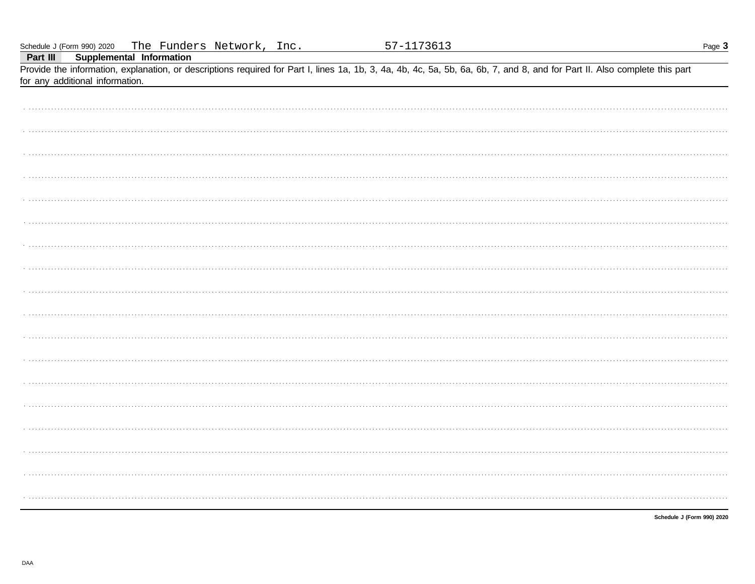|          |                                 | Schedule J (Form 990) 2020 The Funders Network, Inc. | 57-1173613 |                                                                                                                                                                            | Page 3 |
|----------|---------------------------------|------------------------------------------------------|------------|----------------------------------------------------------------------------------------------------------------------------------------------------------------------------|--------|
| Part III | Supplemental Information        |                                                      |            |                                                                                                                                                                            |        |
|          | for any additional information. |                                                      |            | Provide the information, explanation, or descriptions required for Part I, lines 1a, 1b, 3, 4a, 4b, 4c, 5a, 5b, 6a, 6b, 7, and 8, and for Part II. Also complete this part |        |
|          |                                 |                                                      |            |                                                                                                                                                                            |        |
|          |                                 |                                                      |            |                                                                                                                                                                            |        |
|          |                                 |                                                      |            |                                                                                                                                                                            |        |
|          |                                 |                                                      |            |                                                                                                                                                                            |        |
|          |                                 |                                                      |            |                                                                                                                                                                            |        |
|          |                                 |                                                      |            |                                                                                                                                                                            |        |
|          |                                 |                                                      |            |                                                                                                                                                                            |        |
|          |                                 |                                                      |            |                                                                                                                                                                            |        |
|          |                                 |                                                      |            |                                                                                                                                                                            |        |
|          |                                 |                                                      |            |                                                                                                                                                                            |        |
|          |                                 |                                                      |            |                                                                                                                                                                            |        |
|          |                                 |                                                      |            |                                                                                                                                                                            |        |
|          |                                 |                                                      |            |                                                                                                                                                                            |        |
|          |                                 |                                                      |            |                                                                                                                                                                            |        |
|          |                                 |                                                      |            |                                                                                                                                                                            |        |
|          |                                 |                                                      |            |                                                                                                                                                                            |        |
|          |                                 |                                                      |            |                                                                                                                                                                            |        |
|          |                                 |                                                      |            |                                                                                                                                                                            |        |
|          |                                 |                                                      |            |                                                                                                                                                                            |        |
|          |                                 |                                                      |            | Schedule J (Form 990) 2020                                                                                                                                                 |        |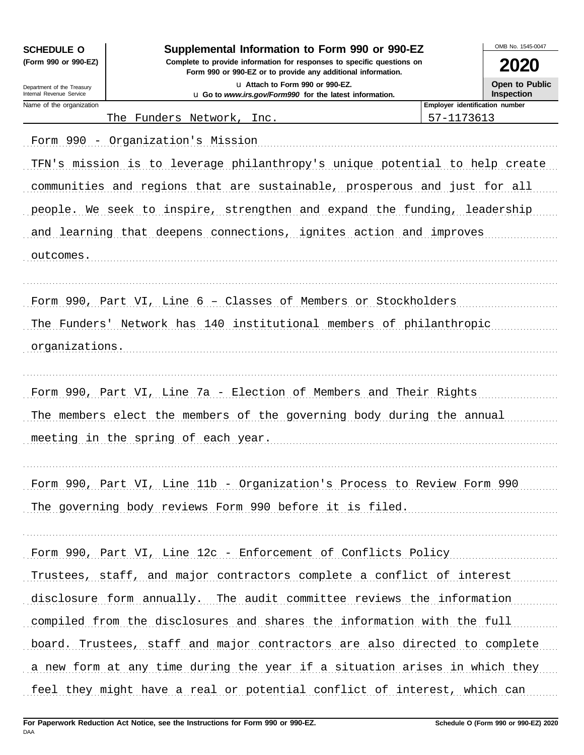| <b>SCHEDULE O</b><br>(Form 990 or 990-EZ)<br>Department of the Treasury<br>Internal Revenue Service | Supplemental Information to Form 990 or 990-EZ<br>Complete to provide information for responses to specific questions on<br>Form 990 or 990-EZ or to provide any additional information.<br>La Attach to Form 990 or 990-EZ.<br>u Go to www.irs.gov/Form990 for the latest information. | OMB No. 1545-0047<br>2020<br>Open to Public<br><b>Inspection</b> |
|-----------------------------------------------------------------------------------------------------|-----------------------------------------------------------------------------------------------------------------------------------------------------------------------------------------------------------------------------------------------------------------------------------------|------------------------------------------------------------------|
| Name of the organization                                                                            | The Funders Network, Inc.                                                                                                                                                                                                                                                               | Employer identification number<br>57-1173613                     |
|                                                                                                     | Form 990 - Organization's Mission                                                                                                                                                                                                                                                       |                                                                  |
|                                                                                                     | TFN's mission is to leverage philanthropy's unique potential to help create                                                                                                                                                                                                             |                                                                  |
|                                                                                                     | communities and regions that are sustainable, prosperous and just for all                                                                                                                                                                                                               |                                                                  |
|                                                                                                     | people. We seek to inspire, strengthen and expand the funding, leadership                                                                                                                                                                                                               |                                                                  |
|                                                                                                     | and learning that deepens connections, ignites action and improves                                                                                                                                                                                                                      |                                                                  |
| outcomes.                                                                                           |                                                                                                                                                                                                                                                                                         |                                                                  |
|                                                                                                     |                                                                                                                                                                                                                                                                                         |                                                                  |
|                                                                                                     | Form 990, Part VI, Line 6 - Classes of Members or Stockholders                                                                                                                                                                                                                          |                                                                  |
|                                                                                                     | The Funders' Network has 140 institutional members of philanthropic                                                                                                                                                                                                                     |                                                                  |
| organizations.                                                                                      |                                                                                                                                                                                                                                                                                         |                                                                  |
|                                                                                                     |                                                                                                                                                                                                                                                                                         |                                                                  |
|                                                                                                     | Form 990, Part VI, Line 7a - Election of Members and Their Rights                                                                                                                                                                                                                       |                                                                  |
|                                                                                                     | The members elect the members of the governing body during the annual                                                                                                                                                                                                                   |                                                                  |
|                                                                                                     | meeting in the spring of each year.                                                                                                                                                                                                                                                     |                                                                  |
|                                                                                                     |                                                                                                                                                                                                                                                                                         |                                                                  |
|                                                                                                     | Form 990, Part VI, Line 11b - Organization's Process to Review Form 990                                                                                                                                                                                                                 |                                                                  |
|                                                                                                     | The governing body reviews Form 990 before it is filed.                                                                                                                                                                                                                                 |                                                                  |
|                                                                                                     |                                                                                                                                                                                                                                                                                         |                                                                  |
|                                                                                                     | Form 990, Part VI, Line 12c - Enforcement of Conflicts Policy                                                                                                                                                                                                                           |                                                                  |
|                                                                                                     | Trustees, staff, and major contractors complete a conflict of interest                                                                                                                                                                                                                  |                                                                  |
|                                                                                                     | disclosure form annually. The audit committee reviews the information                                                                                                                                                                                                                   |                                                                  |
|                                                                                                     | compiled from the disclosures and shares the information with the full                                                                                                                                                                                                                  |                                                                  |
|                                                                                                     | board. Trustees, staff and major contractors are also directed to complete                                                                                                                                                                                                              |                                                                  |
|                                                                                                     | a new form at any time during the year if a situation arises in which they                                                                                                                                                                                                              |                                                                  |
|                                                                                                     | feel they might have a real or potential conflict of interest, which can                                                                                                                                                                                                                |                                                                  |